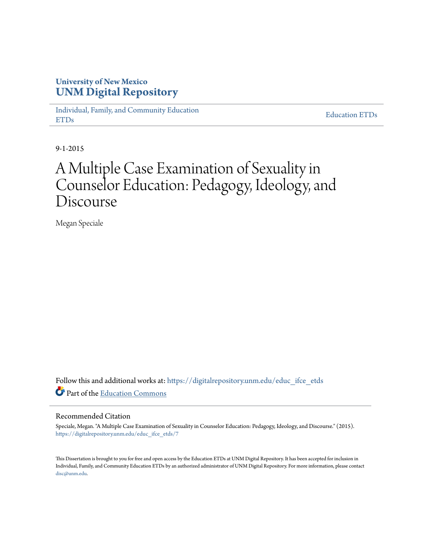# **University of New Mexico [UNM Digital Repository](https://digitalrepository.unm.edu?utm_source=digitalrepository.unm.edu%2Feduc_ifce_etds%2F7&utm_medium=PDF&utm_campaign=PDFCoverPages)**

[Individual, Family, and Community Education](https://digitalrepository.unm.edu/educ_ifce_etds?utm_source=digitalrepository.unm.edu%2Feduc_ifce_etds%2F7&utm_medium=PDF&utm_campaign=PDFCoverPages) [ETDs](https://digitalrepository.unm.edu/educ_ifce_etds?utm_source=digitalrepository.unm.edu%2Feduc_ifce_etds%2F7&utm_medium=PDF&utm_campaign=PDFCoverPages)

[Education ETDs](https://digitalrepository.unm.edu/educ_etds?utm_source=digitalrepository.unm.edu%2Feduc_ifce_etds%2F7&utm_medium=PDF&utm_campaign=PDFCoverPages)

9-1-2015

# A Multiple Case Examination of Sexuality in Counselor Education: Pedagogy, Ideology, and Discourse

Megan Speciale

Follow this and additional works at: [https://digitalrepository.unm.edu/educ\\_ifce\\_etds](https://digitalrepository.unm.edu/educ_ifce_etds?utm_source=digitalrepository.unm.edu%2Feduc_ifce_etds%2F7&utm_medium=PDF&utm_campaign=PDFCoverPages) Part of the [Education Commons](http://network.bepress.com/hgg/discipline/784?utm_source=digitalrepository.unm.edu%2Feduc_ifce_etds%2F7&utm_medium=PDF&utm_campaign=PDFCoverPages)

### Recommended Citation

Speciale, Megan. "A Multiple Case Examination of Sexuality in Counselor Education: Pedagogy, Ideology, and Discourse." (2015). [https://digitalrepository.unm.edu/educ\\_ifce\\_etds/7](https://digitalrepository.unm.edu/educ_ifce_etds/7?utm_source=digitalrepository.unm.edu%2Feduc_ifce_etds%2F7&utm_medium=PDF&utm_campaign=PDFCoverPages)

This Dissertation is brought to you for free and open access by the Education ETDs at UNM Digital Repository. It has been accepted for inclusion in Individual, Family, and Community Education ETDs by an authorized administrator of UNM Digital Repository. For more information, please contact [disc@unm.edu](mailto:disc@unm.edu).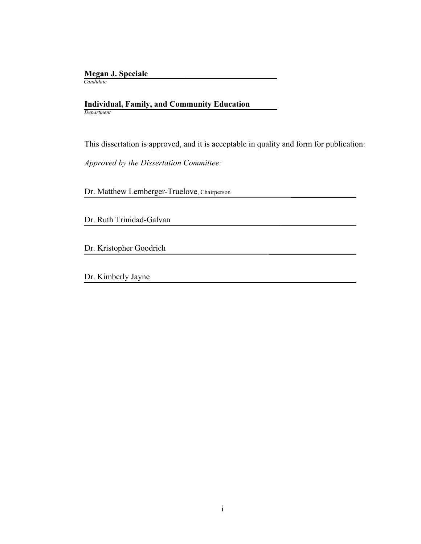# **Megan J. Speciale**

 *Candidate*

### **Individual, Family, and Community Education** *Department*

This dissertation is approved, and it is acceptable in quality and form for publication:

*Approved by the Dissertation Committee:*

Dr. Matthew Lemberger-Truelove, Chairperson

Dr. Ruth Trinidad-Galvan

Dr. Kristopher Goodrich

Dr. Kimberly Jayne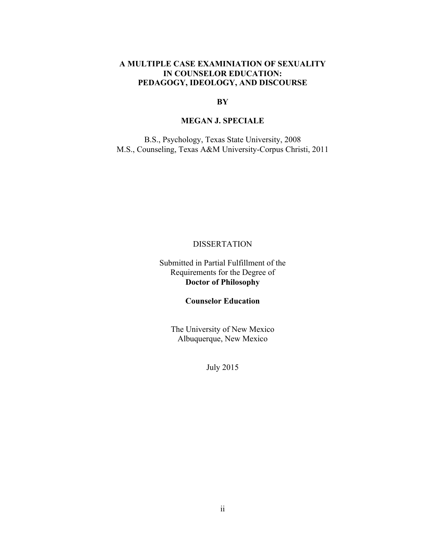# **A MULTIPLE CASE EXAMINIATION OF SEXUALITY IN COUNSELOR EDUCATION: PEDAGOGY, IDEOLOGY, AND DISCOURSE**

# **BY**

# **MEGAN J. SPECIALE**

B.S., Psychology, Texas State University, 2008 M.S., Counseling, Texas A&M University-Corpus Christi, 2011

# DISSERTATION

Submitted in Partial Fulfillment of the Requirements for the Degree of **Doctor of Philosophy**

**Counselor Education**

The University of New Mexico Albuquerque, New Mexico

July 2015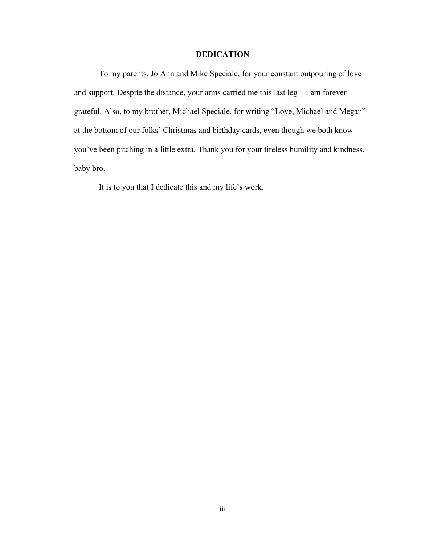## **DEDICATION**

To my parents, Jo Ann and Mike Speciale, for your constant outpouring of love and support. Despite the distance, your arms carried me this last leg—I am forever grateful. Also, to my brother, Michael Speciale, for writing "Love, Michael and Megan" at the bottom of our folks' Christmas and birthday cards, even though we both know you've been pitching in a little extra. Thank you for your tireless humility and kindness, baby bro.

It is to you that I dedicate this and my life's work.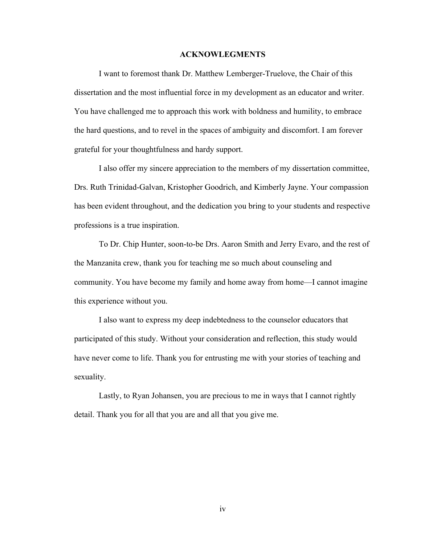### **ACKNOWLEGMENTS**

I want to foremost thank Dr. Matthew Lemberger-Truelove, the Chair of this dissertation and the most influential force in my development as an educator and writer. You have challenged me to approach this work with boldness and humility, to embrace the hard questions, and to revel in the spaces of ambiguity and discomfort. I am forever grateful for your thoughtfulness and hardy support.

I also offer my sincere appreciation to the members of my dissertation committee, Drs. Ruth Trinidad-Galvan, Kristopher Goodrich, and Kimberly Jayne. Your compassion has been evident throughout, and the dedication you bring to your students and respective professions is a true inspiration.

To Dr. Chip Hunter, soon-to-be Drs. Aaron Smith and Jerry Evaro, and the rest of the Manzanita crew, thank you for teaching me so much about counseling and community. You have become my family and home away from home—I cannot imagine this experience without you.

I also want to express my deep indebtedness to the counselor educators that participated of this study. Without your consideration and reflection, this study would have never come to life. Thank you for entrusting me with your stories of teaching and sexuality.

Lastly, to Ryan Johansen, you are precious to me in ways that I cannot rightly detail. Thank you for all that you are and all that you give me.

iv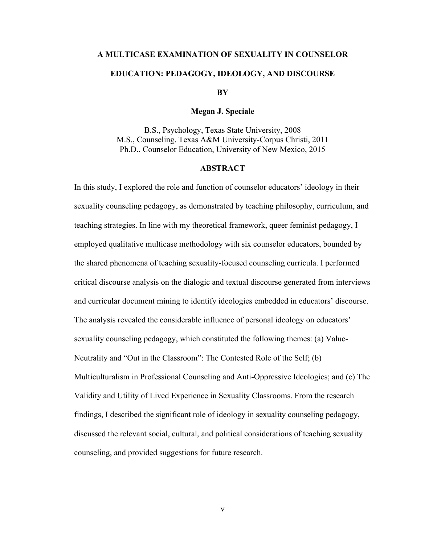# **A MULTICASE EXAMINATION OF SEXUALITY IN COUNSELOR EDUCATION: PEDAGOGY, IDEOLOGY, AND DISCOURSE**

**BY**

#### **Megan J. Speciale**

B.S., Psychology, Texas State University, 2008 M.S., Counseling, Texas A&M University-Corpus Christi, 2011 Ph.D., Counselor Education, University of New Mexico, 2015

### **ABSTRACT**

In this study, I explored the role and function of counselor educators' ideology in their sexuality counseling pedagogy, as demonstrated by teaching philosophy, curriculum, and teaching strategies. In line with my theoretical framework, queer feminist pedagogy, I employed qualitative multicase methodology with six counselor educators, bounded by the shared phenomena of teaching sexuality-focused counseling curricula. I performed critical discourse analysis on the dialogic and textual discourse generated from interviews and curricular document mining to identify ideologies embedded in educators' discourse. The analysis revealed the considerable influence of personal ideology on educators' sexuality counseling pedagogy, which constituted the following themes: (a) Value-Neutrality and "Out in the Classroom": The Contested Role of the Self; (b) Multiculturalism in Professional Counseling and Anti-Oppressive Ideologies; and (c) The Validity and Utility of Lived Experience in Sexuality Classrooms. From the research findings, I described the significant role of ideology in sexuality counseling pedagogy, discussed the relevant social, cultural, and political considerations of teaching sexuality counseling, and provided suggestions for future research.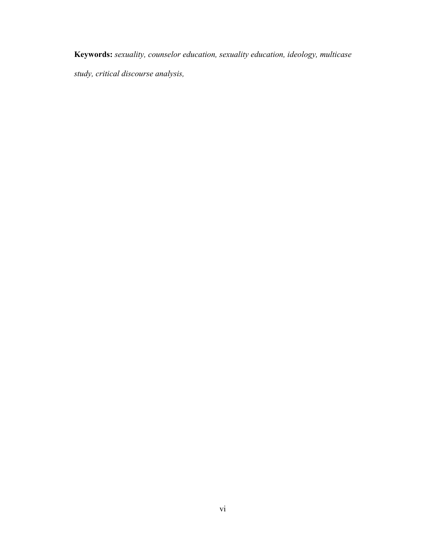**Keywords:** *sexuality, counselor education, sexuality education, ideology, multicase study, critical discourse analysis,*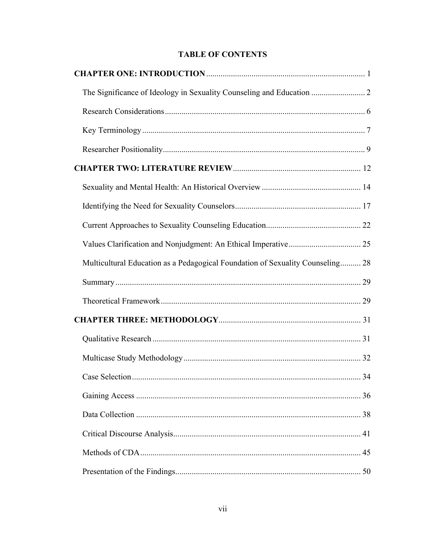# **TABLE OF CONTENTS**

| Multicultural Education as a Pedagogical Foundation of Sexuality Counseling 28 |  |
|--------------------------------------------------------------------------------|--|
|                                                                                |  |
|                                                                                |  |
|                                                                                |  |
|                                                                                |  |
|                                                                                |  |
|                                                                                |  |
|                                                                                |  |
|                                                                                |  |
|                                                                                |  |
|                                                                                |  |
|                                                                                |  |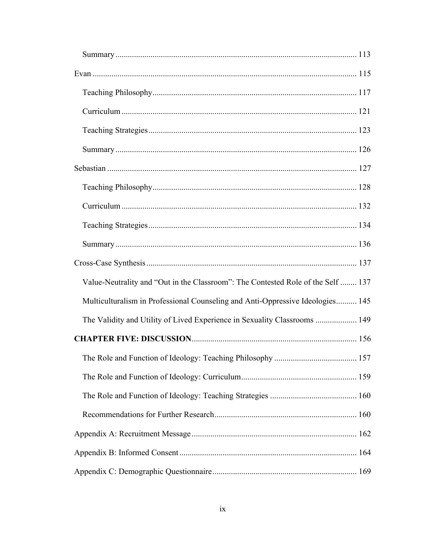| Value-Neutrality and "Out in the Classroom": The Contested Role of the Self  137 |  |
|----------------------------------------------------------------------------------|--|
| Multiculturalism in Professional Counseling and Anti-Oppressive Ideologies 145   |  |
| The Validity and Utility of Lived Experience in Sexuality Classrooms  149        |  |
|                                                                                  |  |
|                                                                                  |  |
|                                                                                  |  |
|                                                                                  |  |
|                                                                                  |  |
|                                                                                  |  |
|                                                                                  |  |
|                                                                                  |  |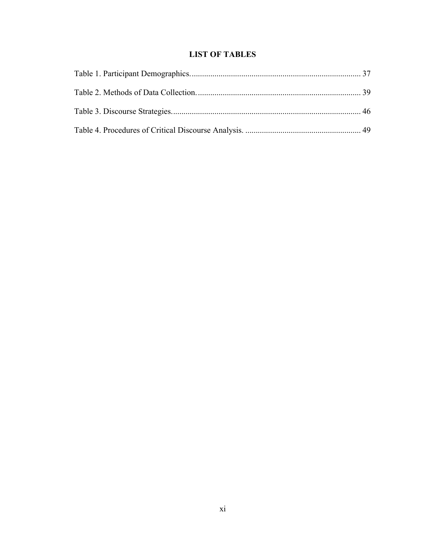# **LIST OF TABLES**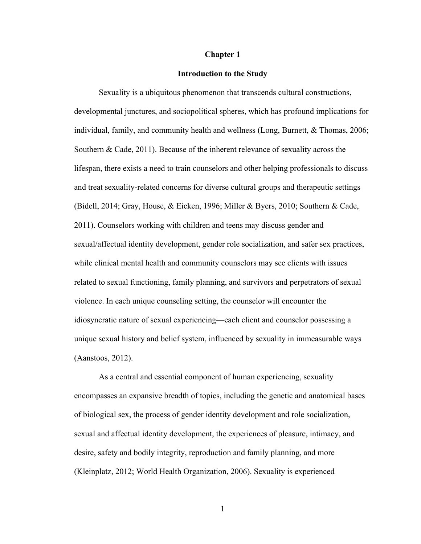### **Chapter 1**

### **Introduction to the Study**

Sexuality is a ubiquitous phenomenon that transcends cultural constructions, developmental junctures, and sociopolitical spheres, which has profound implications for individual, family, and community health and wellness (Long, Burnett, & Thomas, 2006; Southern & Cade, 2011). Because of the inherent relevance of sexuality across the lifespan, there exists a need to train counselors and other helping professionals to discuss and treat sexuality-related concerns for diverse cultural groups and therapeutic settings (Bidell, 2014; Gray, House, & Eicken, 1996; Miller & Byers, 2010; Southern & Cade, 2011). Counselors working with children and teens may discuss gender and sexual/affectual identity development, gender role socialization, and safer sex practices, while clinical mental health and community counselors may see clients with issues related to sexual functioning, family planning, and survivors and perpetrators of sexual violence. In each unique counseling setting, the counselor will encounter the idiosyncratic nature of sexual experiencing—each client and counselor possessing a unique sexual history and belief system, influenced by sexuality in immeasurable ways (Aanstoos, 2012).

As a central and essential component of human experiencing, sexuality encompasses an expansive breadth of topics, including the genetic and anatomical bases of biological sex, the process of gender identity development and role socialization, sexual and affectual identity development, the experiences of pleasure, intimacy, and desire, safety and bodily integrity, reproduction and family planning, and more (Kleinplatz, 2012; World Health Organization, 2006). Sexuality is experienced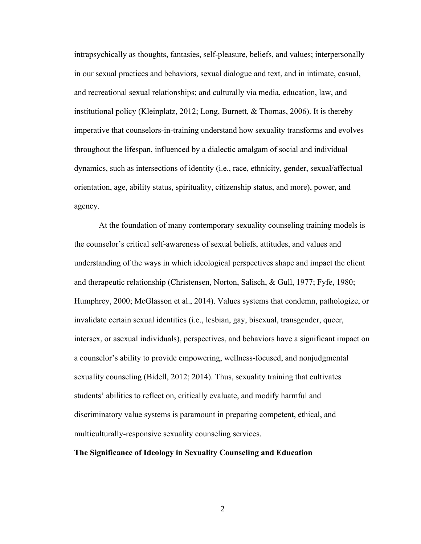intrapsychically as thoughts, fantasies, self-pleasure, beliefs, and values; interpersonally in our sexual practices and behaviors, sexual dialogue and text, and in intimate, casual, and recreational sexual relationships; and culturally via media, education, law, and institutional policy (Kleinplatz, 2012; Long, Burnett, & Thomas, 2006). It is thereby imperative that counselors-in-training understand how sexuality transforms and evolves throughout the lifespan, influenced by a dialectic amalgam of social and individual dynamics, such as intersections of identity (i.e., race, ethnicity, gender, sexual/affectual orientation, age, ability status, spirituality, citizenship status, and more), power, and agency.

At the foundation of many contemporary sexuality counseling training models is the counselor's critical self-awareness of sexual beliefs, attitudes, and values and understanding of the ways in which ideological perspectives shape and impact the client and therapeutic relationship (Christensen, Norton, Salisch, & Gull, 1977; Fyfe, 1980; Humphrey, 2000; McGlasson et al., 2014). Values systems that condemn, pathologize, or invalidate certain sexual identities (i.e., lesbian, gay, bisexual, transgender, queer, intersex, or asexual individuals), perspectives, and behaviors have a significant impact on a counselor's ability to provide empowering, wellness-focused, and nonjudgmental sexuality counseling (Bidell, 2012; 2014). Thus, sexuality training that cultivates students' abilities to reflect on, critically evaluate, and modify harmful and discriminatory value systems is paramount in preparing competent, ethical, and multiculturally-responsive sexuality counseling services.

### **The Significance of Ideology in Sexuality Counseling and Education**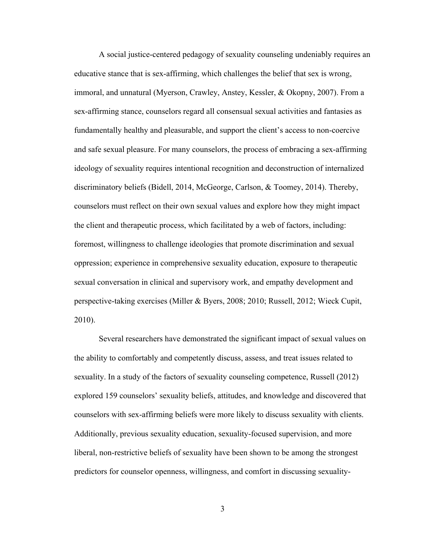A social justice-centered pedagogy of sexuality counseling undeniably requires an educative stance that is sex-affirming, which challenges the belief that sex is wrong, immoral, and unnatural (Myerson, Crawley, Anstey, Kessler, & Okopny, 2007). From a sex-affirming stance, counselors regard all consensual sexual activities and fantasies as fundamentally healthy and pleasurable, and support the client's access to non-coercive and safe sexual pleasure. For many counselors, the process of embracing a sex-affirming ideology of sexuality requires intentional recognition and deconstruction of internalized discriminatory beliefs (Bidell, 2014, McGeorge, Carlson, & Toomey, 2014). Thereby, counselors must reflect on their own sexual values and explore how they might impact the client and therapeutic process, which facilitated by a web of factors, including: foremost, willingness to challenge ideologies that promote discrimination and sexual oppression; experience in comprehensive sexuality education, exposure to therapeutic sexual conversation in clinical and supervisory work, and empathy development and perspective-taking exercises (Miller & Byers, 2008; 2010; Russell, 2012; Wieck Cupit, 2010).

Several researchers have demonstrated the significant impact of sexual values on the ability to comfortably and competently discuss, assess, and treat issues related to sexuality. In a study of the factors of sexuality counseling competence, Russell (2012) explored 159 counselors' sexuality beliefs, attitudes, and knowledge and discovered that counselors with sex-affirming beliefs were more likely to discuss sexuality with clients. Additionally, previous sexuality education, sexuality-focused supervision, and more liberal, non-restrictive beliefs of sexuality have been shown to be among the strongest predictors for counselor openness, willingness, and comfort in discussing sexuality-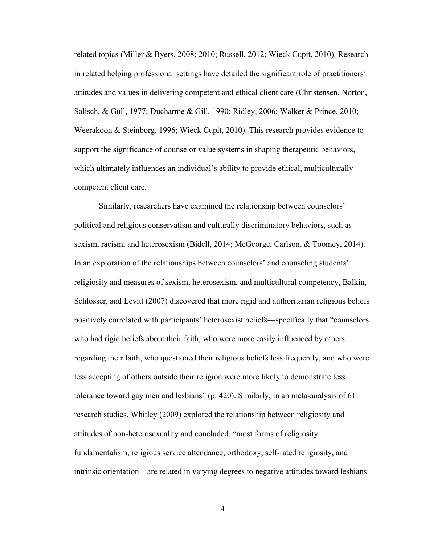related topics (Miller & Byers, 2008; 2010; Russell, 2012; Wieck Cupit, 2010). Research in related helping professional settings have detailed the significant role of practitioners' attitudes and values in delivering competent and ethical client care (Christensen, Norton, Salisch, & Gull, 1977; Ducharme & Gill, 1990; Ridley, 2006; Walker & Prince, 2010; Weerakoon & Steinborg, 1996; Wieck Cupit, 2010). This research provides evidence to support the significance of counselor value systems in shaping therapeutic behaviors, which ultimately influences an individual's ability to provide ethical, multiculturally competent client care.

Similarly, researchers have examined the relationship between counselors' political and religious conservatism and culturally discriminatory behaviors, such as sexism, racism, and heterosexism (Bidell, 2014; McGeorge, Carlson, & Toomey, 2014). In an exploration of the relationships between counselors' and counseling students' religiosity and measures of sexism, heterosexism, and multicultural competency, Balkin, Schlosser, and Levitt (2007) discovered that more rigid and authoritarian religious beliefs positively correlated with participants' heterosexist beliefs—specifically that "counselors who had rigid beliefs about their faith, who were more easily influenced by others regarding their faith, who questioned their religious beliefs less frequently, and who were less accepting of others outside their religion were more likely to demonstrate less tolerance toward gay men and lesbians" (p. 420). Similarly, in an meta-analysis of 61 research studies, Whitley (2009) explored the relationship between religiosity and attitudes of non-heterosexuality and concluded, "most forms of religiosity fundamentalism, religious service attendance, orthodoxy, self-rated religiosity, and intrinsic orientation—are related in varying degrees to negative attitudes toward lesbians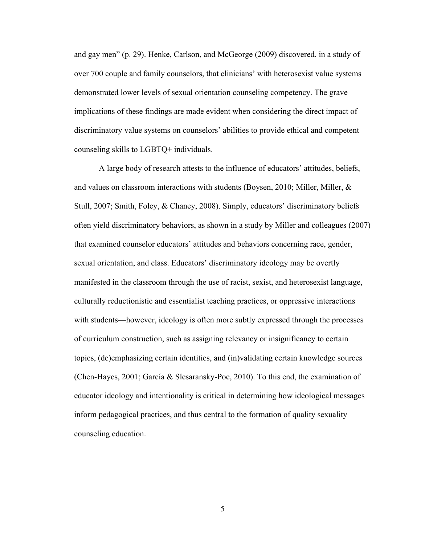and gay men" (p. 29). Henke, Carlson, and McGeorge (2009) discovered, in a study of over 700 couple and family counselors, that clinicians' with heterosexist value systems demonstrated lower levels of sexual orientation counseling competency. The grave implications of these findings are made evident when considering the direct impact of discriminatory value systems on counselors' abilities to provide ethical and competent counseling skills to LGBTQ+ individuals.

A large body of research attests to the influence of educators' attitudes, beliefs, and values on classroom interactions with students (Boysen, 2010; Miller, Miller, & Stull, 2007; Smith, Foley, & Chaney, 2008). Simply, educators' discriminatory beliefs often yield discriminatory behaviors, as shown in a study by Miller and colleagues (2007) that examined counselor educators' attitudes and behaviors concerning race, gender, sexual orientation, and class. Educators' discriminatory ideology may be overtly manifested in the classroom through the use of racist, sexist, and heterosexist language, culturally reductionistic and essentialist teaching practices, or oppressive interactions with students—however, ideology is often more subtly expressed through the processes of curriculum construction, such as assigning relevancy or insignificancy to certain topics, (de)emphasizing certain identities, and (in)validating certain knowledge sources (Chen-Hayes, 2001; García & Slesaransky-Poe, 2010). To this end, the examination of educator ideology and intentionality is critical in determining how ideological messages inform pedagogical practices, and thus central to the formation of quality sexuality counseling education.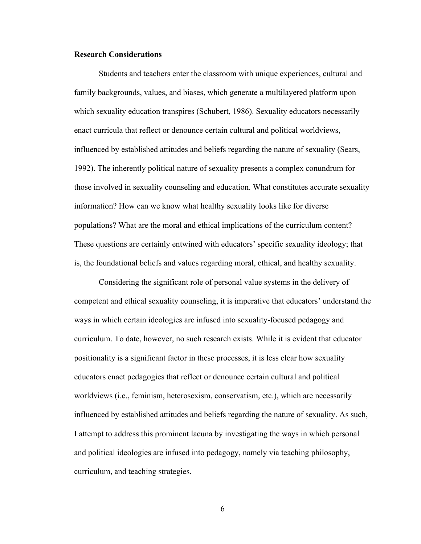### **Research Considerations**

Students and teachers enter the classroom with unique experiences, cultural and family backgrounds, values, and biases, which generate a multilayered platform upon which sexuality education transpires (Schubert, 1986). Sexuality educators necessarily enact curricula that reflect or denounce certain cultural and political worldviews, influenced by established attitudes and beliefs regarding the nature of sexuality (Sears, 1992). The inherently political nature of sexuality presents a complex conundrum for those involved in sexuality counseling and education. What constitutes accurate sexuality information? How can we know what healthy sexuality looks like for diverse populations? What are the moral and ethical implications of the curriculum content? These questions are certainly entwined with educators' specific sexuality ideology; that is, the foundational beliefs and values regarding moral, ethical, and healthy sexuality.

Considering the significant role of personal value systems in the delivery of competent and ethical sexuality counseling, it is imperative that educators' understand the ways in which certain ideologies are infused into sexuality-focused pedagogy and curriculum. To date, however, no such research exists. While it is evident that educator positionality is a significant factor in these processes, it is less clear how sexuality educators enact pedagogies that reflect or denounce certain cultural and political worldviews (i.e., feminism, heterosexism, conservatism, etc.), which are necessarily influenced by established attitudes and beliefs regarding the nature of sexuality. As such, I attempt to address this prominent lacuna by investigating the ways in which personal and political ideologies are infused into pedagogy, namely via teaching philosophy, curriculum, and teaching strategies.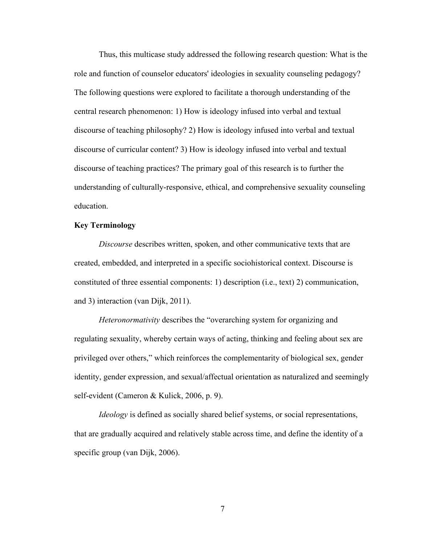Thus, this multicase study addressed the following research question: What is the role and function of counselor educators' ideologies in sexuality counseling pedagogy? The following questions were explored to facilitate a thorough understanding of the central research phenomenon: 1) How is ideology infused into verbal and textual discourse of teaching philosophy? 2) How is ideology infused into verbal and textual discourse of curricular content? 3) How is ideology infused into verbal and textual discourse of teaching practices? The primary goal of this research is to further the understanding of culturally-responsive, ethical, and comprehensive sexuality counseling education.

### **Key Terminology**

*Discourse* describes written, spoken, and other communicative texts that are created, embedded, and interpreted in a specific sociohistorical context. Discourse is constituted of three essential components: 1) description (i.e., text) 2) communication, and 3) interaction (van Dijk, 2011).

*Heteronormativity* describes the "overarching system for organizing and regulating sexuality, whereby certain ways of acting, thinking and feeling about sex are privileged over others," which reinforces the complementarity of biological sex, gender identity, gender expression, and sexual/affectual orientation as naturalized and seemingly self-evident (Cameron & Kulick, 2006, p. 9).

*Ideology* is defined as socially shared belief systems, or social representations, that are gradually acquired and relatively stable across time, and define the identity of a specific group (van Dijk, 2006).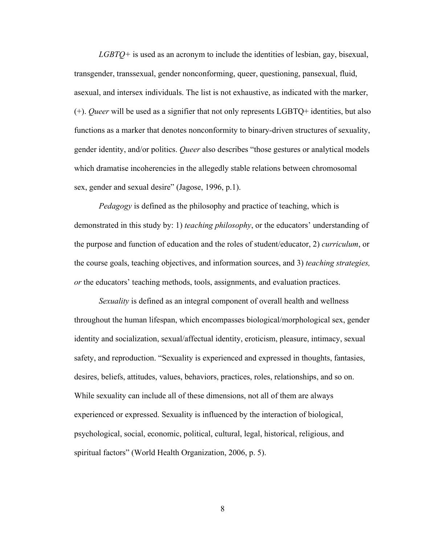*LGBTQ+* is used as an acronym to include the identities of lesbian, gay, bisexual, transgender, transsexual, gender nonconforming, queer, questioning, pansexual, fluid, asexual, and intersex individuals. The list is not exhaustive, as indicated with the marker, (+). *Queer* will be used as a signifier that not only represents LGBTQ+ identities, but also functions as a marker that denotes nonconformity to binary-driven structures of sexuality, gender identity, and/or politics. *Queer* also describes "those gestures or analytical models which dramatise incoherencies in the allegedly stable relations between chromosomal sex, gender and sexual desire" (Jagose, 1996, p.1).

*Pedagogy* is defined as the philosophy and practice of teaching, which is demonstrated in this study by: 1) *teaching philosophy*, or the educators' understanding of the purpose and function of education and the roles of student/educator, 2) *curriculum*, or the course goals, teaching objectives, and information sources, and 3) *teaching strategies, or* the educators' teaching methods, tools, assignments, and evaluation practices.

*Sexuality* is defined as an integral component of overall health and wellness throughout the human lifespan, which encompasses biological/morphological sex, gender identity and socialization, sexual/affectual identity, eroticism, pleasure, intimacy, sexual safety, and reproduction. "Sexuality is experienced and expressed in thoughts, fantasies, desires, beliefs, attitudes, values, behaviors, practices, roles, relationships, and so on. While sexuality can include all of these dimensions, not all of them are always experienced or expressed. Sexuality is influenced by the interaction of biological, psychological, social, economic, political, cultural, legal, historical, religious, and spiritual factors" (World Health Organization, 2006, p. 5).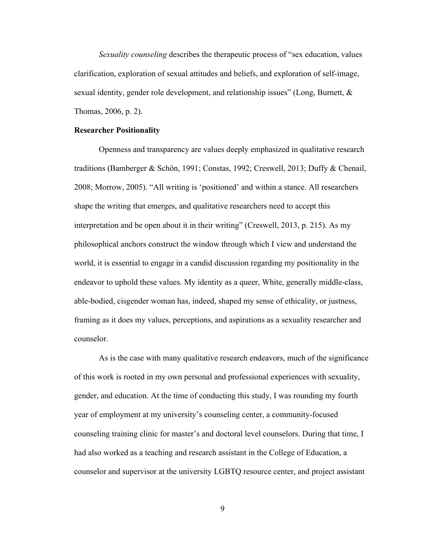*Sexuality counseling* describes the therapeutic process of "sex education, values clarification, exploration of sexual attitudes and beliefs, and exploration of self-image, sexual identity, gender role development, and relationship issues" (Long, Burnett, & Thomas, 2006, p. 2).

### **Researcher Positionality**

Openness and transparency are values deeply emphasized in qualitative research traditions (Bamberger & Schön, 1991; Constas, 1992; Creswell, 2013; Duffy & Chenail, 2008; Morrow, 2005). "All writing is 'positioned' and within a stance. All researchers shape the writing that emerges, and qualitative researchers need to accept this interpretation and be open about it in their writing" (Creswell, 2013, p. 215). As my philosophical anchors construct the window through which I view and understand the world, it is essential to engage in a candid discussion regarding my positionality in the endeavor to uphold these values. My identity as a queer, White, generally middle-class, able-bodied, cisgender woman has, indeed, shaped my sense of ethicality, or justness, framing as it does my values, perceptions, and aspirations as a sexuality researcher and counselor.

As is the case with many qualitative research endeavors, much of the significance of this work is rooted in my own personal and professional experiences with sexuality, gender, and education. At the time of conducting this study, I was rounding my fourth year of employment at my university's counseling center, a community-focused counseling training clinic for master's and doctoral level counselors. During that time, I had also worked as a teaching and research assistant in the College of Education, a counselor and supervisor at the university LGBTQ resource center, and project assistant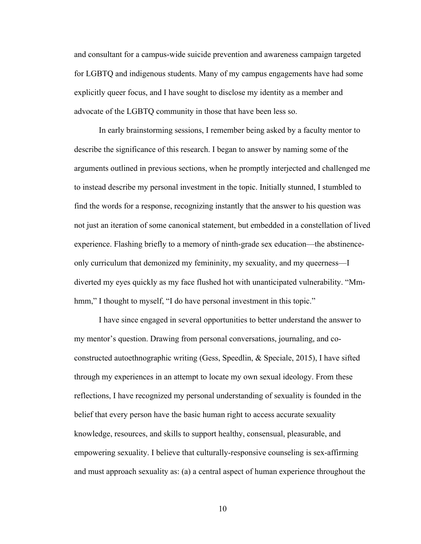and consultant for a campus-wide suicide prevention and awareness campaign targeted for LGBTQ and indigenous students. Many of my campus engagements have had some explicitly queer focus, and I have sought to disclose my identity as a member and advocate of the LGBTQ community in those that have been less so.

In early brainstorming sessions, I remember being asked by a faculty mentor to describe the significance of this research. I began to answer by naming some of the arguments outlined in previous sections, when he promptly interjected and challenged me to instead describe my personal investment in the topic. Initially stunned, I stumbled to find the words for a response, recognizing instantly that the answer to his question was not just an iteration of some canonical statement, but embedded in a constellation of lived experience. Flashing briefly to a memory of ninth-grade sex education—the abstinenceonly curriculum that demonized my femininity, my sexuality, and my queerness—I diverted my eyes quickly as my face flushed hot with unanticipated vulnerability. "Mmhmm," I thought to myself, "I do have personal investment in this topic."

I have since engaged in several opportunities to better understand the answer to my mentor's question. Drawing from personal conversations, journaling, and coconstructed autoethnographic writing (Gess, Speedlin, & Speciale, 2015), I have sifted through my experiences in an attempt to locate my own sexual ideology. From these reflections, I have recognized my personal understanding of sexuality is founded in the belief that every person have the basic human right to access accurate sexuality knowledge, resources, and skills to support healthy, consensual, pleasurable, and empowering sexuality. I believe that culturally-responsive counseling is sex-affirming and must approach sexuality as: (a) a central aspect of human experience throughout the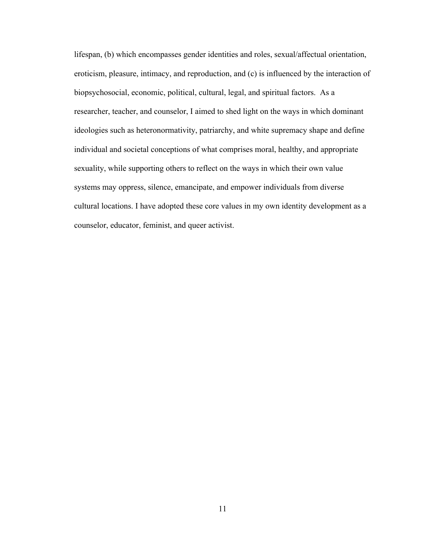lifespan, (b) which encompasses gender identities and roles, sexual/affectual orientation, eroticism, pleasure, intimacy, and reproduction, and (c) is influenced by the interaction of biopsychosocial, economic, political, cultural, legal, and spiritual factors. As a researcher, teacher, and counselor, I aimed to shed light on the ways in which dominant ideologies such as heteronormativity, patriarchy, and white supremacy shape and define individual and societal conceptions of what comprises moral, healthy, and appropriate sexuality, while supporting others to reflect on the ways in which their own value systems may oppress, silence, emancipate, and empower individuals from diverse cultural locations. I have adopted these core values in my own identity development as a counselor, educator, feminist, and queer activist.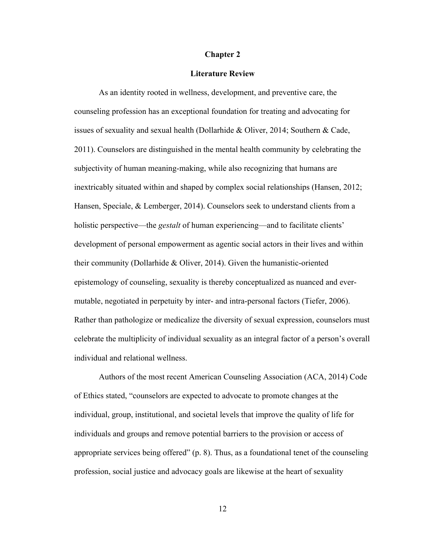#### **Chapter 2**

### **Literature Review**

As an identity rooted in wellness, development, and preventive care, the counseling profession has an exceptional foundation for treating and advocating for issues of sexuality and sexual health (Dollarhide & Oliver, 2014; Southern & Cade, 2011). Counselors are distinguished in the mental health community by celebrating the subjectivity of human meaning-making, while also recognizing that humans are inextricably situated within and shaped by complex social relationships (Hansen, 2012; Hansen, Speciale, & Lemberger, 2014). Counselors seek to understand clients from a holistic perspective—the *gestalt* of human experiencing—and to facilitate clients' development of personal empowerment as agentic social actors in their lives and within their community (Dollarhide & Oliver, 2014). Given the humanistic-oriented epistemology of counseling, sexuality is thereby conceptualized as nuanced and evermutable, negotiated in perpetuity by inter- and intra-personal factors (Tiefer, 2006). Rather than pathologize or medicalize the diversity of sexual expression, counselors must celebrate the multiplicity of individual sexuality as an integral factor of a person's overall individual and relational wellness.

Authors of the most recent American Counseling Association (ACA, 2014) Code of Ethics stated, "counselors are expected to advocate to promote changes at the individual, group, institutional, and societal levels that improve the quality of life for individuals and groups and remove potential barriers to the provision or access of appropriate services being offered" (p. 8). Thus, as a foundational tenet of the counseling profession, social justice and advocacy goals are likewise at the heart of sexuality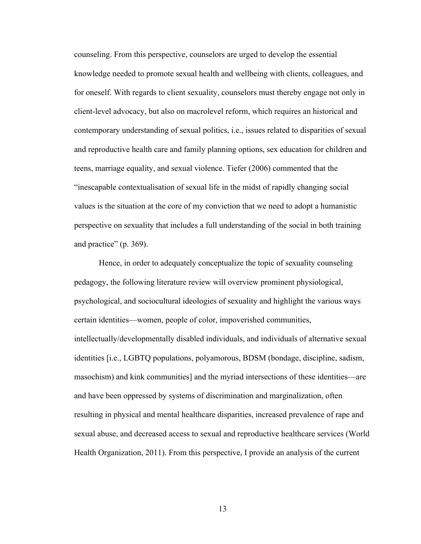counseling. From this perspective, counselors are urged to develop the essential knowledge needed to promote sexual health and wellbeing with clients, colleagues, and for oneself. With regards to client sexuality, counselors must thereby engage not only in client-level advocacy, but also on macrolevel reform, which requires an historical and contemporary understanding of sexual politics, i.e., issues related to disparities of sexual and reproductive health care and family planning options, sex education for children and teens, marriage equality, and sexual violence. Tiefer (2006) commented that the "inescapable contextualisation of sexual life in the midst of rapidly changing social values is the situation at the core of my conviction that we need to adopt a humanistic perspective on sexuality that includes a full understanding of the social in both training and practice" (p. 369).

Hence, in order to adequately conceptualize the topic of sexuality counseling pedagogy, the following literature review will overview prominent physiological, psychological, and sociocultural ideologies of sexuality and highlight the various ways certain identities—women, people of color, impoverished communities, intellectually/developmentally disabled individuals, and individuals of alternative sexual identities [i.e., LGBTQ populations, polyamorous, BDSM (bondage, discipline, sadism, masochism) and kink communities] and the myriad intersections of these identities—are and have been oppressed by systems of discrimination and marginalization, often resulting in physical and mental healthcare disparities, increased prevalence of rape and sexual abuse, and decreased access to sexual and reproductive healthcare services (World Health Organization, 2011). From this perspective, I provide an analysis of the current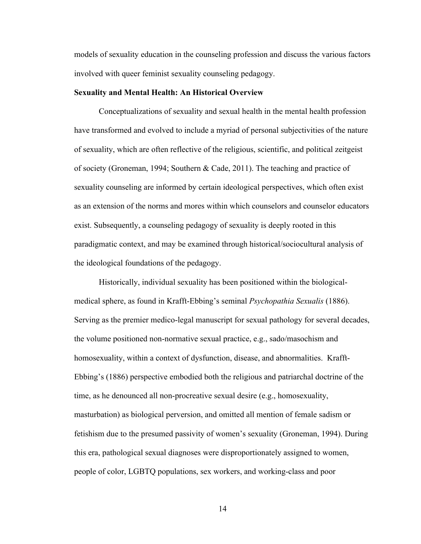models of sexuality education in the counseling profession and discuss the various factors involved with queer feminist sexuality counseling pedagogy.

### **Sexuality and Mental Health: An Historical Overview**

Conceptualizations of sexuality and sexual health in the mental health profession have transformed and evolved to include a myriad of personal subjectivities of the nature of sexuality, which are often reflective of the religious, scientific, and political zeitgeist of society (Groneman, 1994; Southern & Cade, 2011). The teaching and practice of sexuality counseling are informed by certain ideological perspectives, which often exist as an extension of the norms and mores within which counselors and counselor educators exist. Subsequently, a counseling pedagogy of sexuality is deeply rooted in this paradigmatic context, and may be examined through historical/sociocultural analysis of the ideological foundations of the pedagogy.

Historically, individual sexuality has been positioned within the biologicalmedical sphere, as found in Krafft-Ebbing's seminal *Psychopathia Sexualis* (1886). Serving as the premier medico-legal manuscript for sexual pathology for several decades, the volume positioned non-normative sexual practice, e.g., sado/masochism and homosexuality, within a context of dysfunction, disease, and abnormalities. Krafft-Ebbing's (1886) perspective embodied both the religious and patriarchal doctrine of the time, as he denounced all non-procreative sexual desire (e.g., homosexuality, masturbation) as biological perversion, and omitted all mention of female sadism or fetishism due to the presumed passivity of women's sexuality (Groneman, 1994). During this era, pathological sexual diagnoses were disproportionately assigned to women, people of color, LGBTQ populations, sex workers, and working-class and poor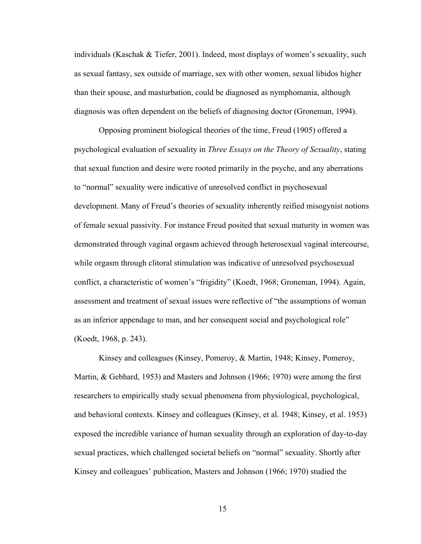individuals (Kaschak & Tiefer, 2001). Indeed, most displays of women's sexuality, such as sexual fantasy, sex outside of marriage, sex with other women, sexual libidos higher than their spouse, and masturbation, could be diagnosed as nymphomania, although diagnosis was often dependent on the beliefs of diagnosing doctor (Groneman, 1994).

Opposing prominent biological theories of the time, Freud (1905) offered a psychological evaluation of sexuality in *Three Essays on the Theory of Sexuality*, stating that sexual function and desire were rooted primarily in the psyche, and any aberrations to "normal" sexuality were indicative of unresolved conflict in psychosexual development. Many of Freud's theories of sexuality inherently reified misogynist notions of female sexual passivity. For instance Freud posited that sexual maturity in women was demonstrated through vaginal orgasm achieved through heterosexual vaginal intercourse, while orgasm through clitoral stimulation was indicative of unresolved psychosexual conflict, a characteristic of women's "frigidity" (Koedt, 1968; Groneman, 1994). Again, assessment and treatment of sexual issues were reflective of "the assumptions of woman as an inferior appendage to man, and her consequent social and psychological role" (Koedt, 1968, p. 243).

Kinsey and colleagues (Kinsey, Pomeroy, & Martin, 1948; Kinsey, Pomeroy, Martin, & Gebhard, 1953) and Masters and Johnson (1966; 1970) were among the first researchers to empirically study sexual phenomena from physiological, psychological, and behavioral contexts. Kinsey and colleagues (Kinsey, et al. 1948; Kinsey, et al. 1953) exposed the incredible variance of human sexuality through an exploration of day-to-day sexual practices, which challenged societal beliefs on "normal" sexuality. Shortly after Kinsey and colleagues' publication, Masters and Johnson (1966; 1970) studied the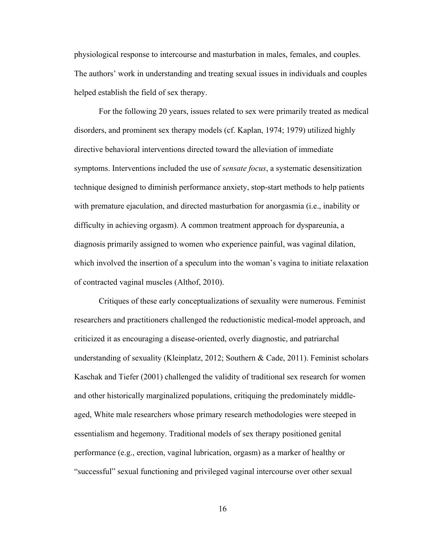physiological response to intercourse and masturbation in males, females, and couples. The authors' work in understanding and treating sexual issues in individuals and couples helped establish the field of sex therapy.

For the following 20 years, issues related to sex were primarily treated as medical disorders, and prominent sex therapy models (cf. Kaplan, 1974; 1979) utilized highly directive behavioral interventions directed toward the alleviation of immediate symptoms. Interventions included the use of *sensate focus*, a systematic desensitization technique designed to diminish performance anxiety, stop-start methods to help patients with premature ejaculation, and directed masturbation for anorgasmia (i.e., inability or difficulty in achieving orgasm). A common treatment approach for dyspareunia, a diagnosis primarily assigned to women who experience painful, was vaginal dilation, which involved the insertion of a speculum into the woman's vagina to initiate relaxation of contracted vaginal muscles (Althof, 2010).

Critiques of these early conceptualizations of sexuality were numerous. Feminist researchers and practitioners challenged the reductionistic medical-model approach, and criticized it as encouraging a disease-oriented, overly diagnostic, and patriarchal understanding of sexuality (Kleinplatz, 2012; Southern & Cade, 2011). Feminist scholars Kaschak and Tiefer (2001) challenged the validity of traditional sex research for women and other historically marginalized populations, critiquing the predominately middleaged, White male researchers whose primary research methodologies were steeped in essentialism and hegemony. Traditional models of sex therapy positioned genital performance (e.g., erection, vaginal lubrication, orgasm) as a marker of healthy or "successful" sexual functioning and privileged vaginal intercourse over other sexual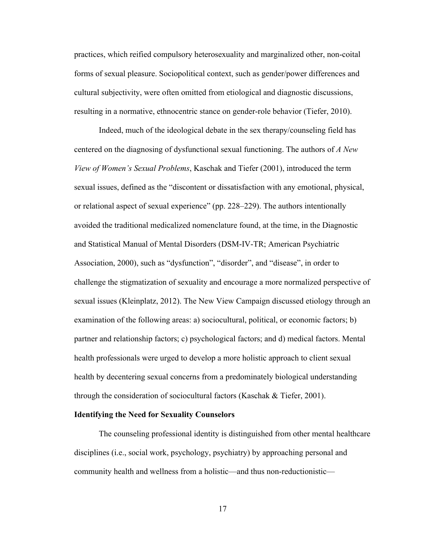practices, which reified compulsory heterosexuality and marginalized other, non-coital forms of sexual pleasure. Sociopolitical context, such as gender/power differences and cultural subjectivity, were often omitted from etiological and diagnostic discussions, resulting in a normative, ethnocentric stance on gender-role behavior (Tiefer, 2010).

Indeed, much of the ideological debate in the sex therapy/counseling field has centered on the diagnosing of dysfunctional sexual functioning. The authors of *A New View of Women's Sexual Problems*, Kaschak and Tiefer (2001), introduced the term sexual issues, defined as the "discontent or dissatisfaction with any emotional, physical, or relational aspect of sexual experience" (pp. 228–229). The authors intentionally avoided the traditional medicalized nomenclature found, at the time, in the Diagnostic and Statistical Manual of Mental Disorders (DSM-IV-TR; American Psychiatric Association, 2000), such as "dysfunction", "disorder", and "disease", in order to challenge the stigmatization of sexuality and encourage a more normalized perspective of sexual issues (Kleinplatz, 2012). The New View Campaign discussed etiology through an examination of the following areas: a) sociocultural, political, or economic factors; b) partner and relationship factors; c) psychological factors; and d) medical factors. Mental health professionals were urged to develop a more holistic approach to client sexual health by decentering sexual concerns from a predominately biological understanding through the consideration of sociocultural factors (Kaschak & Tiefer, 2001).

### **Identifying the Need for Sexuality Counselors**

The counseling professional identity is distinguished from other mental healthcare disciplines (i.e., social work, psychology, psychiatry) by approaching personal and community health and wellness from a holistic—and thus non-reductionistic—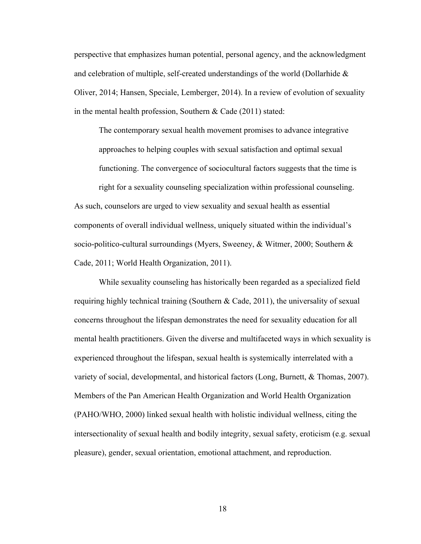perspective that emphasizes human potential, personal agency, and the acknowledgment and celebration of multiple, self-created understandings of the world (Dollarhide  $\&$ Oliver, 2014; Hansen, Speciale, Lemberger, 2014). In a review of evolution of sexuality in the mental health profession, Southern & Cade (2011) stated:

The contemporary sexual health movement promises to advance integrative approaches to helping couples with sexual satisfaction and optimal sexual functioning. The convergence of sociocultural factors suggests that the time is right for a sexuality counseling specialization within professional counseling.

As such, counselors are urged to view sexuality and sexual health as essential components of overall individual wellness, uniquely situated within the individual's socio-politico-cultural surroundings (Myers, Sweeney, & Witmer, 2000; Southern & Cade, 2011; World Health Organization, 2011).

While sexuality counseling has historically been regarded as a specialized field requiring highly technical training (Southern  $\&$  Cade, 2011), the universality of sexual concerns throughout the lifespan demonstrates the need for sexuality education for all mental health practitioners. Given the diverse and multifaceted ways in which sexuality is experienced throughout the lifespan, sexual health is systemically interrelated with a variety of social, developmental, and historical factors (Long, Burnett, & Thomas, 2007). Members of the Pan American Health Organization and World Health Organization (PAHO/WHO, 2000) linked sexual health with holistic individual wellness, citing the intersectionality of sexual health and bodily integrity, sexual safety, eroticism (e.g. sexual pleasure), gender, sexual orientation, emotional attachment, and reproduction.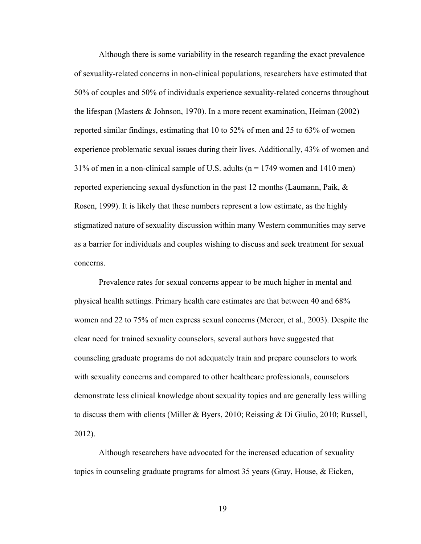Although there is some variability in the research regarding the exact prevalence of sexuality-related concerns in non-clinical populations, researchers have estimated that 50% of couples and 50% of individuals experience sexuality-related concerns throughout the lifespan (Masters & Johnson, 1970). In a more recent examination, Heiman (2002) reported similar findings, estimating that 10 to 52% of men and 25 to 63% of women experience problematic sexual issues during their lives. Additionally, 43% of women and  $31\%$  of men in a non-clinical sample of U.S. adults (n = 1749 women and 1410 men) reported experiencing sexual dysfunction in the past 12 months (Laumann, Paik, & Rosen, 1999). It is likely that these numbers represent a low estimate, as the highly stigmatized nature of sexuality discussion within many Western communities may serve as a barrier for individuals and couples wishing to discuss and seek treatment for sexual concerns.

Prevalence rates for sexual concerns appear to be much higher in mental and physical health settings. Primary health care estimates are that between 40 and 68% women and 22 to 75% of men express sexual concerns (Mercer, et al., 2003). Despite the clear need for trained sexuality counselors, several authors have suggested that counseling graduate programs do not adequately train and prepare counselors to work with sexuality concerns and compared to other healthcare professionals, counselors demonstrate less clinical knowledge about sexuality topics and are generally less willing to discuss them with clients (Miller & Byers, 2010; Reissing & Di Giulio, 2010; Russell, 2012).

Although researchers have advocated for the increased education of sexuality topics in counseling graduate programs for almost 35 years (Gray, House, & Eicken,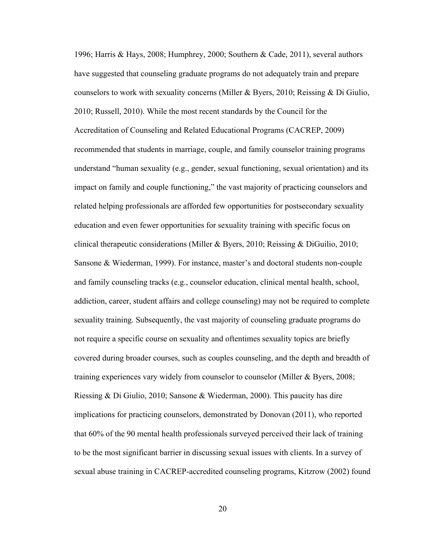1996; Harris & Hays, 2008; Humphrey, 2000; Southern & Cade, 2011), several authors have suggested that counseling graduate programs do not adequately train and prepare counselors to work with sexuality concerns (Miller & Byers, 2010; Reissing & Di Giulio, 2010; Russell, 2010). While the most recent standards by the Council for the Accreditation of Counseling and Related Educational Programs (CACREP, 2009) recommended that students in marriage, couple, and family counselor training programs understand "human sexuality (e.g., gender, sexual functioning, sexual orientation) and its impact on family and couple functioning," the vast majority of practicing counselors and related helping professionals are afforded few opportunities for postsecondary sexuality education and even fewer opportunities for sexuality training with specific focus on clinical therapeutic considerations (Miller & Byers, 2010; Reissing & DiGuilio, 2010; Sansone & Wiederman, 1999). For instance, master's and doctoral students non-couple and family counseling tracks (e.g., counselor education, clinical mental health, school, addiction, career, student affairs and college counseling) may not be required to complete sexuality training. Subsequently, the vast majority of counseling graduate programs do not require a specific course on sexuality and oftentimes sexuality topics are briefly covered during broader courses, such as couples counseling, and the depth and breadth of training experiences vary widely from counselor to counselor (Miller & Byers, 2008; Riessing & Di Giulio, 2010; Sansone & Wiederman, 2000). This paucity has dire implications for practicing counselors, demonstrated by Donovan (2011), who reported that 60% of the 90 mental health professionals surveyed perceived their lack of training to be the most significant barrier in discussing sexual issues with clients. In a survey of sexual abuse training in CACREP-accredited counseling programs, Kitzrow (2002) found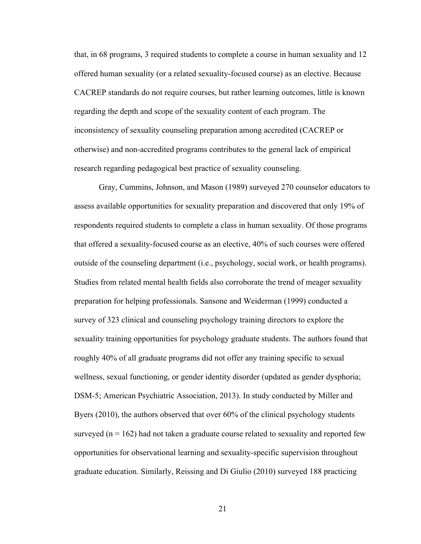that, in 68 programs, 3 required students to complete a course in human sexuality and 12 offered human sexuality (or a related sexuality-focused course) as an elective. Because CACREP standards do not require courses, but rather learning outcomes, little is known regarding the depth and scope of the sexuality content of each program. The inconsistency of sexuality counseling preparation among accredited (CACREP or otherwise) and non-accredited programs contributes to the general lack of empirical research regarding pedagogical best practice of sexuality counseling.

Gray, Cummins, Johnson, and Mason (1989) surveyed 270 counselor educators to assess available opportunities for sexuality preparation and discovered that only 19% of respondents required students to complete a class in human sexuality. Of those programs that offered a sexuality-focused course as an elective, 40% of such courses were offered outside of the counseling department (i.e., psychology, social work, or health programs). Studies from related mental health fields also corroborate the trend of meager sexuality preparation for helping professionals. Sansone and Weiderman (1999) conducted a survey of 323 clinical and counseling psychology training directors to explore the sexuality training opportunities for psychology graduate students. The authors found that roughly 40% of all graduate programs did not offer any training specific to sexual wellness, sexual functioning, or gender identity disorder (updated as gender dysphoria; DSM-5; American Psychiatric Association, 2013). In study conducted by Miller and Byers (2010), the authors observed that over 60% of the clinical psychology students surveyed ( $n = 162$ ) had not taken a graduate course related to sexuality and reported few opportunities for observational learning and sexuality-specific supervision throughout graduate education. Similarly, Reissing and Di Giulio (2010) surveyed 188 practicing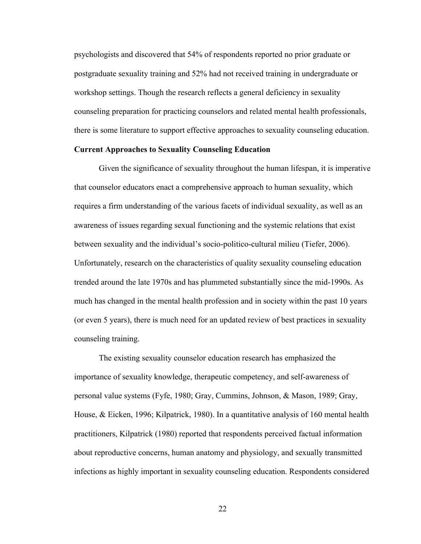psychologists and discovered that 54% of respondents reported no prior graduate or postgraduate sexuality training and 52% had not received training in undergraduate or workshop settings. Though the research reflects a general deficiency in sexuality counseling preparation for practicing counselors and related mental health professionals, there is some literature to support effective approaches to sexuality counseling education.

### **Current Approaches to Sexuality Counseling Education**

Given the significance of sexuality throughout the human lifespan, it is imperative that counselor educators enact a comprehensive approach to human sexuality, which requires a firm understanding of the various facets of individual sexuality, as well as an awareness of issues regarding sexual functioning and the systemic relations that exist between sexuality and the individual's socio-politico-cultural milieu (Tiefer, 2006). Unfortunately, research on the characteristics of quality sexuality counseling education trended around the late 1970s and has plummeted substantially since the mid-1990s. As much has changed in the mental health profession and in society within the past 10 years (or even 5 years), there is much need for an updated review of best practices in sexuality counseling training.

The existing sexuality counselor education research has emphasized the importance of sexuality knowledge, therapeutic competency, and self-awareness of personal value systems (Fyfe, 1980; Gray, Cummins, Johnson, & Mason, 1989; Gray, House, & Eicken, 1996; Kilpatrick, 1980). In a quantitative analysis of 160 mental health practitioners, Kilpatrick (1980) reported that respondents perceived factual information about reproductive concerns, human anatomy and physiology, and sexually transmitted infections as highly important in sexuality counseling education. Respondents considered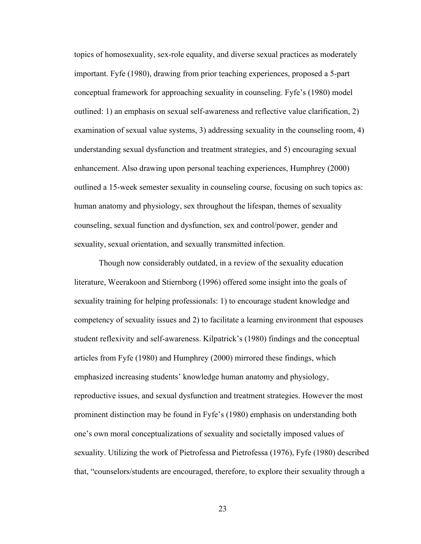topics of homosexuality, sex-role equality, and diverse sexual practices as moderately important. Fyfe (1980), drawing from prior teaching experiences, proposed a 5-part conceptual framework for approaching sexuality in counseling. Fyfe's (1980) model outlined: 1) an emphasis on sexual self-awareness and reflective value clarification, 2) examination of sexual value systems, 3) addressing sexuality in the counseling room, 4) understanding sexual dysfunction and treatment strategies, and 5) encouraging sexual enhancement. Also drawing upon personal teaching experiences, Humphrey (2000) outlined a 15-week semester sexuality in counseling course, focusing on such topics as: human anatomy and physiology, sex throughout the lifespan, themes of sexuality counseling, sexual function and dysfunction, sex and control/power, gender and sexuality, sexual orientation, and sexually transmitted infection.

Though now considerably outdated, in a review of the sexuality education literature, Weerakoon and Stiernborg (1996) offered some insight into the goals of sexuality training for helping professionals: 1) to encourage student knowledge and competency of sexuality issues and 2) to facilitate a learning environment that espouses student reflexivity and self-awareness. Kilpatrick's (1980) findings and the conceptual articles from Fyfe (1980) and Humphrey (2000) mirrored these findings, which emphasized increasing students' knowledge human anatomy and physiology, reproductive issues, and sexual dysfunction and treatment strategies. However the most prominent distinction may be found in Fyfe's (1980) emphasis on understanding both one's own moral conceptualizations of sexuality and societally imposed values of sexuality. Utilizing the work of Pietrofessa and Pietrofessa (1976), Fyfe (1980) described that, "counselors/students are encouraged, therefore, to explore their sexuality through a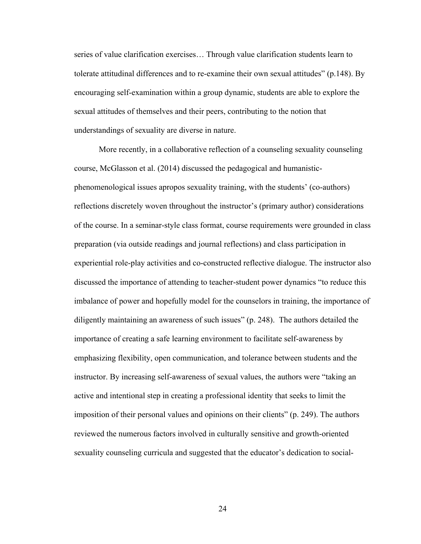series of value clarification exercises… Through value clarification students learn to tolerate attitudinal differences and to re-examine their own sexual attitudes" (p.148). By encouraging self-examination within a group dynamic, students are able to explore the sexual attitudes of themselves and their peers, contributing to the notion that understandings of sexuality are diverse in nature.

More recently, in a collaborative reflection of a counseling sexuality counseling course, McGlasson et al. (2014) discussed the pedagogical and humanisticphenomenological issues apropos sexuality training, with the students' (co-authors) reflections discretely woven throughout the instructor's (primary author) considerations of the course. In a seminar-style class format, course requirements were grounded in class preparation (via outside readings and journal reflections) and class participation in experiential role-play activities and co-constructed reflective dialogue. The instructor also discussed the importance of attending to teacher-student power dynamics "to reduce this imbalance of power and hopefully model for the counselors in training, the importance of diligently maintaining an awareness of such issues" (p. 248). The authors detailed the importance of creating a safe learning environment to facilitate self-awareness by emphasizing flexibility, open communication, and tolerance between students and the instructor. By increasing self-awareness of sexual values, the authors were "taking an active and intentional step in creating a professional identity that seeks to limit the imposition of their personal values and opinions on their clients" (p. 249). The authors reviewed the numerous factors involved in culturally sensitive and growth-oriented sexuality counseling curricula and suggested that the educator's dedication to social-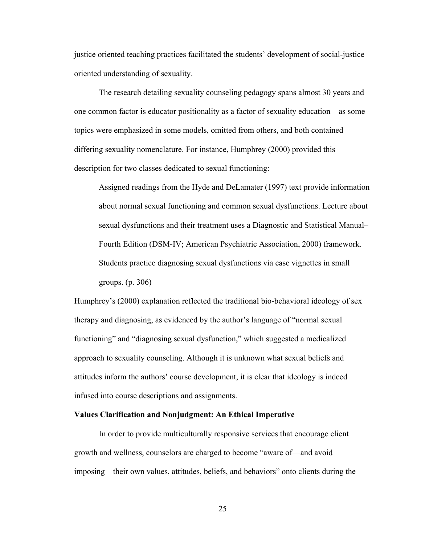justice oriented teaching practices facilitated the students' development of social-justice oriented understanding of sexuality.

The research detailing sexuality counseling pedagogy spans almost 30 years and one common factor is educator positionality as a factor of sexuality education—as some topics were emphasized in some models, omitted from others, and both contained differing sexuality nomenclature. For instance, Humphrey (2000) provided this description for two classes dedicated to sexual functioning:

Assigned readings from the Hyde and DeLamater (1997) text provide information about normal sexual functioning and common sexual dysfunctions. Lecture about sexual dysfunctions and their treatment uses a Diagnostic and Statistical Manual– Fourth Edition (DSM-IV; American Psychiatric Association, 2000) framework. Students practice diagnosing sexual dysfunctions via case vignettes in small groups. (p. 306)

Humphrey's (2000) explanation reflected the traditional bio-behavioral ideology of sex therapy and diagnosing, as evidenced by the author's language of "normal sexual functioning" and "diagnosing sexual dysfunction," which suggested a medicalized approach to sexuality counseling. Although it is unknown what sexual beliefs and attitudes inform the authors' course development, it is clear that ideology is indeed infused into course descriptions and assignments.

#### **Values Clarification and Nonjudgment: An Ethical Imperative**

In order to provide multiculturally responsive services that encourage client growth and wellness, counselors are charged to become "aware of—and avoid imposing—their own values, attitudes, beliefs, and behaviors" onto clients during the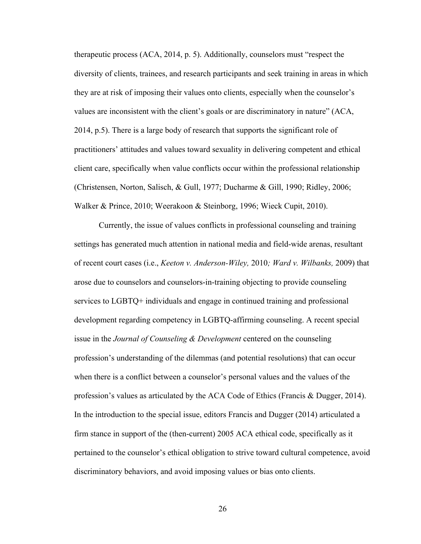therapeutic process (ACA, 2014, p. 5). Additionally, counselors must "respect the diversity of clients, trainees, and research participants and seek training in areas in which they are at risk of imposing their values onto clients, especially when the counselor's values are inconsistent with the client's goals or are discriminatory in nature" (ACA, 2014, p.5). There is a large body of research that supports the significant role of practitioners' attitudes and values toward sexuality in delivering competent and ethical client care, specifically when value conflicts occur within the professional relationship (Christensen, Norton, Salisch, & Gull, 1977; Ducharme & Gill, 1990; Ridley, 2006; Walker & Prince, 2010; Weerakoon & Steinborg, 1996; Wieck Cupit, 2010).

Currently, the issue of values conflicts in professional counseling and training settings has generated much attention in national media and field-wide arenas, resultant of recent court cases (i.e., *Keeton v. Anderson-Wiley,* 2010*; Ward v. Wilbanks,* 2009) that arose due to counselors and counselors-in-training objecting to provide counseling services to LGBTQ+ individuals and engage in continued training and professional development regarding competency in LGBTQ-affirming counseling. A recent special issue in the *Journal of Counseling & Development* centered on the counseling profession's understanding of the dilemmas (and potential resolutions) that can occur when there is a conflict between a counselor's personal values and the values of the profession's values as articulated by the ACA Code of Ethics (Francis & Dugger, 2014). In the introduction to the special issue, editors Francis and Dugger (2014) articulated a firm stance in support of the (then-current) 2005 ACA ethical code, specifically as it pertained to the counselor's ethical obligation to strive toward cultural competence, avoid discriminatory behaviors, and avoid imposing values or bias onto clients.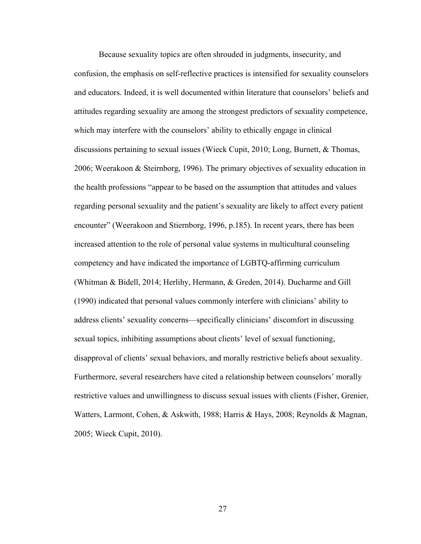Because sexuality topics are often shrouded in judgments, insecurity, and confusion, the emphasis on self-reflective practices is intensified for sexuality counselors and educators. Indeed, it is well documented within literature that counselors' beliefs and attitudes regarding sexuality are among the strongest predictors of sexuality competence, which may interfere with the counselors' ability to ethically engage in clinical discussions pertaining to sexual issues (Wieck Cupit, 2010; Long, Burnett, & Thomas, 2006; Weerakoon & Steirnborg, 1996). The primary objectives of sexuality education in the health professions "appear to be based on the assumption that attitudes and values regarding personal sexuality and the patient's sexuality are likely to affect every patient encounter" (Weerakoon and Stiernborg, 1996, p.185). In recent years, there has been increased attention to the role of personal value systems in multicultural counseling competency and have indicated the importance of LGBTQ-affirming curriculum (Whitman & Bidell, 2014; Herlihy, Hermann, & Greden, 2014). Ducharme and Gill (1990) indicated that personal values commonly interfere with clinicians' ability to address clients' sexuality concerns—specifically clinicians' discomfort in discussing sexual topics, inhibiting assumptions about clients' level of sexual functioning, disapproval of clients' sexual behaviors, and morally restrictive beliefs about sexuality. Furthermore, several researchers have cited a relationship between counselors' morally restrictive values and unwillingness to discuss sexual issues with clients (Fisher, Grenier, Watters, Larmont, Cohen, & Askwith, 1988; Harris & Hays, 2008; Reynolds & Magnan, 2005; Wieck Cupit, 2010).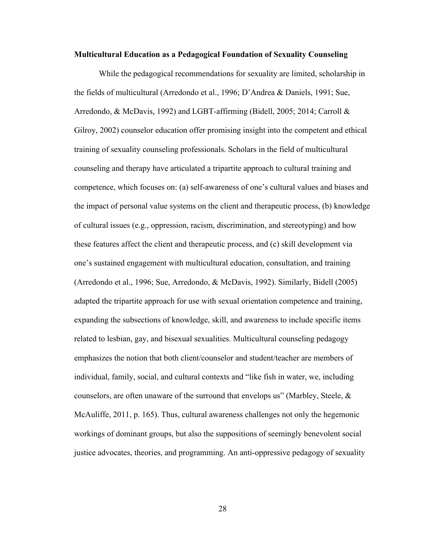#### **Multicultural Education as a Pedagogical Foundation of Sexuality Counseling**

While the pedagogical recommendations for sexuality are limited, scholarship in the fields of multicultural (Arredondo et al., 1996; D'Andrea & Daniels, 1991; Sue, Arredondo, & McDavis, 1992) and LGBT-affirming (Bidell, 2005; 2014; Carroll & Gilroy, 2002) counselor education offer promising insight into the competent and ethical training of sexuality counseling professionals. Scholars in the field of multicultural counseling and therapy have articulated a tripartite approach to cultural training and competence, which focuses on: (a) self-awareness of one's cultural values and biases and the impact of personal value systems on the client and therapeutic process, (b) knowledge of cultural issues (e.g., oppression, racism, discrimination, and stereotyping) and how these features affect the client and therapeutic process, and (c) skill development via one's sustained engagement with multicultural education, consultation, and training (Arredondo et al., 1996; Sue, Arredondo, & McDavis, 1992). Similarly, Bidell (2005) adapted the tripartite approach for use with sexual orientation competence and training, expanding the subsections of knowledge, skill, and awareness to include specific items related to lesbian, gay, and bisexual sexualities. Multicultural counseling pedagogy emphasizes the notion that both client/counselor and student/teacher are members of individual, family, social, and cultural contexts and "like fish in water, we, including counselors, are often unaware of the surround that envelops us" (Marbley, Steele,  $\&$ McAuliffe, 2011, p. 165). Thus, cultural awareness challenges not only the hegemonic workings of dominant groups, but also the suppositions of seemingly benevolent social justice advocates, theories, and programming. An anti-oppressive pedagogy of sexuality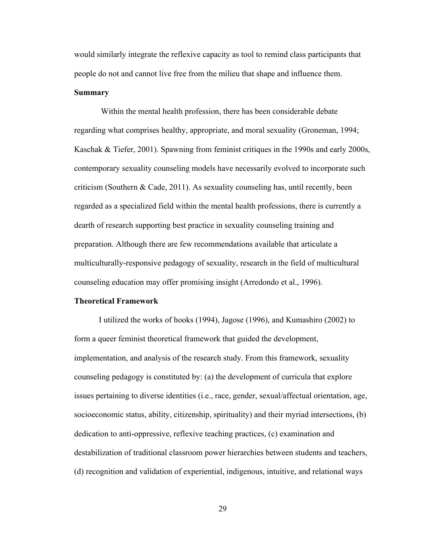would similarly integrate the reflexive capacity as tool to remind class participants that people do not and cannot live free from the milieu that shape and influence them. **Summary**

Within the mental health profession, there has been considerable debate regarding what comprises healthy, appropriate, and moral sexuality (Groneman, 1994; Kaschak & Tiefer, 2001). Spawning from feminist critiques in the 1990s and early 2000s, contemporary sexuality counseling models have necessarily evolved to incorporate such criticism (Southern  $\& Cade, 2011$ ). As sexuality counseling has, until recently, been regarded as a specialized field within the mental health professions, there is currently a dearth of research supporting best practice in sexuality counseling training and preparation. Although there are few recommendations available that articulate a multiculturally-responsive pedagogy of sexuality, research in the field of multicultural counseling education may offer promising insight (Arredondo et al., 1996).

### **Theoretical Framework**

I utilized the works of hooks (1994), Jagose (1996), and Kumashiro (2002) to form a queer feminist theoretical framework that guided the development, implementation, and analysis of the research study. From this framework, sexuality counseling pedagogy is constituted by: (a) the development of curricula that explore issues pertaining to diverse identities (i.e., race, gender, sexual/affectual orientation, age, socioeconomic status, ability, citizenship, spirituality) and their myriad intersections, (b) dedication to anti-oppressive, reflexive teaching practices, (c) examination and destabilization of traditional classroom power hierarchies between students and teachers, (d) recognition and validation of experiential, indigenous, intuitive, and relational ways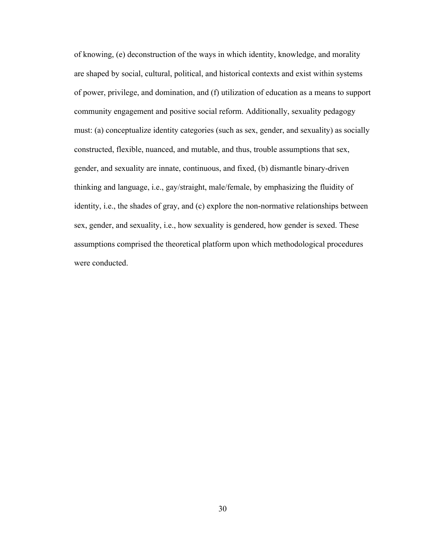of knowing, (e) deconstruction of the ways in which identity, knowledge, and morality are shaped by social, cultural, political, and historical contexts and exist within systems of power, privilege, and domination, and (f) utilization of education as a means to support community engagement and positive social reform. Additionally, sexuality pedagogy must: (a) conceptualize identity categories (such as sex, gender, and sexuality) as socially constructed, flexible, nuanced, and mutable, and thus, trouble assumptions that sex, gender, and sexuality are innate, continuous, and fixed, (b) dismantle binary-driven thinking and language, i.e., gay/straight, male/female, by emphasizing the fluidity of identity, i.e., the shades of gray, and (c) explore the non-normative relationships between sex, gender, and sexuality, i.e., how sexuality is gendered, how gender is sexed. These assumptions comprised the theoretical platform upon which methodological procedures were conducted.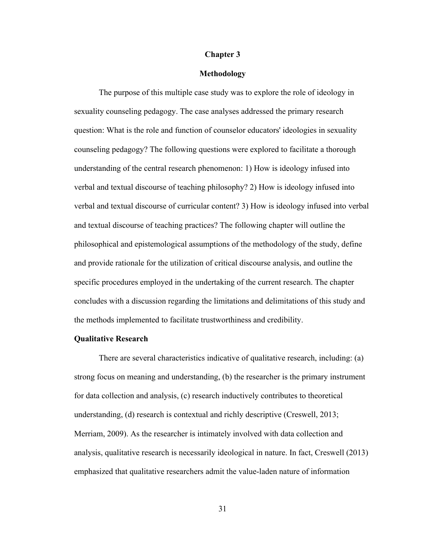### **Chapter 3**

## **Methodology**

The purpose of this multiple case study was to explore the role of ideology in sexuality counseling pedagogy. The case analyses addressed the primary research question: What is the role and function of counselor educators' ideologies in sexuality counseling pedagogy? The following questions were explored to facilitate a thorough understanding of the central research phenomenon: 1) How is ideology infused into verbal and textual discourse of teaching philosophy? 2) How is ideology infused into verbal and textual discourse of curricular content? 3) How is ideology infused into verbal and textual discourse of teaching practices? The following chapter will outline the philosophical and epistemological assumptions of the methodology of the study, define and provide rationale for the utilization of critical discourse analysis, and outline the specific procedures employed in the undertaking of the current research. The chapter concludes with a discussion regarding the limitations and delimitations of this study and the methods implemented to facilitate trustworthiness and credibility.

## **Qualitative Research**

There are several characteristics indicative of qualitative research, including: (a) strong focus on meaning and understanding, (b) the researcher is the primary instrument for data collection and analysis, (c) research inductively contributes to theoretical understanding, (d) research is contextual and richly descriptive (Creswell, 2013; Merriam, 2009). As the researcher is intimately involved with data collection and analysis, qualitative research is necessarily ideological in nature. In fact, Creswell (2013) emphasized that qualitative researchers admit the value-laden nature of information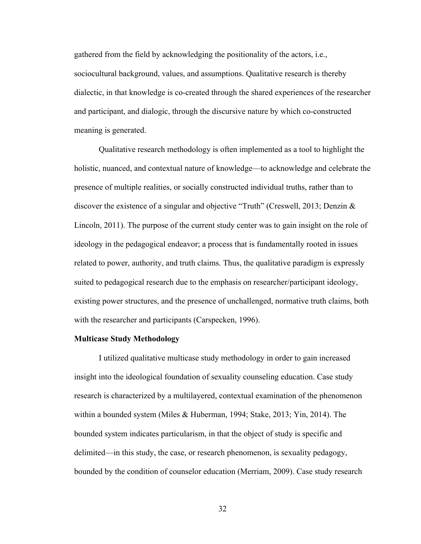gathered from the field by acknowledging the positionality of the actors, i.e., sociocultural background, values, and assumptions. Qualitative research is thereby dialectic, in that knowledge is co-created through the shared experiences of the researcher and participant, and dialogic, through the discursive nature by which co-constructed meaning is generated.

Qualitative research methodology is often implemented as a tool to highlight the holistic, nuanced, and contextual nature of knowledge—to acknowledge and celebrate the presence of multiple realities, or socially constructed individual truths, rather than to discover the existence of a singular and objective "Truth" (Creswell, 2013; Denzin & Lincoln, 2011). The purpose of the current study center was to gain insight on the role of ideology in the pedagogical endeavor; a process that is fundamentally rooted in issues related to power, authority, and truth claims. Thus, the qualitative paradigm is expressly suited to pedagogical research due to the emphasis on researcher/participant ideology, existing power structures, and the presence of unchallenged, normative truth claims, both with the researcher and participants (Carspecken, 1996).

#### **Multicase Study Methodology**

I utilized qualitative multicase study methodology in order to gain increased insight into the ideological foundation of sexuality counseling education. Case study research is characterized by a multilayered, contextual examination of the phenomenon within a bounded system (Miles & Huberman, 1994; Stake, 2013; Yin, 2014). The bounded system indicates particularism, in that the object of study is specific and delimited—in this study, the case, or research phenomenon, is sexuality pedagogy, bounded by the condition of counselor education (Merriam, 2009). Case study research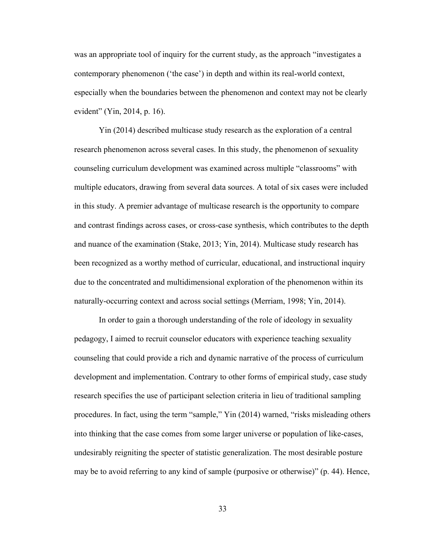was an appropriate tool of inquiry for the current study, as the approach "investigates a contemporary phenomenon ('the case') in depth and within its real-world context, especially when the boundaries between the phenomenon and context may not be clearly evident" (Yin, 2014, p. 16).

Yin (2014) described multicase study research as the exploration of a central research phenomenon across several cases. In this study, the phenomenon of sexuality counseling curriculum development was examined across multiple "classrooms" with multiple educators, drawing from several data sources. A total of six cases were included in this study. A premier advantage of multicase research is the opportunity to compare and contrast findings across cases, or cross-case synthesis, which contributes to the depth and nuance of the examination (Stake, 2013; Yin, 2014). Multicase study research has been recognized as a worthy method of curricular, educational, and instructional inquiry due to the concentrated and multidimensional exploration of the phenomenon within its naturally-occurring context and across social settings (Merriam, 1998; Yin, 2014).

In order to gain a thorough understanding of the role of ideology in sexuality pedagogy, I aimed to recruit counselor educators with experience teaching sexuality counseling that could provide a rich and dynamic narrative of the process of curriculum development and implementation. Contrary to other forms of empirical study, case study research specifies the use of participant selection criteria in lieu of traditional sampling procedures. In fact, using the term "sample," Yin (2014) warned, "risks misleading others into thinking that the case comes from some larger universe or population of like-cases, undesirably reigniting the specter of statistic generalization. The most desirable posture may be to avoid referring to any kind of sample (purposive or otherwise)" (p. 44). Hence,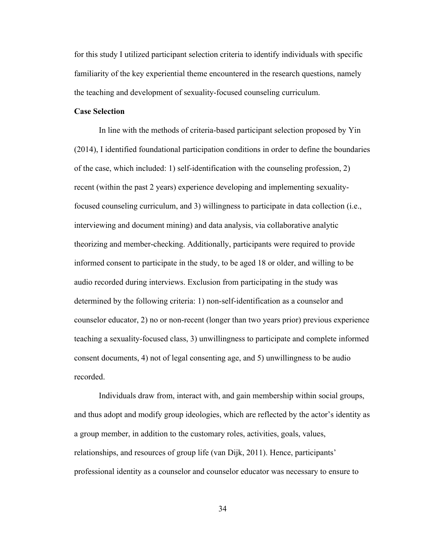for this study I utilized participant selection criteria to identify individuals with specific familiarity of the key experiential theme encountered in the research questions, namely the teaching and development of sexuality-focused counseling curriculum.

## **Case Selection**

In line with the methods of criteria-based participant selection proposed by Yin (2014), I identified foundational participation conditions in order to define the boundaries of the case, which included: 1) self-identification with the counseling profession, 2) recent (within the past 2 years) experience developing and implementing sexualityfocused counseling curriculum, and 3) willingness to participate in data collection (i.e., interviewing and document mining) and data analysis, via collaborative analytic theorizing and member-checking. Additionally, participants were required to provide informed consent to participate in the study, to be aged 18 or older, and willing to be audio recorded during interviews. Exclusion from participating in the study was determined by the following criteria: 1) non-self-identification as a counselor and counselor educator, 2) no or non-recent (longer than two years prior) previous experience teaching a sexuality-focused class, 3) unwillingness to participate and complete informed consent documents, 4) not of legal consenting age, and 5) unwillingness to be audio recorded.

Individuals draw from, interact with, and gain membership within social groups, and thus adopt and modify group ideologies, which are reflected by the actor's identity as a group member, in addition to the customary roles, activities, goals, values, relationships, and resources of group life (van Dijk, 2011). Hence, participants' professional identity as a counselor and counselor educator was necessary to ensure to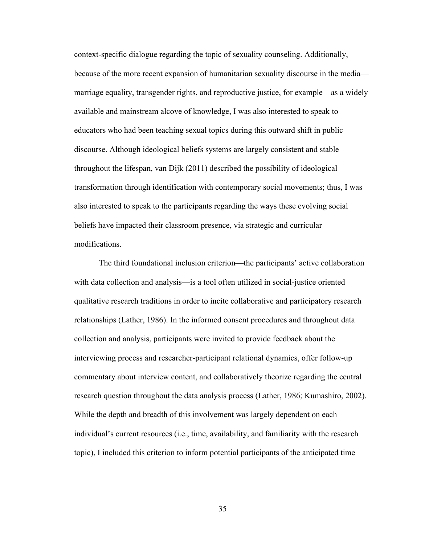context-specific dialogue regarding the topic of sexuality counseling. Additionally, because of the more recent expansion of humanitarian sexuality discourse in the media marriage equality, transgender rights, and reproductive justice, for example—as a widely available and mainstream alcove of knowledge, I was also interested to speak to educators who had been teaching sexual topics during this outward shift in public discourse. Although ideological beliefs systems are largely consistent and stable throughout the lifespan, van Dijk (2011) described the possibility of ideological transformation through identification with contemporary social movements; thus, I was also interested to speak to the participants regarding the ways these evolving social beliefs have impacted their classroom presence, via strategic and curricular modifications.

The third foundational inclusion criterion—the participants' active collaboration with data collection and analysis—is a tool often utilized in social-justice oriented qualitative research traditions in order to incite collaborative and participatory research relationships (Lather, 1986). In the informed consent procedures and throughout data collection and analysis, participants were invited to provide feedback about the interviewing process and researcher-participant relational dynamics, offer follow-up commentary about interview content, and collaboratively theorize regarding the central research question throughout the data analysis process (Lather, 1986; Kumashiro, 2002). While the depth and breadth of this involvement was largely dependent on each individual's current resources (i.e., time, availability, and familiarity with the research topic), I included this criterion to inform potential participants of the anticipated time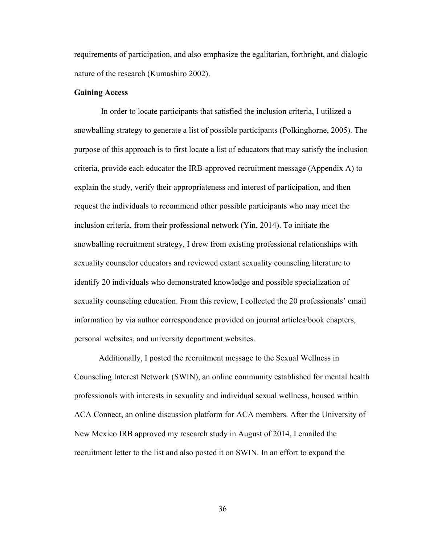requirements of participation, and also emphasize the egalitarian, forthright, and dialogic nature of the research (Kumashiro 2002).

## **Gaining Access**

In order to locate participants that satisfied the inclusion criteria, I utilized a snowballing strategy to generate a list of possible participants (Polkinghorne, 2005). The purpose of this approach is to first locate a list of educators that may satisfy the inclusion criteria, provide each educator the IRB-approved recruitment message (Appendix A) to explain the study, verify their appropriateness and interest of participation, and then request the individuals to recommend other possible participants who may meet the inclusion criteria, from their professional network (Yin, 2014). To initiate the snowballing recruitment strategy, I drew from existing professional relationships with sexuality counselor educators and reviewed extant sexuality counseling literature to identify 20 individuals who demonstrated knowledge and possible specialization of sexuality counseling education. From this review, I collected the 20 professionals' email information by via author correspondence provided on journal articles/book chapters, personal websites, and university department websites.

Additionally, I posted the recruitment message to the Sexual Wellness in Counseling Interest Network (SWIN), an online community established for mental health professionals with interests in sexuality and individual sexual wellness, housed within ACA Connect, an online discussion platform for ACA members. After the University of New Mexico IRB approved my research study in August of 2014, I emailed the recruitment letter to the list and also posted it on SWIN. In an effort to expand the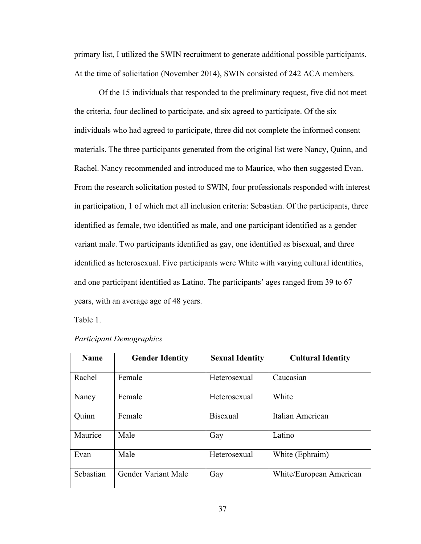primary list, I utilized the SWIN recruitment to generate additional possible participants. At the time of solicitation (November 2014), SWIN consisted of 242 ACA members.

Of the 15 individuals that responded to the preliminary request, five did not meet the criteria, four declined to participate, and six agreed to participate. Of the six individuals who had agreed to participate, three did not complete the informed consent materials. The three participants generated from the original list were Nancy, Quinn, and Rachel. Nancy recommended and introduced me to Maurice, who then suggested Evan. From the research solicitation posted to SWIN, four professionals responded with interest in participation, 1 of which met all inclusion criteria: Sebastian. Of the participants, three identified as female, two identified as male, and one participant identified as a gender variant male. Two participants identified as gay, one identified as bisexual, and three identified as heterosexual. Five participants were White with varying cultural identities, and one participant identified as Latino. The participants' ages ranged from 39 to 67 years, with an average age of 48 years.

Table 1.

| <b>Name</b> | <b>Gender Identity</b> | <b>Sexual Identity</b> | <b>Cultural Identity</b> |
|-------------|------------------------|------------------------|--------------------------|
| Rachel      | Female                 | Heterosexual           | Caucasian                |
| Nancy       | Female                 | Heterosexual           | White                    |
| Quinn       | Female                 | <b>Bisexual</b>        | Italian American         |
| Maurice     | Male                   | Gay                    | Latino                   |
| Evan        | Male                   | Heterosexual           | White (Ephraim)          |
| Sebastian   | Gender Variant Male    | Gay                    | White/European American  |

# *Participant Demographics*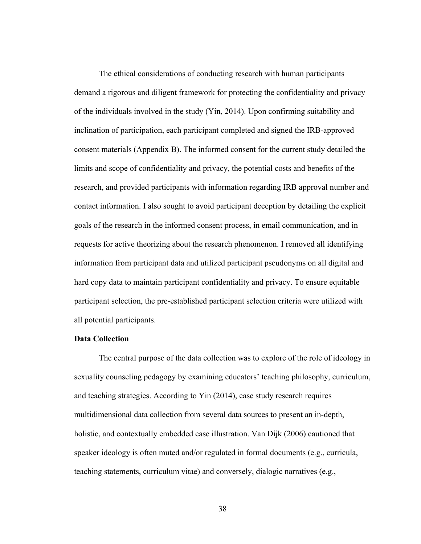The ethical considerations of conducting research with human participants demand a rigorous and diligent framework for protecting the confidentiality and privacy of the individuals involved in the study (Yin, 2014). Upon confirming suitability and inclination of participation, each participant completed and signed the IRB-approved consent materials (Appendix B). The informed consent for the current study detailed the limits and scope of confidentiality and privacy, the potential costs and benefits of the research, and provided participants with information regarding IRB approval number and contact information. I also sought to avoid participant deception by detailing the explicit goals of the research in the informed consent process, in email communication, and in requests for active theorizing about the research phenomenon. I removed all identifying information from participant data and utilized participant pseudonyms on all digital and hard copy data to maintain participant confidentiality and privacy. To ensure equitable participant selection, the pre-established participant selection criteria were utilized with all potential participants.

# **Data Collection**

The central purpose of the data collection was to explore of the role of ideology in sexuality counseling pedagogy by examining educators' teaching philosophy, curriculum, and teaching strategies. According to Yin (2014), case study research requires multidimensional data collection from several data sources to present an in-depth, holistic, and contextually embedded case illustration. Van Dijk (2006) cautioned that speaker ideology is often muted and/or regulated in formal documents (e.g., curricula, teaching statements, curriculum vitae) and conversely, dialogic narratives (e.g.,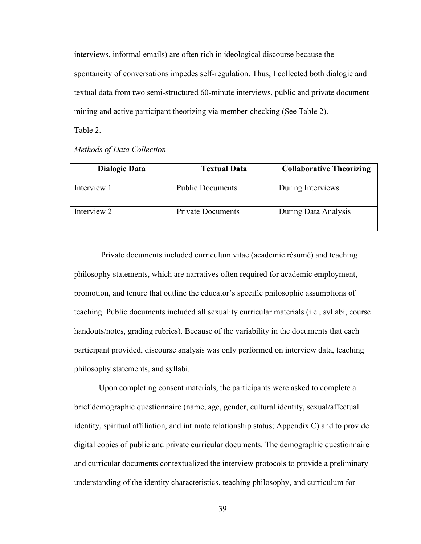interviews, informal emails) are often rich in ideological discourse because the spontaneity of conversations impedes self-regulation. Thus, I collected both dialogic and textual data from two semi-structured 60-minute interviews, public and private document mining and active participant theorizing via member-checking (See Table 2).

Table 2.

*Methods of Data Collection*

| <b>Dialogic Data</b> | <b>Textual Data</b>      | <b>Collaborative Theorizing</b> |
|----------------------|--------------------------|---------------------------------|
| Interview 1          | <b>Public Documents</b>  | During Interviews               |
| Interview 2          | <b>Private Documents</b> | During Data Analysis            |

Private documents included curriculum vitae (academic résumé) and teaching philosophy statements, which are narratives often required for academic employment, promotion, and tenure that outline the educator's specific philosophic assumptions of teaching. Public documents included all sexuality curricular materials (i.e., syllabi, course handouts/notes, grading rubrics). Because of the variability in the documents that each participant provided, discourse analysis was only performed on interview data, teaching philosophy statements, and syllabi.

Upon completing consent materials, the participants were asked to complete a brief demographic questionnaire (name, age, gender, cultural identity, sexual/affectual identity, spiritual affiliation, and intimate relationship status; Appendix C) and to provide digital copies of public and private curricular documents. The demographic questionnaire and curricular documents contextualized the interview protocols to provide a preliminary understanding of the identity characteristics, teaching philosophy, and curriculum for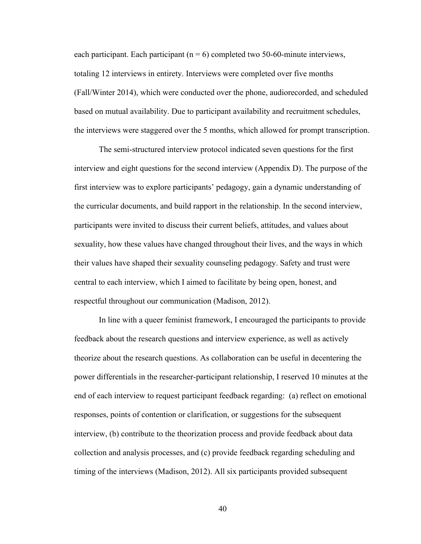each participant. Each participant ( $n = 6$ ) completed two 50-60-minute interviews, totaling 12 interviews in entirety. Interviews were completed over five months (Fall/Winter 2014), which were conducted over the phone, audiorecorded, and scheduled based on mutual availability. Due to participant availability and recruitment schedules, the interviews were staggered over the 5 months, which allowed for prompt transcription.

The semi-structured interview protocol indicated seven questions for the first interview and eight questions for the second interview (Appendix D). The purpose of the first interview was to explore participants' pedagogy, gain a dynamic understanding of the curricular documents, and build rapport in the relationship. In the second interview, participants were invited to discuss their current beliefs, attitudes, and values about sexuality, how these values have changed throughout their lives, and the ways in which their values have shaped their sexuality counseling pedagogy. Safety and trust were central to each interview, which I aimed to facilitate by being open, honest, and respectful throughout our communication (Madison, 2012).

In line with a queer feminist framework, I encouraged the participants to provide feedback about the research questions and interview experience, as well as actively theorize about the research questions. As collaboration can be useful in decentering the power differentials in the researcher-participant relationship, I reserved 10 minutes at the end of each interview to request participant feedback regarding: (a) reflect on emotional responses, points of contention or clarification, or suggestions for the subsequent interview, (b) contribute to the theorization process and provide feedback about data collection and analysis processes, and (c) provide feedback regarding scheduling and timing of the interviews (Madison, 2012). All six participants provided subsequent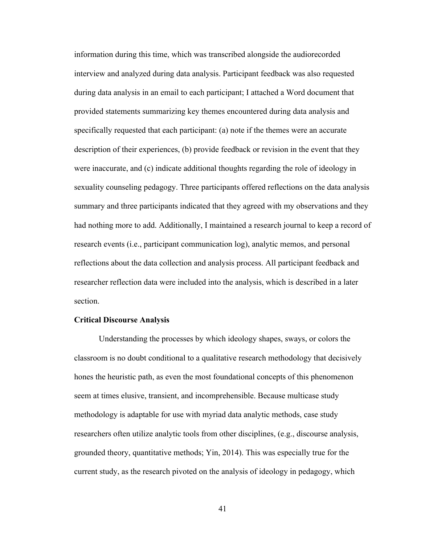information during this time, which was transcribed alongside the audiorecorded interview and analyzed during data analysis. Participant feedback was also requested during data analysis in an email to each participant; I attached a Word document that provided statements summarizing key themes encountered during data analysis and specifically requested that each participant: (a) note if the themes were an accurate description of their experiences, (b) provide feedback or revision in the event that they were inaccurate, and (c) indicate additional thoughts regarding the role of ideology in sexuality counseling pedagogy. Three participants offered reflections on the data analysis summary and three participants indicated that they agreed with my observations and they had nothing more to add. Additionally, I maintained a research journal to keep a record of research events (i.e., participant communication log), analytic memos, and personal reflections about the data collection and analysis process. All participant feedback and researcher reflection data were included into the analysis, which is described in a later section.

#### **Critical Discourse Analysis**

Understanding the processes by which ideology shapes, sways, or colors the classroom is no doubt conditional to a qualitative research methodology that decisively hones the heuristic path, as even the most foundational concepts of this phenomenon seem at times elusive, transient, and incomprehensible. Because multicase study methodology is adaptable for use with myriad data analytic methods, case study researchers often utilize analytic tools from other disciplines, (e.g., discourse analysis, grounded theory, quantitative methods; Yin, 2014). This was especially true for the current study, as the research pivoted on the analysis of ideology in pedagogy, which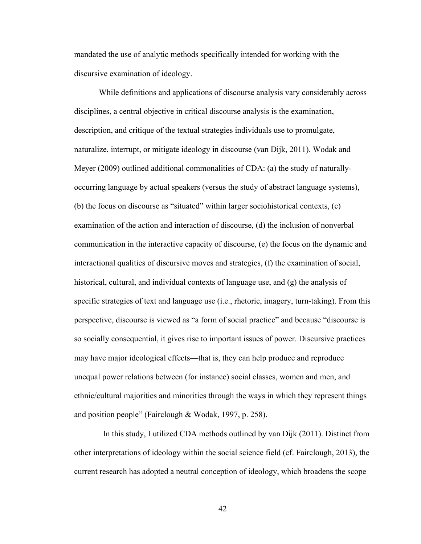mandated the use of analytic methods specifically intended for working with the discursive examination of ideology.

While definitions and applications of discourse analysis vary considerably across disciplines, a central objective in critical discourse analysis is the examination, description, and critique of the textual strategies individuals use to promulgate, naturalize, interrupt, or mitigate ideology in discourse (van Dijk, 2011). Wodak and Meyer (2009) outlined additional commonalities of CDA: (a) the study of naturallyoccurring language by actual speakers (versus the study of abstract language systems), (b) the focus on discourse as "situated" within larger sociohistorical contexts, (c) examination of the action and interaction of discourse, (d) the inclusion of nonverbal communication in the interactive capacity of discourse, (e) the focus on the dynamic and interactional qualities of discursive moves and strategies, (f) the examination of social, historical, cultural, and individual contexts of language use, and (g) the analysis of specific strategies of text and language use (i.e., rhetoric, imagery, turn-taking). From this perspective, discourse is viewed as "a form of social practice" and because "discourse is so socially consequential, it gives rise to important issues of power. Discursive practices may have major ideological effects—that is, they can help produce and reproduce unequal power relations between (for instance) social classes, women and men, and ethnic/cultural majorities and minorities through the ways in which they represent things and position people" (Fairclough & Wodak, 1997, p. 258).

 In this study, I utilized CDA methods outlined by van Dijk (2011). Distinct from other interpretations of ideology within the social science field (cf. Fairclough, 2013), the current research has adopted a neutral conception of ideology, which broadens the scope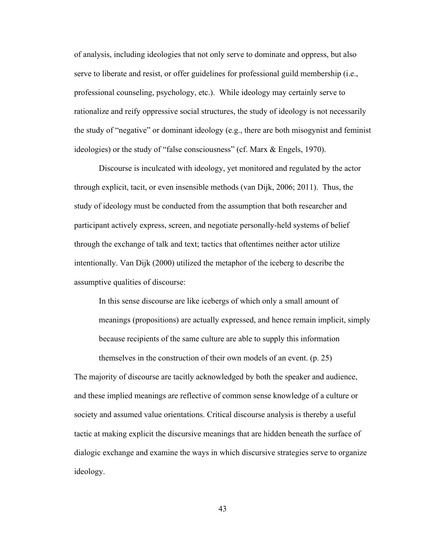of analysis, including ideologies that not only serve to dominate and oppress, but also serve to liberate and resist, or offer guidelines for professional guild membership (i.e., professional counseling, psychology, etc.). While ideology may certainly serve to rationalize and reify oppressive social structures, the study of ideology is not necessarily the study of "negative" or dominant ideology (e.g., there are both misogynist and feminist ideologies) or the study of "false consciousness" (cf. Marx & Engels, 1970).

Discourse is inculcated with ideology, yet monitored and regulated by the actor through explicit, tacit, or even insensible methods (van Dijk, 2006; 2011). Thus, the study of ideology must be conducted from the assumption that both researcher and participant actively express, screen, and negotiate personally-held systems of belief through the exchange of talk and text; tactics that oftentimes neither actor utilize intentionally. Van Dijk (2000) utilized the metaphor of the iceberg to describe the assumptive qualities of discourse:

In this sense discourse are like icebergs of which only a small amount of meanings (propositions) are actually expressed, and hence remain implicit, simply because recipients of the same culture are able to supply this information themselves in the construction of their own models of an event. (p. 25)

The majority of discourse are tacitly acknowledged by both the speaker and audience, and these implied meanings are reflective of common sense knowledge of a culture or society and assumed value orientations. Critical discourse analysis is thereby a useful tactic at making explicit the discursive meanings that are hidden beneath the surface of dialogic exchange and examine the ways in which discursive strategies serve to organize ideology.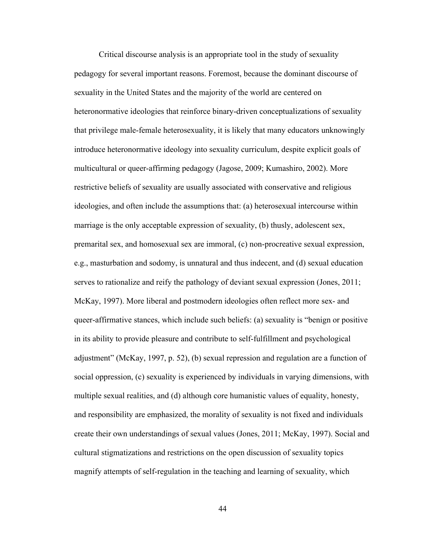Critical discourse analysis is an appropriate tool in the study of sexuality pedagogy for several important reasons. Foremost, because the dominant discourse of sexuality in the United States and the majority of the world are centered on heteronormative ideologies that reinforce binary-driven conceptualizations of sexuality that privilege male-female heterosexuality, it is likely that many educators unknowingly introduce heteronormative ideology into sexuality curriculum, despite explicit goals of multicultural or queer-affirming pedagogy (Jagose, 2009; Kumashiro, 2002). More restrictive beliefs of sexuality are usually associated with conservative and religious ideologies, and often include the assumptions that: (a) heterosexual intercourse within marriage is the only acceptable expression of sexuality, (b) thusly, adolescent sex, premarital sex, and homosexual sex are immoral, (c) non-procreative sexual expression, e.g., masturbation and sodomy, is unnatural and thus indecent, and (d) sexual education serves to rationalize and reify the pathology of deviant sexual expression (Jones, 2011; McKay, 1997). More liberal and postmodern ideologies often reflect more sex- and queer-affirmative stances, which include such beliefs: (a) sexuality is "benign or positive in its ability to provide pleasure and contribute to self-fulfillment and psychological adjustment" (McKay, 1997, p. 52), (b) sexual repression and regulation are a function of social oppression, (c) sexuality is experienced by individuals in varying dimensions, with multiple sexual realities, and (d) although core humanistic values of equality, honesty, and responsibility are emphasized, the morality of sexuality is not fixed and individuals create their own understandings of sexual values (Jones, 2011; McKay, 1997). Social and cultural stigmatizations and restrictions on the open discussion of sexuality topics magnify attempts of self-regulation in the teaching and learning of sexuality, which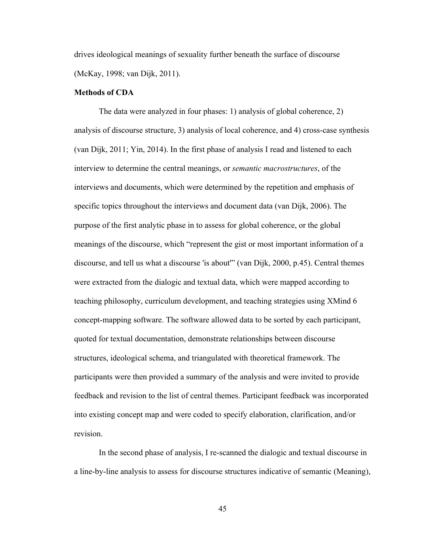drives ideological meanings of sexuality further beneath the surface of discourse (McKay, 1998; van Dijk, 2011).

## **Methods of CDA**

The data were analyzed in four phases: 1) analysis of global coherence, 2) analysis of discourse structure, 3) analysis of local coherence, and 4) cross-case synthesis (van Dijk, 2011; Yin, 2014). In the first phase of analysis I read and listened to each interview to determine the central meanings, or *semantic macrostructures*, of the interviews and documents, which were determined by the repetition and emphasis of specific topics throughout the interviews and document data (van Dijk, 2006). The purpose of the first analytic phase in to assess for global coherence, or the global meanings of the discourse, which "represent the gist or most important information of a discourse, and tell us what a discourse 'is about'" (van Dijk, 2000, p.45). Central themes were extracted from the dialogic and textual data, which were mapped according to teaching philosophy, curriculum development, and teaching strategies using XMind 6 concept-mapping software. The software allowed data to be sorted by each participant, quoted for textual documentation, demonstrate relationships between discourse structures, ideological schema, and triangulated with theoretical framework. The participants were then provided a summary of the analysis and were invited to provide feedback and revision to the list of central themes. Participant feedback was incorporated into existing concept map and were coded to specify elaboration, clarification, and/or revision.

In the second phase of analysis, I re-scanned the dialogic and textual discourse in a line-by-line analysis to assess for discourse structures indicative of semantic (Meaning),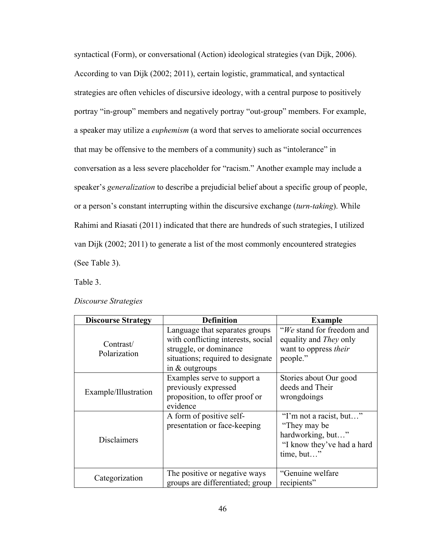syntactical (Form), or conversational (Action) ideological strategies (van Dijk, 2006). According to van Dijk (2002; 2011), certain logistic, grammatical, and syntactical strategies are often vehicles of discursive ideology, with a central purpose to positively portray "in-group" members and negatively portray "out-group" members. For example, a speaker may utilize a *euphemism* (a word that serves to ameliorate social occurrences that may be offensive to the members of a community) such as "intolerance" in conversation as a less severe placeholder for "racism." Another example may include a speaker's *generalization* to describe a prejudicial belief about a specific group of people, or a person's constant interrupting within the discursive exchange (*turn-taking*). While Rahimi and Riasati (2011) indicated that there are hundreds of such strategies, I utilized van Dijk (2002; 2011) to generate a list of the most commonly encountered strategies (See Table 3).

Table 3.

| <b>Discourse Strategy</b> | <b>Definition</b>                                                                                                                                       | <b>Example</b>                                                                                            |
|---------------------------|---------------------------------------------------------------------------------------------------------------------------------------------------------|-----------------------------------------------------------------------------------------------------------|
| Contrast/<br>Polarization | Language that separates groups<br>with conflicting interests, social<br>struggle, or dominance<br>situations; required to designate<br>in $&$ outgroups | "We stand for freedom and<br>equality and <i>They</i> only<br>want to oppress <i>their</i><br>people."    |
| Example/Illustration      | Examples serve to support a<br>previously expressed<br>proposition, to offer proof or<br>evidence                                                       | Stories about Our good<br>deeds and Their<br>wrongdoings                                                  |
| <b>Disclaimers</b>        | A form of positive self-<br>presentation or face-keeping                                                                                                | "I'm not a racist, but"<br>"They may be"<br>hardworking, but"<br>"I know they've had a hard<br>time, but" |
| Categorization            | The positive or negative ways<br>groups are differentiated; group                                                                                       | "Genuine welfare<br>recipients"                                                                           |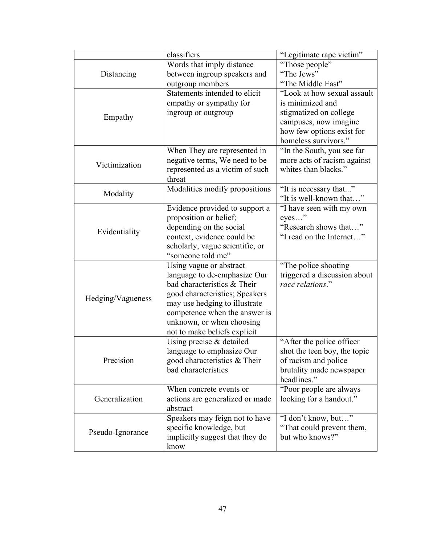|                   | classifiers                                                | "Legitimate rape victim"     |
|-------------------|------------------------------------------------------------|------------------------------|
|                   | Words that imply distance                                  | "Those people"               |
| Distancing        | between ingroup speakers and                               | "The Jews"                   |
|                   | outgroup members                                           | "The Middle East"            |
|                   | Statements intended to elicit                              | "Look at how sexual assault  |
|                   | empathy or sympathy for                                    | is minimized and             |
|                   | ingroup or outgroup                                        | stigmatized on college       |
| Empathy           |                                                            | campuses, now imagine        |
|                   |                                                            | how few options exist for    |
|                   |                                                            | homeless survivors."         |
|                   | When They are represented in                               | "In the South, you see far   |
| Victimization     | negative terms, We need to be                              | more acts of racism against  |
|                   | represented as a victim of such                            | whites than blacks."         |
|                   | threat                                                     |                              |
| Modality          | Modalities modify propositions                             | "It is necessary that"       |
|                   |                                                            | "It is well-known that"      |
|                   | Evidence provided to support a                             | "I have seen with my own     |
|                   | proposition or belief;                                     | eyes"                        |
| Evidentiality     | depending on the social                                    | "Research shows that"        |
|                   | context, evidence could be                                 | "I read on the Internet"     |
|                   | scholarly, vague scientific, or                            |                              |
|                   | "someone told me"                                          |                              |
|                   | Using vague or abstract                                    | "The police shooting         |
|                   | language to de-emphasize Our                               | triggered a discussion about |
|                   | bad characteristics & Their                                | race relations."             |
| Hedging/Vagueness | good characteristics; Speakers                             |                              |
|                   | may use hedging to illustrate                              |                              |
|                   | competence when the answer is<br>unknown, or when choosing |                              |
|                   | not to make beliefs explicit                               |                              |
|                   | Using precise $&$ detailed                                 | "After the police officer"   |
|                   | language to emphasize Our                                  | shot the teen boy, the topic |
| Precision         | good characteristics & Their                               | of racism and police         |
|                   | bad characteristics                                        | brutality made newspaper     |
|                   |                                                            | headlines."                  |
|                   | When concrete events or                                    | "Poor people are always"     |
| Generalization    | actions are generalized or made                            | looking for a handout."      |
|                   | abstract                                                   |                              |
|                   | Speakers may feign not to have                             | "I don't know, but"          |
|                   | specific knowledge, but                                    | "That could prevent them,    |
| Pseudo-Ignorance  | implicitly suggest that they do                            | but who knows?"              |
|                   | know                                                       |                              |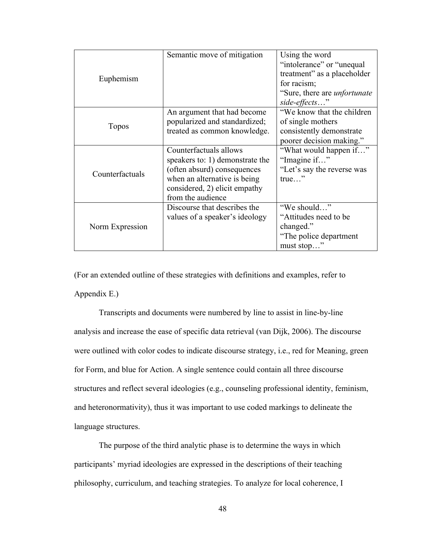|                 | Semantic move of mitigation     | Using the word                      |
|-----------------|---------------------------------|-------------------------------------|
|                 |                                 | "intolerance" or "unequal"          |
|                 |                                 | treatment" as a placeholder         |
| Euphemism       |                                 | for racism;                         |
|                 |                                 | "Sure, there are <i>unfortunate</i> |
|                 |                                 | side-effects"                       |
|                 | An argument that had become     | "We know that the children"         |
| <b>Topos</b>    | popularized and standardized;   | of single mothers                   |
|                 | treated as common knowledge.    | consistently demonstrate            |
|                 |                                 | poorer decision making."            |
|                 | Counterfactuals allows          | "What would happen if"              |
|                 | speakers to: 1) demonstrate the | "Imagine if"                        |
| Counterfactuals | (often absurd) consequences     | "Let's say the reverse was          |
|                 | when an alternative is being    | $true$ "                            |
|                 | considered, 2) elicit empathy   |                                     |
|                 | from the audience               |                                     |
|                 | Discourse that describes the    | "We should"                         |
|                 | values of a speaker's ideology  | "Attitudes need to be               |
| Norm Expression |                                 | changed."                           |
|                 |                                 | "The police department"             |
|                 |                                 | must stop"                          |

(For an extended outline of these strategies with definitions and examples, refer to Appendix E.)

Transcripts and documents were numbered by line to assist in line-by-line analysis and increase the ease of specific data retrieval (van Dijk, 2006). The discourse were outlined with color codes to indicate discourse strategy, i.e., red for Meaning, green for Form, and blue for Action. A single sentence could contain all three discourse structures and reflect several ideologies (e.g., counseling professional identity, feminism, and heteronormativity), thus it was important to use coded markings to delineate the language structures.

The purpose of the third analytic phase is to determine the ways in which participants' myriad ideologies are expressed in the descriptions of their teaching philosophy, curriculum, and teaching strategies. To analyze for local coherence, I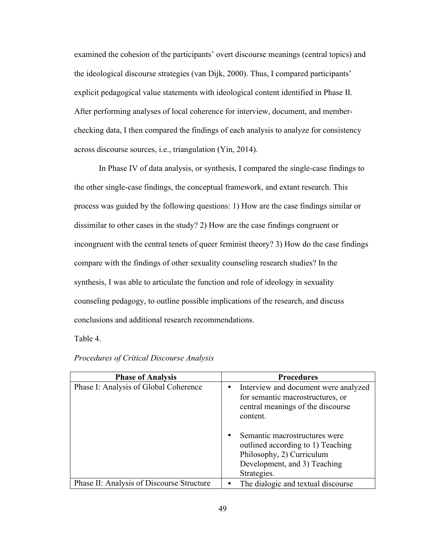examined the cohesion of the participants' overt discourse meanings (central topics) and the ideological discourse strategies (van Dijk, 2000). Thus, I compared participants' explicit pedagogical value statements with ideological content identified in Phase II. After performing analyses of local coherence for interview, document, and memberchecking data, I then compared the findings of each analysis to analyze for consistency across discourse sources, i.e., triangulation (Yin, 2014).

In Phase IV of data analysis, or synthesis, I compared the single-case findings to the other single-case findings, the conceptual framework, and extant research. This process was guided by the following questions: 1) How are the case findings similar or dissimilar to other cases in the study? 2) How are the case findings congruent or incongruent with the central tenets of queer feminist theory? 3) How do the case findings compare with the findings of other sexuality counseling research studies? In the synthesis, I was able to articulate the function and role of ideology in sexuality counseling pedagogy, to outline possible implications of the research, and discuss conclusions and additional research recommendations.

Table 4.

| <b>Phase of Analysis</b>                  | <b>Procedures</b>                                                                                                                              |
|-------------------------------------------|------------------------------------------------------------------------------------------------------------------------------------------------|
| Phase I: Analysis of Global Coherence     | Interview and document were analyzed<br>for semantic macrostructures, or<br>central meanings of the discourse<br>content.                      |
|                                           | Semantic macrostructures were<br>outlined according to 1) Teaching<br>Philosophy, 2) Curriculum<br>Development, and 3) Teaching<br>Strategies. |
| Phase II: Analysis of Discourse Structure | The dialogic and textual discourse                                                                                                             |

## *Procedures of Critical Discourse Analysis*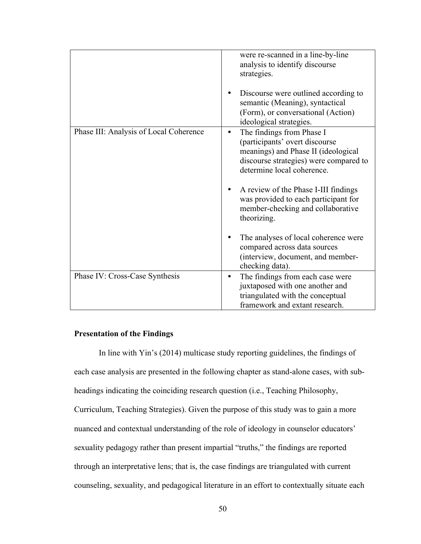|                                        | were re-scanned in a line-by-line<br>analysis to identify discourse<br>strategies.<br>Discourse were outlined according to<br>semantic (Meaning), syntactical<br>(Form), or conversational (Action)                |
|----------------------------------------|--------------------------------------------------------------------------------------------------------------------------------------------------------------------------------------------------------------------|
| Phase III: Analysis of Local Coherence | ideological strategies.<br>The findings from Phase I<br>$\bullet$<br>(participants' overt discourse<br>meanings) and Phase II (ideological<br>discourse strategies) were compared to<br>determine local coherence. |
|                                        | A review of the Phase I-III findings<br>was provided to each participant for<br>member-checking and collaborative<br>theorizing.                                                                                   |
|                                        | The analyses of local coherence were<br>compared across data sources<br>(interview, document, and member-<br>checking data).                                                                                       |
| Phase IV: Cross-Case Synthesis         | The findings from each case were<br>$\bullet$<br>juxtaposed with one another and<br>triangulated with the conceptual<br>framework and extant research.                                                             |

## **Presentation of the Findings**

In line with Yin's (2014) multicase study reporting guidelines, the findings of each case analysis are presented in the following chapter as stand-alone cases, with subheadings indicating the coinciding research question (i.e., Teaching Philosophy, Curriculum, Teaching Strategies). Given the purpose of this study was to gain a more nuanced and contextual understanding of the role of ideology in counselor educators' sexuality pedagogy rather than present impartial "truths," the findings are reported through an interpretative lens; that is, the case findings are triangulated with current counseling, sexuality, and pedagogical literature in an effort to contextually situate each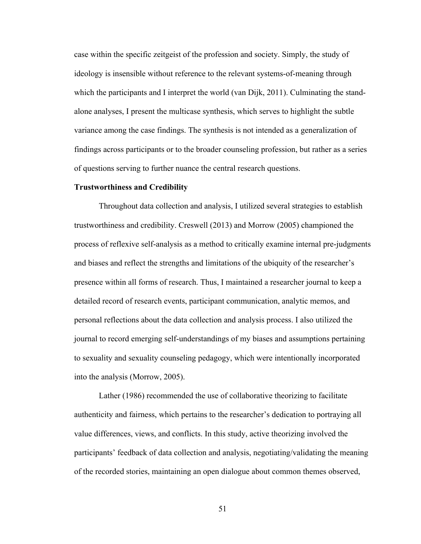case within the specific zeitgeist of the profession and society. Simply, the study of ideology is insensible without reference to the relevant systems-of-meaning through which the participants and I interpret the world (van Dijk, 2011). Culminating the standalone analyses, I present the multicase synthesis, which serves to highlight the subtle variance among the case findings. The synthesis is not intended as a generalization of findings across participants or to the broader counseling profession, but rather as a series of questions serving to further nuance the central research questions.

#### **Trustworthiness and Credibility**

Throughout data collection and analysis, I utilized several strategies to establish trustworthiness and credibility. Creswell (2013) and Morrow (2005) championed the process of reflexive self-analysis as a method to critically examine internal pre-judgments and biases and reflect the strengths and limitations of the ubiquity of the researcher's presence within all forms of research. Thus, I maintained a researcher journal to keep a detailed record of research events, participant communication, analytic memos, and personal reflections about the data collection and analysis process. I also utilized the journal to record emerging self-understandings of my biases and assumptions pertaining to sexuality and sexuality counseling pedagogy, which were intentionally incorporated into the analysis (Morrow, 2005).

Lather (1986) recommended the use of collaborative theorizing to facilitate authenticity and fairness, which pertains to the researcher's dedication to portraying all value differences, views, and conflicts. In this study, active theorizing involved the participants' feedback of data collection and analysis, negotiating/validating the meaning of the recorded stories, maintaining an open dialogue about common themes observed,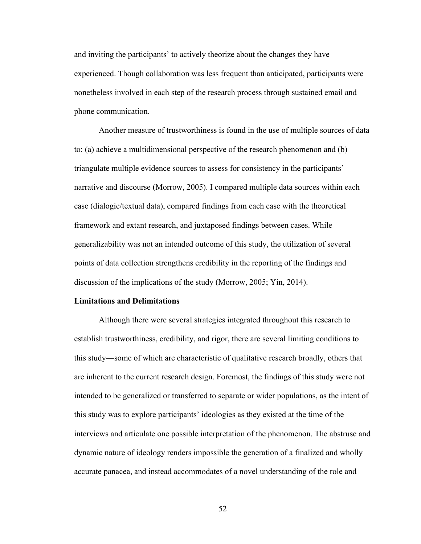and inviting the participants' to actively theorize about the changes they have experienced. Though collaboration was less frequent than anticipated, participants were nonetheless involved in each step of the research process through sustained email and phone communication.

Another measure of trustworthiness is found in the use of multiple sources of data to: (a) achieve a multidimensional perspective of the research phenomenon and (b) triangulate multiple evidence sources to assess for consistency in the participants' narrative and discourse (Morrow, 2005). I compared multiple data sources within each case (dialogic/textual data), compared findings from each case with the theoretical framework and extant research, and juxtaposed findings between cases. While generalizability was not an intended outcome of this study, the utilization of several points of data collection strengthens credibility in the reporting of the findings and discussion of the implications of the study (Morrow, 2005; Yin, 2014).

### **Limitations and Delimitations**

Although there were several strategies integrated throughout this research to establish trustworthiness, credibility, and rigor, there are several limiting conditions to this study—some of which are characteristic of qualitative research broadly, others that are inherent to the current research design. Foremost, the findings of this study were not intended to be generalized or transferred to separate or wider populations, as the intent of this study was to explore participants' ideologies as they existed at the time of the interviews and articulate one possible interpretation of the phenomenon. The abstruse and dynamic nature of ideology renders impossible the generation of a finalized and wholly accurate panacea, and instead accommodates of a novel understanding of the role and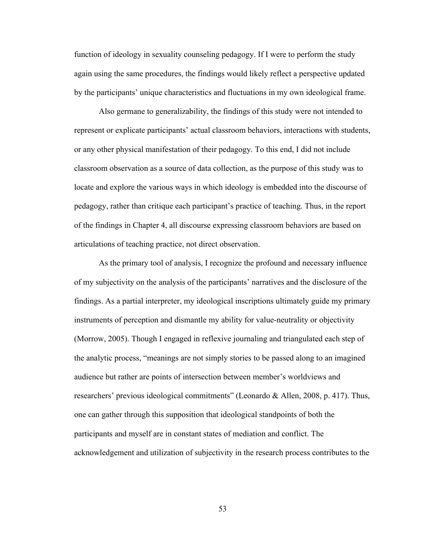function of ideology in sexuality counseling pedagogy. If I were to perform the study again using the same procedures, the findings would likely reflect a perspective updated by the participants' unique characteristics and fluctuations in my own ideological frame.

Also germane to generalizability, the findings of this study were not intended to represent or explicate participants' actual classroom behaviors, interactions with students, or any other physical manifestation of their pedagogy. To this end, I did not include classroom observation as a source of data collection, as the purpose of this study was to locate and explore the various ways in which ideology is embedded into the discourse of pedagogy, rather than critique each participant's practice of teaching. Thus, in the report of the findings in Chapter 4, all discourse expressing classroom behaviors are based on articulations of teaching practice, not direct observation.

As the primary tool of analysis, I recognize the profound and necessary influence of my subjectivity on the analysis of the participants' narratives and the disclosure of the findings. As a partial interpreter, my ideological inscriptions ultimately guide my primary instruments of perception and dismantle my ability for value-neutrality or objectivity (Morrow, 2005). Though I engaged in reflexive journaling and triangulated each step of the analytic process, "meanings are not simply stories to be passed along to an imagined audience but rather are points of intersection between member's worldviews and researchers' previous ideological commitments" (Leonardo & Allen, 2008, p. 417). Thus, one can gather through this supposition that ideological standpoints of both the participants and myself are in constant states of mediation and conflict. The acknowledgement and utilization of subjectivity in the research process contributes to the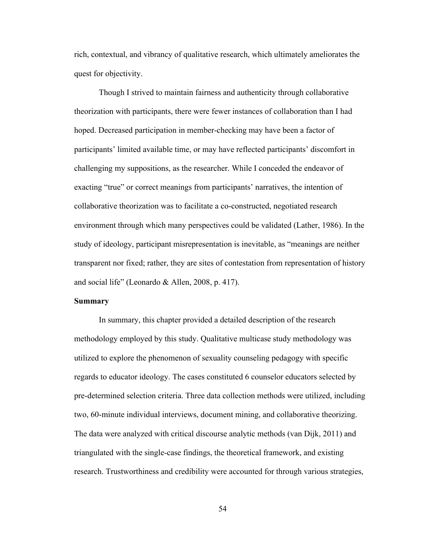rich, contextual, and vibrancy of qualitative research, which ultimately ameliorates the quest for objectivity.

Though I strived to maintain fairness and authenticity through collaborative theorization with participants, there were fewer instances of collaboration than I had hoped. Decreased participation in member-checking may have been a factor of participants' limited available time, or may have reflected participants' discomfort in challenging my suppositions, as the researcher. While I conceded the endeavor of exacting "true" or correct meanings from participants' narratives, the intention of collaborative theorization was to facilitate a co-constructed, negotiated research environment through which many perspectives could be validated (Lather, 1986). In the study of ideology, participant misrepresentation is inevitable, as "meanings are neither transparent nor fixed; rather, they are sites of contestation from representation of history and social life" (Leonardo & Allen, 2008, p. 417).

### **Summary**

In summary, this chapter provided a detailed description of the research methodology employed by this study. Qualitative multicase study methodology was utilized to explore the phenomenon of sexuality counseling pedagogy with specific regards to educator ideology. The cases constituted 6 counselor educators selected by pre-determined selection criteria. Three data collection methods were utilized, including two, 60-minute individual interviews, document mining, and collaborative theorizing. The data were analyzed with critical discourse analytic methods (van Dijk, 2011) and triangulated with the single-case findings, the theoretical framework, and existing research. Trustworthiness and credibility were accounted for through various strategies,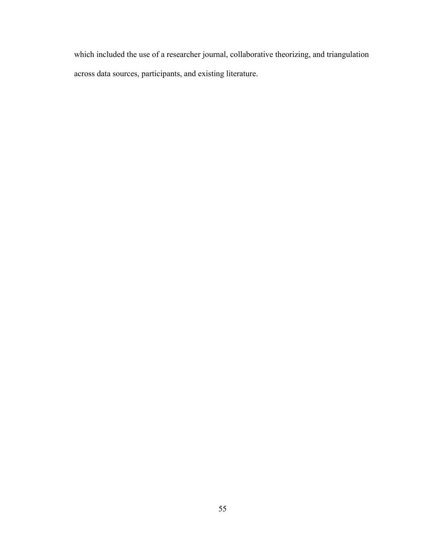which included the use of a researcher journal, collaborative theorizing, and triangulation across data sources, participants, and existing literature.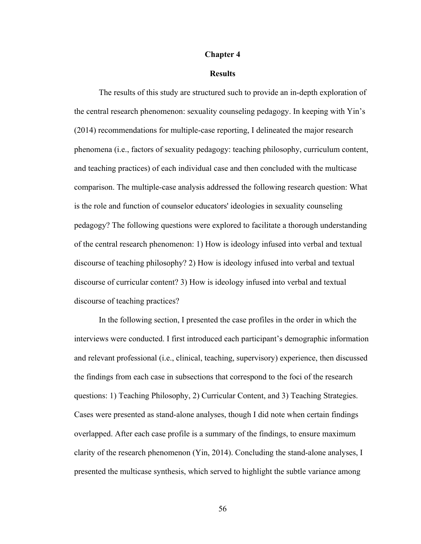#### **Chapter 4**

#### **Results**

The results of this study are structured such to provide an in-depth exploration of the central research phenomenon: sexuality counseling pedagogy. In keeping with Yin's (2014) recommendations for multiple-case reporting, I delineated the major research phenomena (i.e., factors of sexuality pedagogy: teaching philosophy, curriculum content, and teaching practices) of each individual case and then concluded with the multicase comparison. The multiple-case analysis addressed the following research question: What is the role and function of counselor educators' ideologies in sexuality counseling pedagogy? The following questions were explored to facilitate a thorough understanding of the central research phenomenon: 1) How is ideology infused into verbal and textual discourse of teaching philosophy? 2) How is ideology infused into verbal and textual discourse of curricular content? 3) How is ideology infused into verbal and textual discourse of teaching practices?

In the following section, I presented the case profiles in the order in which the interviews were conducted. I first introduced each participant's demographic information and relevant professional (i.e., clinical, teaching, supervisory) experience, then discussed the findings from each case in subsections that correspond to the foci of the research questions: 1) Teaching Philosophy, 2) Curricular Content, and 3) Teaching Strategies. Cases were presented as stand-alone analyses, though I did note when certain findings overlapped. After each case profile is a summary of the findings, to ensure maximum clarity of the research phenomenon (Yin, 2014). Concluding the stand-alone analyses, I presented the multicase synthesis, which served to highlight the subtle variance among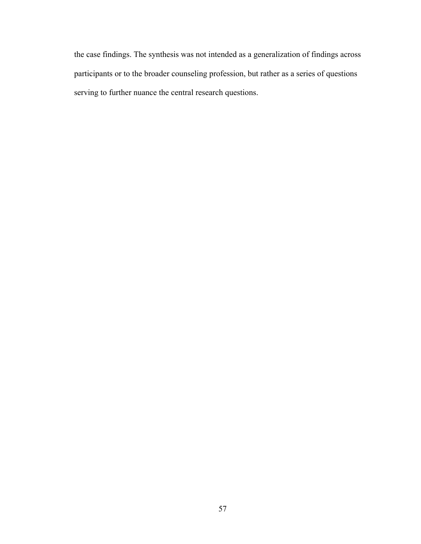the case findings. The synthesis was not intended as a generalization of findings across participants or to the broader counseling profession, but rather as a series of questions serving to further nuance the central research questions.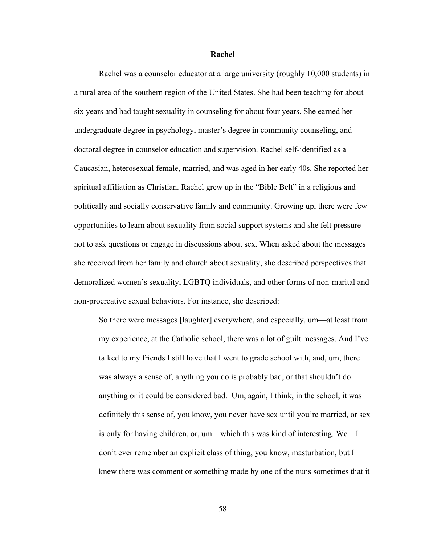**Rachel**

Rachel was a counselor educator at a large university (roughly 10,000 students) in a rural area of the southern region of the United States. She had been teaching for about six years and had taught sexuality in counseling for about four years. She earned her undergraduate degree in psychology, master's degree in community counseling, and doctoral degree in counselor education and supervision. Rachel self-identified as a Caucasian, heterosexual female, married, and was aged in her early 40s. She reported her spiritual affiliation as Christian. Rachel grew up in the "Bible Belt" in a religious and politically and socially conservative family and community. Growing up, there were few opportunities to learn about sexuality from social support systems and she felt pressure not to ask questions or engage in discussions about sex. When asked about the messages she received from her family and church about sexuality, she described perspectives that demoralized women's sexuality, LGBTQ individuals, and other forms of non-marital and non-procreative sexual behaviors. For instance, she described:

So there were messages [laughter] everywhere, and especially, um—at least from my experience, at the Catholic school, there was a lot of guilt messages. And I've talked to my friends I still have that I went to grade school with, and, um, there was always a sense of, anything you do is probably bad, or that shouldn't do anything or it could be considered bad. Um, again, I think, in the school, it was definitely this sense of, you know, you never have sex until you're married, or sex is only for having children, or, um—which this was kind of interesting. We—I don't ever remember an explicit class of thing, you know, masturbation, but I knew there was comment or something made by one of the nuns sometimes that it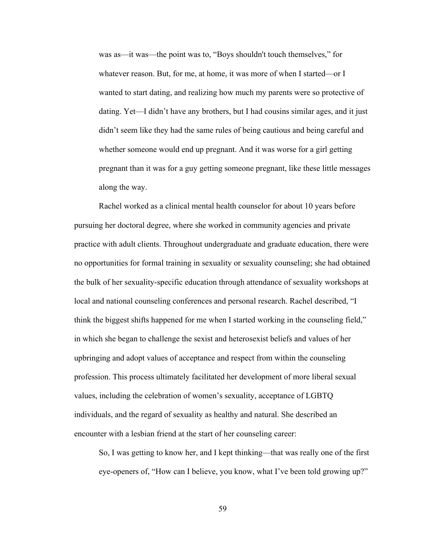was as—it was—the point was to, "Boys shouldn't touch themselves," for whatever reason. But, for me, at home, it was more of when I started—or I wanted to start dating, and realizing how much my parents were so protective of dating. Yet—I didn't have any brothers, but I had cousins similar ages, and it just didn't seem like they had the same rules of being cautious and being careful and whether someone would end up pregnant. And it was worse for a girl getting pregnant than it was for a guy getting someone pregnant, like these little messages along the way.

Rachel worked as a clinical mental health counselor for about 10 years before pursuing her doctoral degree, where she worked in community agencies and private practice with adult clients. Throughout undergraduate and graduate education, there were no opportunities for formal training in sexuality or sexuality counseling; she had obtained the bulk of her sexuality-specific education through attendance of sexuality workshops at local and national counseling conferences and personal research. Rachel described, "I think the biggest shifts happened for me when I started working in the counseling field," in which she began to challenge the sexist and heterosexist beliefs and values of her upbringing and adopt values of acceptance and respect from within the counseling profession. This process ultimately facilitated her development of more liberal sexual values, including the celebration of women's sexuality, acceptance of LGBTQ individuals, and the regard of sexuality as healthy and natural. She described an encounter with a lesbian friend at the start of her counseling career:

So, I was getting to know her, and I kept thinking—that was really one of the first eye-openers of, "How can I believe, you know, what I've been told growing up?"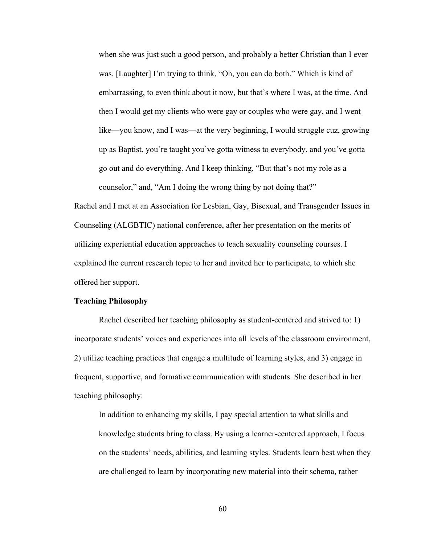when she was just such a good person, and probably a better Christian than I ever was. [Laughter] I'm trying to think, "Oh, you can do both." Which is kind of embarrassing, to even think about it now, but that's where I was, at the time. And then I would get my clients who were gay or couples who were gay, and I went like—you know, and I was—at the very beginning, I would struggle cuz, growing up as Baptist, you're taught you've gotta witness to everybody, and you've gotta go out and do everything. And I keep thinking, "But that's not my role as a counselor," and, "Am I doing the wrong thing by not doing that?"

Rachel and I met at an Association for Lesbian, Gay, Bisexual, and Transgender Issues in Counseling (ALGBTIC) national conference, after her presentation on the merits of utilizing experiential education approaches to teach sexuality counseling courses. I explained the current research topic to her and invited her to participate, to which she offered her support.

### **Teaching Philosophy**

Rachel described her teaching philosophy as student-centered and strived to: 1) incorporate students' voices and experiences into all levels of the classroom environment, 2) utilize teaching practices that engage a multitude of learning styles, and 3) engage in frequent, supportive, and formative communication with students. She described in her teaching philosophy:

In addition to enhancing my skills, I pay special attention to what skills and knowledge students bring to class. By using a learner-centered approach, I focus on the students' needs, abilities, and learning styles. Students learn best when they are challenged to learn by incorporating new material into their schema, rather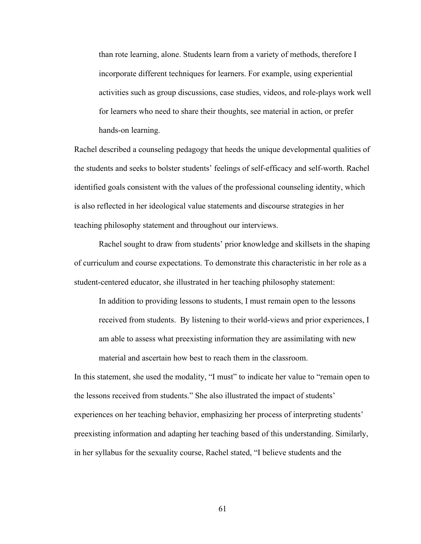than rote learning, alone. Students learn from a variety of methods, therefore I incorporate different techniques for learners. For example, using experiential activities such as group discussions, case studies, videos, and role-plays work well for learners who need to share their thoughts, see material in action, or prefer hands-on learning.

Rachel described a counseling pedagogy that heeds the unique developmental qualities of the students and seeks to bolster students' feelings of self-efficacy and self-worth. Rachel identified goals consistent with the values of the professional counseling identity, which is also reflected in her ideological value statements and discourse strategies in her teaching philosophy statement and throughout our interviews.

Rachel sought to draw from students' prior knowledge and skillsets in the shaping of curriculum and course expectations. To demonstrate this characteristic in her role as a student-centered educator, she illustrated in her teaching philosophy statement:

In addition to providing lessons to students, I must remain open to the lessons received from students. By listening to their world-views and prior experiences, I am able to assess what preexisting information they are assimilating with new material and ascertain how best to reach them in the classroom.

In this statement, she used the modality, "I must" to indicate her value to "remain open to the lessons received from students." She also illustrated the impact of students' experiences on her teaching behavior, emphasizing her process of interpreting students' preexisting information and adapting her teaching based of this understanding. Similarly, in her syllabus for the sexuality course, Rachel stated, "I believe students and the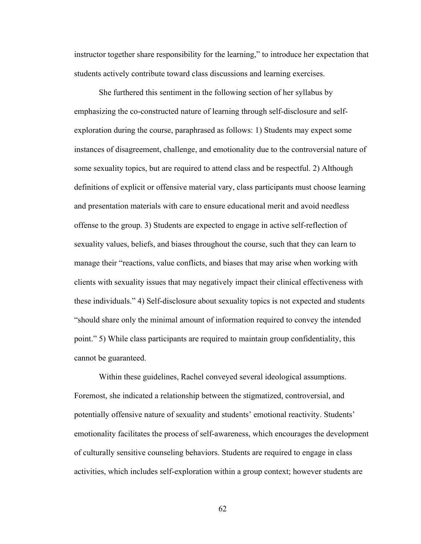instructor together share responsibility for the learning," to introduce her expectation that students actively contribute toward class discussions and learning exercises.

She furthered this sentiment in the following section of her syllabus by emphasizing the co-constructed nature of learning through self-disclosure and selfexploration during the course, paraphrased as follows: 1) Students may expect some instances of disagreement, challenge, and emotionality due to the controversial nature of some sexuality topics, but are required to attend class and be respectful. 2) Although definitions of explicit or offensive material vary, class participants must choose learning and presentation materials with care to ensure educational merit and avoid needless offense to the group. 3) Students are expected to engage in active self-reflection of sexuality values, beliefs, and biases throughout the course, such that they can learn to manage their "reactions, value conflicts, and biases that may arise when working with clients with sexuality issues that may negatively impact their clinical effectiveness with these individuals." 4) Self-disclosure about sexuality topics is not expected and students "should share only the minimal amount of information required to convey the intended point." 5) While class participants are required to maintain group confidentiality, this cannot be guaranteed.

Within these guidelines, Rachel conveyed several ideological assumptions. Foremost, she indicated a relationship between the stigmatized, controversial, and potentially offensive nature of sexuality and students' emotional reactivity. Students' emotionality facilitates the process of self-awareness, which encourages the development of culturally sensitive counseling behaviors. Students are required to engage in class activities, which includes self-exploration within a group context; however students are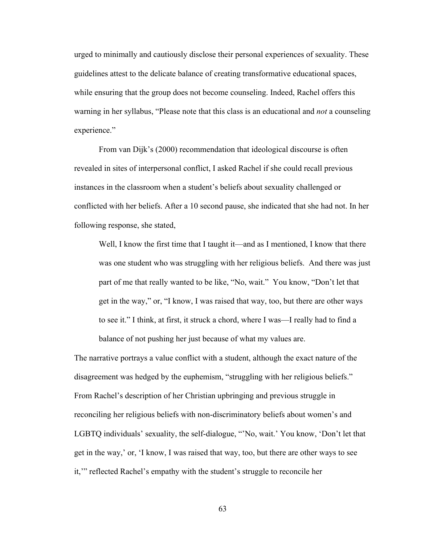urged to minimally and cautiously disclose their personal experiences of sexuality. These guidelines attest to the delicate balance of creating transformative educational spaces, while ensuring that the group does not become counseling. Indeed, Rachel offers this warning in her syllabus, "Please note that this class is an educational and *not* a counseling experience."

From van Dijk's (2000) recommendation that ideological discourse is often revealed in sites of interpersonal conflict, I asked Rachel if she could recall previous instances in the classroom when a student's beliefs about sexuality challenged or conflicted with her beliefs. After a 10 second pause, she indicated that she had not. In her following response, she stated,

Well, I know the first time that I taught it—and as I mentioned, I know that there was one student who was struggling with her religious beliefs. And there was just part of me that really wanted to be like, "No, wait." You know, "Don't let that get in the way," or, "I know, I was raised that way, too, but there are other ways to see it." I think, at first, it struck a chord, where I was—I really had to find a balance of not pushing her just because of what my values are.

The narrative portrays a value conflict with a student, although the exact nature of the disagreement was hedged by the euphemism, "struggling with her religious beliefs." From Rachel's description of her Christian upbringing and previous struggle in reconciling her religious beliefs with non-discriminatory beliefs about women's and LGBTQ individuals' sexuality, the self-dialogue, "'No, wait.' You know, 'Don't let that get in the way,' or, 'I know, I was raised that way, too, but there are other ways to see it,'" reflected Rachel's empathy with the student's struggle to reconcile her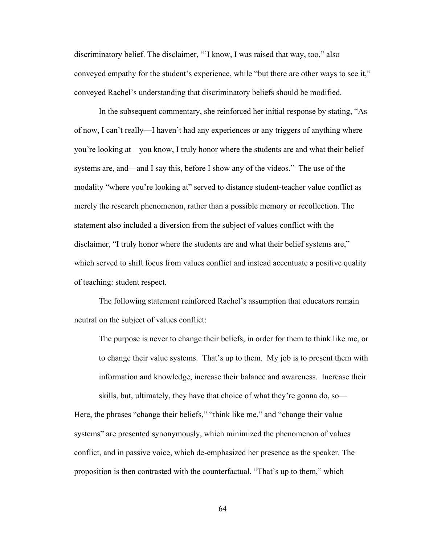discriminatory belief. The disclaimer, "'I know, I was raised that way, too," also conveyed empathy for the student's experience, while "but there are other ways to see it," conveyed Rachel's understanding that discriminatory beliefs should be modified.

In the subsequent commentary, she reinforced her initial response by stating, "As of now, I can't really—I haven't had any experiences or any triggers of anything where you're looking at—you know, I truly honor where the students are and what their belief systems are, and—and I say this, before I show any of the videos." The use of the modality "where you're looking at" served to distance student-teacher value conflict as merely the research phenomenon, rather than a possible memory or recollection. The statement also included a diversion from the subject of values conflict with the disclaimer, "I truly honor where the students are and what their belief systems are," which served to shift focus from values conflict and instead accentuate a positive quality of teaching: student respect.

The following statement reinforced Rachel's assumption that educators remain neutral on the subject of values conflict:

The purpose is never to change their beliefs, in order for them to think like me, or to change their value systems. That's up to them. My job is to present them with information and knowledge, increase their balance and awareness. Increase their skills, but, ultimately, they have that choice of what they're gonna do, so—

Here, the phrases "change their beliefs," "think like me," and "change their value systems" are presented synonymously, which minimized the phenomenon of values conflict, and in passive voice, which de-emphasized her presence as the speaker. The proposition is then contrasted with the counterfactual, "That's up to them," which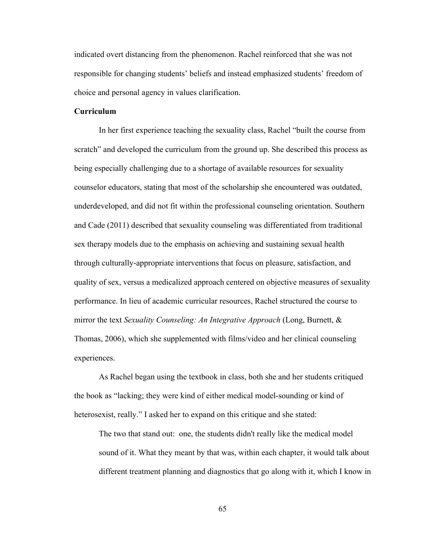indicated overt distancing from the phenomenon. Rachel reinforced that she was not responsible for changing students' beliefs and instead emphasized students' freedom of choice and personal agency in values clarification.

## **Curriculum**

In her first experience teaching the sexuality class, Rachel "built the course from scratch" and developed the curriculum from the ground up. She described this process as being especially challenging due to a shortage of available resources for sexuality counselor educators, stating that most of the scholarship she encountered was outdated, underdeveloped, and did not fit within the professional counseling orientation. Southern and Cade (2011) described that sexuality counseling was differentiated from traditional sex therapy models due to the emphasis on achieving and sustaining sexual health through culturally-appropriate interventions that focus on pleasure, satisfaction, and quality of sex, versus a medicalized approach centered on objective measures of sexuality performance. In lieu of academic curricular resources, Rachel structured the course to mirror the text *Sexuality Counseling: An Integrative Approach* (Long, Burnett, & Thomas, 2006), which she supplemented with films/video and her clinical counseling experiences.

As Rachel began using the textbook in class, both she and her students critiqued the book as "lacking; they were kind of either medical model-sounding or kind of heterosexist, really." I asked her to expand on this critique and she stated:

The two that stand out: one, the students didn't really like the medical model sound of it. What they meant by that was, within each chapter, it would talk about different treatment planning and diagnostics that go along with it, which I know in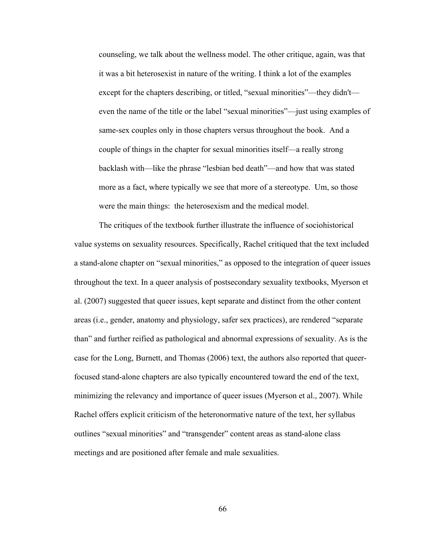counseling, we talk about the wellness model. The other critique, again, was that it was a bit heterosexist in nature of the writing. I think a lot of the examples except for the chapters describing, or titled, "sexual minorities"—they didn't even the name of the title or the label "sexual minorities"—just using examples of same-sex couples only in those chapters versus throughout the book. And a couple of things in the chapter for sexual minorities itself—a really strong backlash with—like the phrase "lesbian bed death"—and how that was stated more as a fact, where typically we see that more of a stereotype. Um, so those were the main things: the heterosexism and the medical model.

The critiques of the textbook further illustrate the influence of sociohistorical value systems on sexuality resources. Specifically, Rachel critiqued that the text included a stand-alone chapter on "sexual minorities," as opposed to the integration of queer issues throughout the text. In a queer analysis of postsecondary sexuality textbooks, Myerson et al. (2007) suggested that queer issues, kept separate and distinct from the other content areas (i.e., gender, anatomy and physiology, safer sex practices), are rendered "separate than" and further reified as pathological and abnormal expressions of sexuality. As is the case for the Long, Burnett, and Thomas (2006) text, the authors also reported that queerfocused stand-alone chapters are also typically encountered toward the end of the text, minimizing the relevancy and importance of queer issues (Myerson et al., 2007). While Rachel offers explicit criticism of the heteronormative nature of the text, her syllabus outlines "sexual minorities" and "transgender" content areas as stand-alone class meetings and are positioned after female and male sexualities.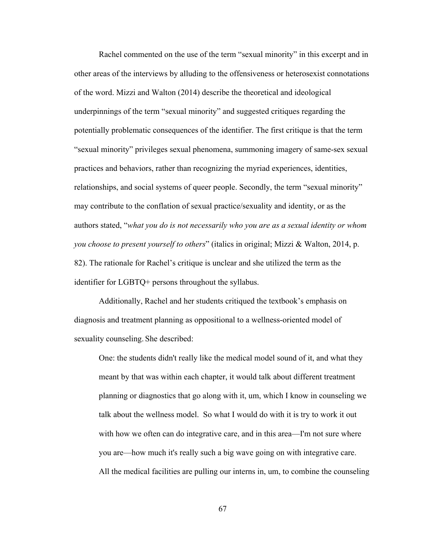Rachel commented on the use of the term "sexual minority" in this excerpt and in other areas of the interviews by alluding to the offensiveness or heterosexist connotations of the word. Mizzi and Walton (2014) describe the theoretical and ideological underpinnings of the term "sexual minority" and suggested critiques regarding the potentially problematic consequences of the identifier. The first critique is that the term "sexual minority" privileges sexual phenomena, summoning imagery of same-sex sexual practices and behaviors, rather than recognizing the myriad experiences, identities, relationships, and social systems of queer people. Secondly, the term "sexual minority" may contribute to the conflation of sexual practice/sexuality and identity, or as the authors stated, "*what you do is not necessarily who you are as a sexual identity or whom you choose to present yourself to others*" (italics in original; Mizzi & Walton, 2014, p. 82). The rationale for Rachel's critique is unclear and she utilized the term as the identifier for LGBTQ+ persons throughout the syllabus.

Additionally, Rachel and her students critiqued the textbook's emphasis on diagnosis and treatment planning as oppositional to a wellness-oriented model of sexuality counseling. She described:

One: the students didn't really like the medical model sound of it, and what they meant by that was within each chapter, it would talk about different treatment planning or diagnostics that go along with it, um, which I know in counseling we talk about the wellness model. So what I would do with it is try to work it out with how we often can do integrative care, and in this area—I'm not sure where you are—how much it's really such a big wave going on with integrative care. All the medical facilities are pulling our interns in, um, to combine the counseling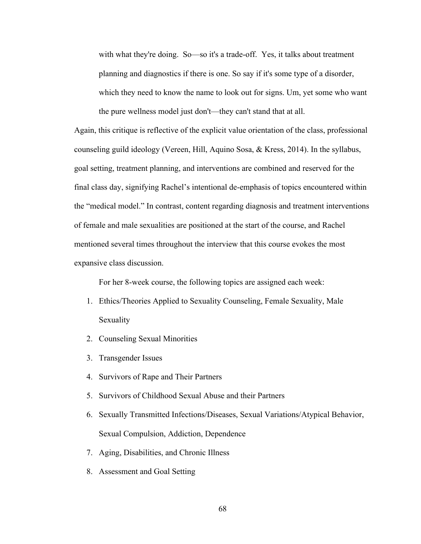with what they're doing. So—so it's a trade-off. Yes, it talks about treatment planning and diagnostics if there is one. So say if it's some type of a disorder, which they need to know the name to look out for signs. Um, yet some who want the pure wellness model just don't—they can't stand that at all.

Again, this critique is reflective of the explicit value orientation of the class, professional counseling guild ideology (Vereen, Hill, Aquino Sosa, & Kress, 2014). In the syllabus, goal setting, treatment planning, and interventions are combined and reserved for the final class day, signifying Rachel's intentional de-emphasis of topics encountered within the "medical model." In contrast, content regarding diagnosis and treatment interventions of female and male sexualities are positioned at the start of the course, and Rachel mentioned several times throughout the interview that this course evokes the most expansive class discussion.

For her 8-week course, the following topics are assigned each week:

- 1. Ethics/Theories Applied to Sexuality Counseling, Female Sexuality, Male Sexuality
- 2. Counseling Sexual Minorities
- 3. Transgender Issues
- 4. Survivors of Rape and Their Partners
- 5. Survivors of Childhood Sexual Abuse and their Partners
- 6. Sexually Transmitted Infections/Diseases, Sexual Variations/Atypical Behavior, Sexual Compulsion, Addiction, Dependence
- 7. Aging, Disabilities, and Chronic Illness
- 8. Assessment and Goal Setting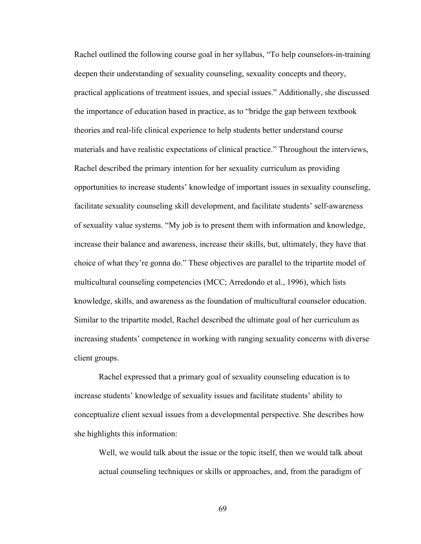Rachel outlined the following course goal in her syllabus, "To help counselors-in-training deepen their understanding of sexuality counseling, sexuality concepts and theory, practical applications of treatment issues, and special issues." Additionally, she discussed the importance of education based in practice, as to "bridge the gap between textbook theories and real-life clinical experience to help students better understand course materials and have realistic expectations of clinical practice." Throughout the interviews, Rachel described the primary intention for her sexuality curriculum as providing opportunities to increase students' knowledge of important issues in sexuality counseling, facilitate sexuality counseling skill development, and facilitate students' self-awareness of sexuality value systems. "My job is to present them with information and knowledge, increase their balance and awareness, increase their skills, but, ultimately, they have that choice of what they're gonna do." These objectives are parallel to the tripartite model of multicultural counseling competencies (MCC; Arredondo et al., 1996), which lists knowledge, skills, and awareness as the foundation of multicultural counselor education. Similar to the tripartite model, Rachel described the ultimate goal of her curriculum as increasing students' competence in working with ranging sexuality concerns with diverse client groups.

Rachel expressed that a primary goal of sexuality counseling education is to increase students' knowledge of sexuality issues and facilitate students' ability to conceptualize client sexual issues from a developmental perspective. She describes how she highlights this information:

Well, we would talk about the issue or the topic itself, then we would talk about actual counseling techniques or skills or approaches, and, from the paradigm of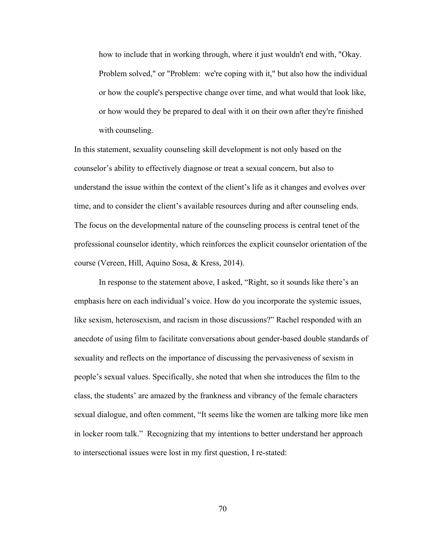how to include that in working through, where it just wouldn't end with, "Okay. Problem solved," or "Problem: we're coping with it," but also how the individual or how the couple's perspective change over time, and what would that look like, or how would they be prepared to deal with it on their own after they're finished with counseling.

In this statement, sexuality counseling skill development is not only based on the counselor's ability to effectively diagnose or treat a sexual concern, but also to understand the issue within the context of the client's life as it changes and evolves over time, and to consider the client's available resources during and after counseling ends. The focus on the developmental nature of the counseling process is central tenet of the professional counselor identity, which reinforces the explicit counselor orientation of the course (Vereen, Hill, Aquino Sosa, & Kress, 2014).

In response to the statement above, I asked, "Right, so it sounds like there's an emphasis here on each individual's voice. How do you incorporate the systemic issues, like sexism, heterosexism, and racism in those discussions?" Rachel responded with an anecdote of using film to facilitate conversations about gender-based double standards of sexuality and reflects on the importance of discussing the pervasiveness of sexism in people's sexual values. Specifically, she noted that when she introduces the film to the class, the students' are amazed by the frankness and vibrancy of the female characters sexual dialogue, and often comment, "It seems like the women are talking more like men in locker room talk." Recognizing that my intentions to better understand her approach to intersectional issues were lost in my first question, I re-stated: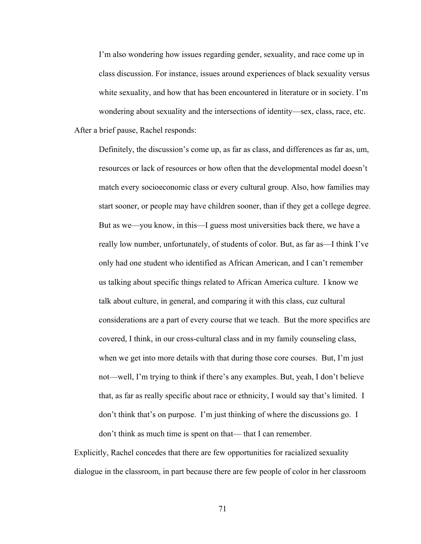I'm also wondering how issues regarding gender, sexuality, and race come up in class discussion. For instance, issues around experiences of black sexuality versus white sexuality, and how that has been encountered in literature or in society. I'm wondering about sexuality and the intersections of identity—sex, class, race, etc. After a brief pause, Rachel responds:

Definitely, the discussion's come up, as far as class, and differences as far as, um, resources or lack of resources or how often that the developmental model doesn't match every socioeconomic class or every cultural group. Also, how families may start sooner, or people may have children sooner, than if they get a college degree. But as we—you know, in this—I guess most universities back there, we have a really low number, unfortunately, of students of color. But, as far as—I think I've only had one student who identified as African American, and I can't remember us talking about specific things related to African America culture. I know we talk about culture, in general, and comparing it with this class, cuz cultural considerations are a part of every course that we teach. But the more specifics are covered, I think, in our cross-cultural class and in my family counseling class, when we get into more details with that during those core courses. But, I'm just not—well, I'm trying to think if there's any examples. But, yeah, I don't believe that, as far as really specific about race or ethnicity, I would say that's limited. I don't think that's on purpose. I'm just thinking of where the discussions go. I don't think as much time is spent on that— that I can remember.

Explicitly, Rachel concedes that there are few opportunities for racialized sexuality dialogue in the classroom, in part because there are few people of color in her classroom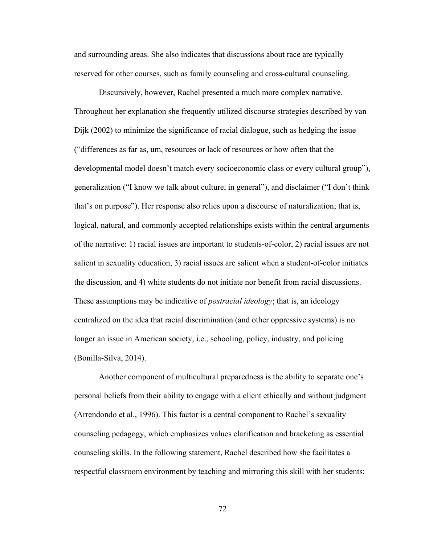and surrounding areas. She also indicates that discussions about race are typically reserved for other courses, such as family counseling and cross-cultural counseling.

Discursively, however, Rachel presented a much more complex narrative. Throughout her explanation she frequently utilized discourse strategies described by van Dijk (2002) to minimize the significance of racial dialogue, such as hedging the issue ("differences as far as, um, resources or lack of resources or how often that the developmental model doesn't match every socioeconomic class or every cultural group"), generalization ("I know we talk about culture, in general"), and disclaimer ("I don't think that's on purpose"). Her response also relies upon a discourse of naturalization; that is, logical, natural, and commonly accepted relationships exists within the central arguments of the narrative: 1) racial issues are important to students-of-color, 2) racial issues are not salient in sexuality education, 3) racial issues are salient when a student-of-color initiates the discussion, and 4) white students do not initiate nor benefit from racial discussions. These assumptions may be indicative of *postracial ideology*; that is, an ideology centralized on the idea that racial discrimination (and other oppressive systems) is no longer an issue in American society, i.e., schooling, policy, industry, and policing (Bonilla-Silva, 2014).

Another component of multicultural preparedness is the ability to separate one's personal beliefs from their ability to engage with a client ethically and without judgment (Arrendondo et al., 1996). This factor is a central component to Rachel's sexuality counseling pedagogy, which emphasizes values clarification and bracketing as essential counseling skills. In the following statement, Rachel described how she facilitates a respectful classroom environment by teaching and mirroring this skill with her students: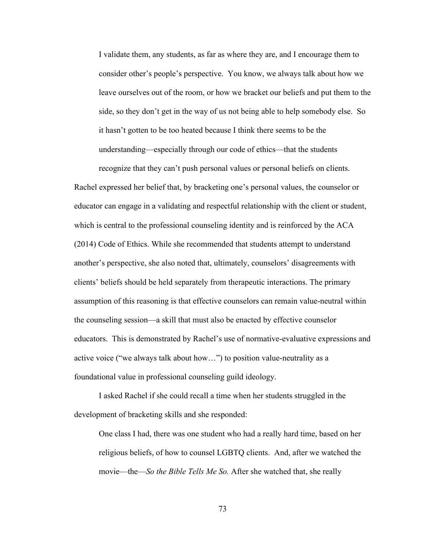I validate them, any students, as far as where they are, and I encourage them to consider other's people's perspective. You know, we always talk about how we leave ourselves out of the room, or how we bracket our beliefs and put them to the side, so they don't get in the way of us not being able to help somebody else. So it hasn't gotten to be too heated because I think there seems to be the understanding—especially through our code of ethics—that the students

recognize that they can't push personal values or personal beliefs on clients. Rachel expressed her belief that, by bracketing one's personal values, the counselor or educator can engage in a validating and respectful relationship with the client or student, which is central to the professional counseling identity and is reinforced by the ACA (2014) Code of Ethics. While she recommended that students attempt to understand another's perspective, she also noted that, ultimately, counselors' disagreements with clients' beliefs should be held separately from therapeutic interactions. The primary assumption of this reasoning is that effective counselors can remain value-neutral within the counseling session—a skill that must also be enacted by effective counselor educators. This is demonstrated by Rachel's use of normative-evaluative expressions and active voice ("we always talk about how…") to position value-neutrality as a foundational value in professional counseling guild ideology.

I asked Rachel if she could recall a time when her students struggled in the development of bracketing skills and she responded:

One class I had, there was one student who had a really hard time, based on her religious beliefs, of how to counsel LGBTQ clients. And, after we watched the movie—the—*So the Bible Tells Me So.* After she watched that, she really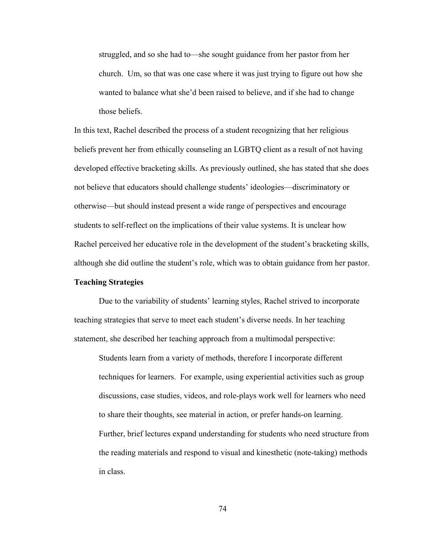struggled, and so she had to—she sought guidance from her pastor from her church. Um, so that was one case where it was just trying to figure out how she wanted to balance what she'd been raised to believe, and if she had to change those beliefs.

In this text, Rachel described the process of a student recognizing that her religious beliefs prevent her from ethically counseling an LGBTQ client as a result of not having developed effective bracketing skills. As previously outlined, she has stated that she does not believe that educators should challenge students' ideologies—discriminatory or otherwise—but should instead present a wide range of perspectives and encourage students to self-reflect on the implications of their value systems. It is unclear how Rachel perceived her educative role in the development of the student's bracketing skills, although she did outline the student's role, which was to obtain guidance from her pastor.

# **Teaching Strategies**

Due to the variability of students' learning styles, Rachel strived to incorporate teaching strategies that serve to meet each student's diverse needs. In her teaching statement, she described her teaching approach from a multimodal perspective:

Students learn from a variety of methods, therefore I incorporate different techniques for learners. For example, using experiential activities such as group discussions, case studies, videos, and role-plays work well for learners who need to share their thoughts, see material in action, or prefer hands-on learning. Further, brief lectures expand understanding for students who need structure from the reading materials and respond to visual and kinesthetic (note-taking) methods in class.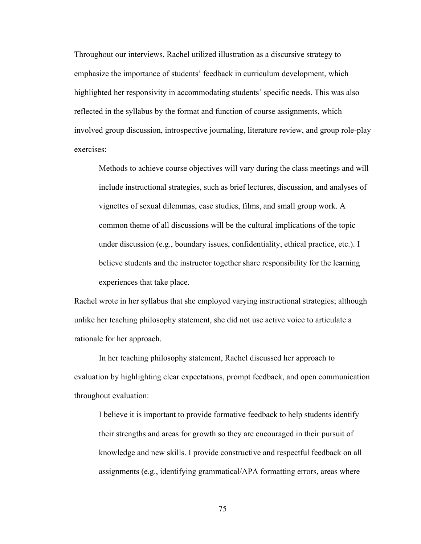Throughout our interviews, Rachel utilized illustration as a discursive strategy to emphasize the importance of students' feedback in curriculum development, which highlighted her responsivity in accommodating students' specific needs. This was also reflected in the syllabus by the format and function of course assignments, which involved group discussion, introspective journaling, literature review, and group role-play exercises:

Methods to achieve course objectives will vary during the class meetings and will include instructional strategies, such as brief lectures, discussion, and analyses of vignettes of sexual dilemmas, case studies, films, and small group work. A common theme of all discussions will be the cultural implications of the topic under discussion (e.g., boundary issues, confidentiality, ethical practice, etc.). I believe students and the instructor together share responsibility for the learning experiences that take place.

Rachel wrote in her syllabus that she employed varying instructional strategies; although unlike her teaching philosophy statement, she did not use active voice to articulate a rationale for her approach.

In her teaching philosophy statement, Rachel discussed her approach to evaluation by highlighting clear expectations, prompt feedback, and open communication throughout evaluation:

I believe it is important to provide formative feedback to help students identify their strengths and areas for growth so they are encouraged in their pursuit of knowledge and new skills. I provide constructive and respectful feedback on all assignments (e.g., identifying grammatical/APA formatting errors, areas where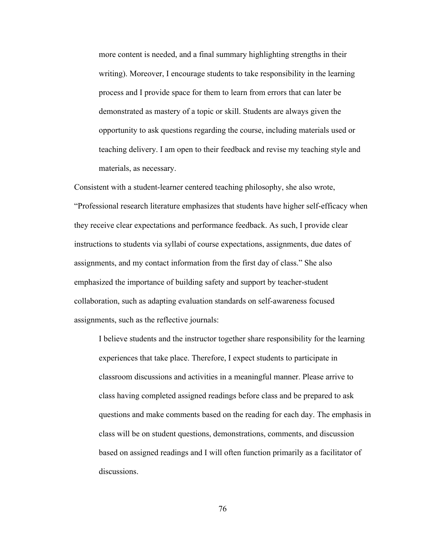more content is needed, and a final summary highlighting strengths in their writing). Moreover, I encourage students to take responsibility in the learning process and I provide space for them to learn from errors that can later be demonstrated as mastery of a topic or skill. Students are always given the opportunity to ask questions regarding the course, including materials used or teaching delivery. I am open to their feedback and revise my teaching style and materials, as necessary.

Consistent with a student-learner centered teaching philosophy, she also wrote, "Professional research literature emphasizes that students have higher self-efficacy when they receive clear expectations and performance feedback. As such, I provide clear instructions to students via syllabi of course expectations, assignments, due dates of assignments, and my contact information from the first day of class." She also emphasized the importance of building safety and support by teacher-student collaboration, such as adapting evaluation standards on self-awareness focused assignments, such as the reflective journals:

I believe students and the instructor together share responsibility for the learning experiences that take place. Therefore, I expect students to participate in classroom discussions and activities in a meaningful manner. Please arrive to class having completed assigned readings before class and be prepared to ask questions and make comments based on the reading for each day. The emphasis in class will be on student questions, demonstrations, comments, and discussion based on assigned readings and I will often function primarily as a facilitator of discussions.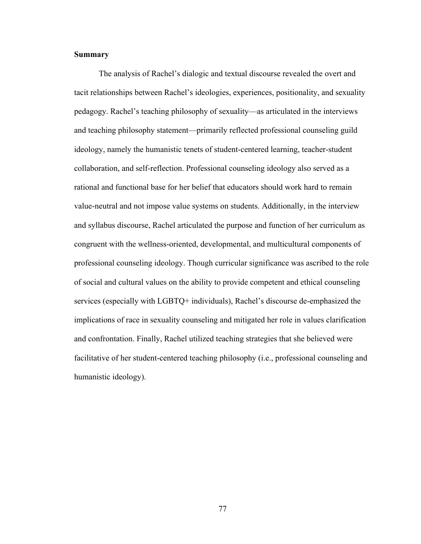## **Summary**

The analysis of Rachel's dialogic and textual discourse revealed the overt and tacit relationships between Rachel's ideologies, experiences, positionality, and sexuality pedagogy. Rachel's teaching philosophy of sexuality—as articulated in the interviews and teaching philosophy statement—primarily reflected professional counseling guild ideology, namely the humanistic tenets of student-centered learning, teacher-student collaboration, and self-reflection. Professional counseling ideology also served as a rational and functional base for her belief that educators should work hard to remain value-neutral and not impose value systems on students. Additionally, in the interview and syllabus discourse, Rachel articulated the purpose and function of her curriculum as congruent with the wellness-oriented, developmental, and multicultural components of professional counseling ideology. Though curricular significance was ascribed to the role of social and cultural values on the ability to provide competent and ethical counseling services (especially with LGBTQ+ individuals), Rachel's discourse de-emphasized the implications of race in sexuality counseling and mitigated her role in values clarification and confrontation. Finally, Rachel utilized teaching strategies that she believed were facilitative of her student-centered teaching philosophy (i.e., professional counseling and humanistic ideology).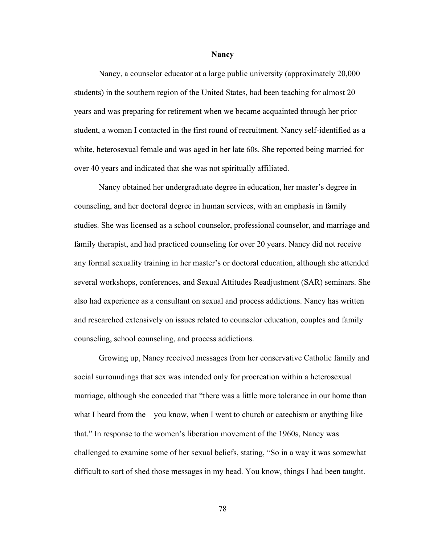#### **Nancy**

Nancy, a counselor educator at a large public university (approximately 20,000 students) in the southern region of the United States, had been teaching for almost 20 years and was preparing for retirement when we became acquainted through her prior student, a woman I contacted in the first round of recruitment. Nancy self-identified as a white, heterosexual female and was aged in her late 60s. She reported being married for over 40 years and indicated that she was not spiritually affiliated.

Nancy obtained her undergraduate degree in education, her master's degree in counseling, and her doctoral degree in human services, with an emphasis in family studies. She was licensed as a school counselor, professional counselor, and marriage and family therapist, and had practiced counseling for over 20 years. Nancy did not receive any formal sexuality training in her master's or doctoral education, although she attended several workshops, conferences, and Sexual Attitudes Readjustment (SAR) seminars. She also had experience as a consultant on sexual and process addictions. Nancy has written and researched extensively on issues related to counselor education, couples and family counseling, school counseling, and process addictions.

Growing up, Nancy received messages from her conservative Catholic family and social surroundings that sex was intended only for procreation within a heterosexual marriage, although she conceded that "there was a little more tolerance in our home than what I heard from the—you know, when I went to church or catechism or anything like that." In response to the women's liberation movement of the 1960s, Nancy was challenged to examine some of her sexual beliefs, stating, "So in a way it was somewhat difficult to sort of shed those messages in my head. You know, things I had been taught.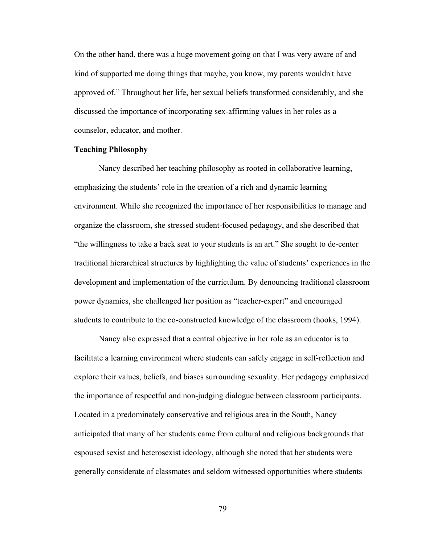On the other hand, there was a huge movement going on that I was very aware of and kind of supported me doing things that maybe, you know, my parents wouldn't have approved of." Throughout her life, her sexual beliefs transformed considerably, and she discussed the importance of incorporating sex-affirming values in her roles as a counselor, educator, and mother.

## **Teaching Philosophy**

Nancy described her teaching philosophy as rooted in collaborative learning, emphasizing the students' role in the creation of a rich and dynamic learning environment. While she recognized the importance of her responsibilities to manage and organize the classroom, she stressed student-focused pedagogy, and she described that "the willingness to take a back seat to your students is an art." She sought to de-center traditional hierarchical structures by highlighting the value of students' experiences in the development and implementation of the curriculum. By denouncing traditional classroom power dynamics, she challenged her position as "teacher-expert" and encouraged students to contribute to the co-constructed knowledge of the classroom (hooks, 1994).

Nancy also expressed that a central objective in her role as an educator is to facilitate a learning environment where students can safely engage in self-reflection and explore their values, beliefs, and biases surrounding sexuality. Her pedagogy emphasized the importance of respectful and non-judging dialogue between classroom participants. Located in a predominately conservative and religious area in the South, Nancy anticipated that many of her students came from cultural and religious backgrounds that espoused sexist and heterosexist ideology, although she noted that her students were generally considerate of classmates and seldom witnessed opportunities where students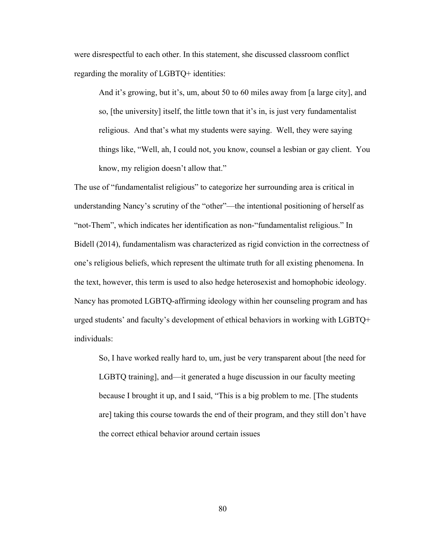were disrespectful to each other. In this statement, she discussed classroom conflict regarding the morality of LGBTQ+ identities:

And it's growing, but it's, um, about 50 to 60 miles away from [a large city], and so, [the university] itself, the little town that it's in, is just very fundamentalist religious. And that's what my students were saying. Well, they were saying things like, "Well, ah, I could not, you know, counsel a lesbian or gay client. You know, my religion doesn't allow that."

The use of "fundamentalist religious" to categorize her surrounding area is critical in understanding Nancy's scrutiny of the "other"—the intentional positioning of herself as "not-Them", which indicates her identification as non-"fundamentalist religious." In Bidell (2014), fundamentalism was characterized as rigid conviction in the correctness of one's religious beliefs, which represent the ultimate truth for all existing phenomena. In the text, however, this term is used to also hedge heterosexist and homophobic ideology. Nancy has promoted LGBTQ-affirming ideology within her counseling program and has urged students' and faculty's development of ethical behaviors in working with LGBTQ+ individuals:

So, I have worked really hard to, um, just be very transparent about [the need for LGBTQ training], and—it generated a huge discussion in our faculty meeting because I brought it up, and I said, "This is a big problem to me. [The students are] taking this course towards the end of their program, and they still don't have the correct ethical behavior around certain issues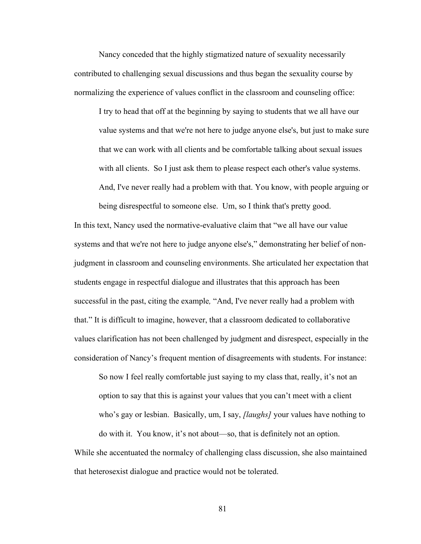Nancy conceded that the highly stigmatized nature of sexuality necessarily contributed to challenging sexual discussions and thus began the sexuality course by normalizing the experience of values conflict in the classroom and counseling office:

I try to head that off at the beginning by saying to students that we all have our value systems and that we're not here to judge anyone else's, but just to make sure that we can work with all clients and be comfortable talking about sexual issues with all clients. So I just ask them to please respect each other's value systems. And, I've never really had a problem with that. You know, with people arguing or

being disrespectful to someone else. Um, so I think that's pretty good. In this text, Nancy used the normative-evaluative claim that "we all have our value systems and that we're not here to judge anyone else's," demonstrating her belief of nonjudgment in classroom and counseling environments. She articulated her expectation that students engage in respectful dialogue and illustrates that this approach has been successful in the past, citing the example*,* "And, I've never really had a problem with that." It is difficult to imagine, however, that a classroom dedicated to collaborative values clarification has not been challenged by judgment and disrespect, especially in the consideration of Nancy's frequent mention of disagreements with students. For instance:

So now I feel really comfortable just saying to my class that, really, it's not an option to say that this is against your values that you can't meet with a client who's gay or lesbian. Basically, um, I say, *[laughs]* your values have nothing to do with it. You know, it's not about—so, that is definitely not an option.

While she accentuated the normalcy of challenging class discussion, she also maintained that heterosexist dialogue and practice would not be tolerated.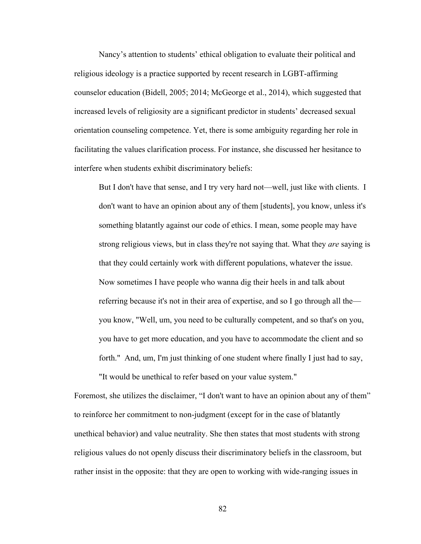Nancy's attention to students' ethical obligation to evaluate their political and religious ideology is a practice supported by recent research in LGBT-affirming counselor education (Bidell, 2005; 2014; McGeorge et al., 2014), which suggested that increased levels of religiosity are a significant predictor in students' decreased sexual orientation counseling competence. Yet, there is some ambiguity regarding her role in facilitating the values clarification process. For instance, she discussed her hesitance to interfere when students exhibit discriminatory beliefs:

But I don't have that sense, and I try very hard not—well, just like with clients. I don't want to have an opinion about any of them [students], you know, unless it's something blatantly against our code of ethics. I mean, some people may have strong religious views, but in class they're not saying that. What they *are* saying is that they could certainly work with different populations, whatever the issue. Now sometimes I have people who wanna dig their heels in and talk about referring because it's not in their area of expertise, and so I go through all the you know, "Well, um, you need to be culturally competent, and so that's on you, you have to get more education, and you have to accommodate the client and so forth." And, um, I'm just thinking of one student where finally I just had to say,

"It would be unethical to refer based on your value system."

Foremost, she utilizes the disclaimer, "I don't want to have an opinion about any of them" to reinforce her commitment to non-judgment (except for in the case of blatantly unethical behavior) and value neutrality. She then states that most students with strong religious values do not openly discuss their discriminatory beliefs in the classroom, but rather insist in the opposite: that they are open to working with wide-ranging issues in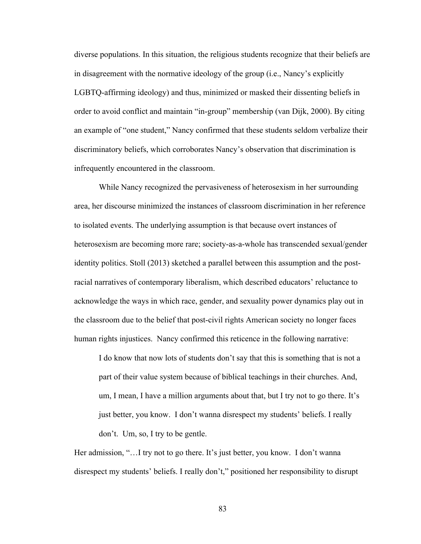diverse populations. In this situation, the religious students recognize that their beliefs are in disagreement with the normative ideology of the group (i.e., Nancy's explicitly LGBTQ-affirming ideology) and thus, minimized or masked their dissenting beliefs in order to avoid conflict and maintain "in-group" membership (van Dijk, 2000). By citing an example of "one student," Nancy confirmed that these students seldom verbalize their discriminatory beliefs, which corroborates Nancy's observation that discrimination is infrequently encountered in the classroom.

While Nancy recognized the pervasiveness of heterosexism in her surrounding area, her discourse minimized the instances of classroom discrimination in her reference to isolated events. The underlying assumption is that because overt instances of heterosexism are becoming more rare; society-as-a-whole has transcended sexual/gender identity politics. Stoll (2013) sketched a parallel between this assumption and the postracial narratives of contemporary liberalism, which described educators' reluctance to acknowledge the ways in which race, gender, and sexuality power dynamics play out in the classroom due to the belief that post-civil rights American society no longer faces human rights injustices. Nancy confirmed this reticence in the following narrative:

I do know that now lots of students don't say that this is something that is not a part of their value system because of biblical teachings in their churches. And, um, I mean, I have a million arguments about that, but I try not to go there. It's just better, you know. I don't wanna disrespect my students' beliefs. I really don't. Um, so, I try to be gentle.

Her admission, "... I try not to go there. It's just better, you know. I don't wanna disrespect my students' beliefs. I really don't," positioned her responsibility to disrupt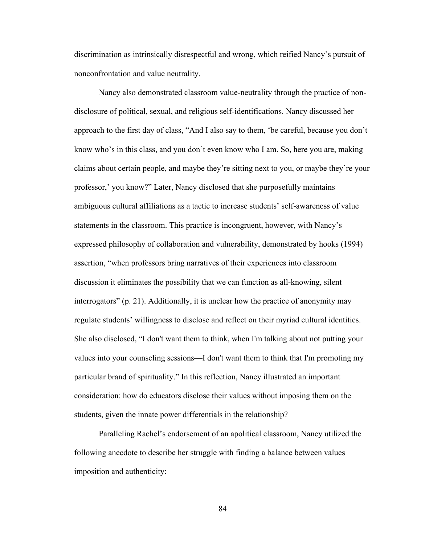discrimination as intrinsically disrespectful and wrong, which reified Nancy's pursuit of nonconfrontation and value neutrality.

Nancy also demonstrated classroom value-neutrality through the practice of nondisclosure of political, sexual, and religious self-identifications. Nancy discussed her approach to the first day of class, "And I also say to them, 'be careful, because you don't know who's in this class, and you don't even know who I am. So, here you are, making claims about certain people, and maybe they're sitting next to you, or maybe they're your professor,' you know?" Later, Nancy disclosed that she purposefully maintains ambiguous cultural affiliations as a tactic to increase students' self-awareness of value statements in the classroom. This practice is incongruent, however, with Nancy's expressed philosophy of collaboration and vulnerability, demonstrated by hooks (1994) assertion, "when professors bring narratives of their experiences into classroom discussion it eliminates the possibility that we can function as all-knowing, silent interrogators" (p. 21). Additionally, it is unclear how the practice of anonymity may regulate students' willingness to disclose and reflect on their myriad cultural identities. She also disclosed, "I don't want them to think, when I'm talking about not putting your values into your counseling sessions—I don't want them to think that I'm promoting my particular brand of spirituality." In this reflection, Nancy illustrated an important consideration: how do educators disclose their values without imposing them on the students, given the innate power differentials in the relationship?

Paralleling Rachel's endorsement of an apolitical classroom, Nancy utilized the following anecdote to describe her struggle with finding a balance between values imposition and authenticity: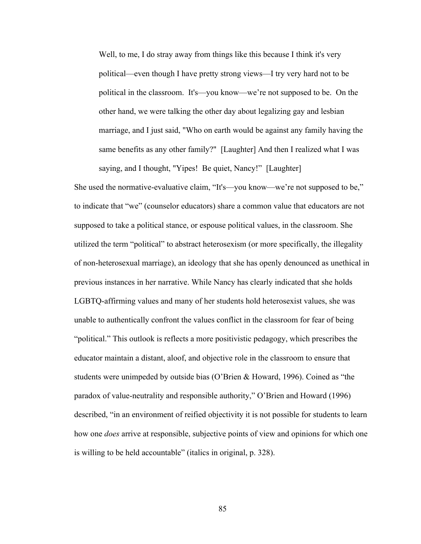Well, to me, I do stray away from things like this because I think it's very political—even though I have pretty strong views—I try very hard not to be political in the classroom. It's—you know—we're not supposed to be. On the other hand, we were talking the other day about legalizing gay and lesbian marriage, and I just said, "Who on earth would be against any family having the same benefits as any other family?" [Laughter] And then I realized what I was saying, and I thought, "Yipes! Be quiet, Nancy!" [Laughter]

She used the normative-evaluative claim, "It's—you know—we're not supposed to be," to indicate that "we" (counselor educators) share a common value that educators are not supposed to take a political stance, or espouse political values, in the classroom. She utilized the term "political" to abstract heterosexism (or more specifically, the illegality of non-heterosexual marriage), an ideology that she has openly denounced as unethical in previous instances in her narrative. While Nancy has clearly indicated that she holds LGBTQ-affirming values and many of her students hold heterosexist values, she was unable to authentically confront the values conflict in the classroom for fear of being "political." This outlook is reflects a more positivistic pedagogy, which prescribes the educator maintain a distant, aloof, and objective role in the classroom to ensure that students were unimpeded by outside bias (O'Brien & Howard, 1996). Coined as "the paradox of value-neutrality and responsible authority," O'Brien and Howard (1996) described, "in an environment of reified objectivity it is not possible for students to learn how one *does* arrive at responsible, subjective points of view and opinions for which one is willing to be held accountable" (italics in original, p. 328).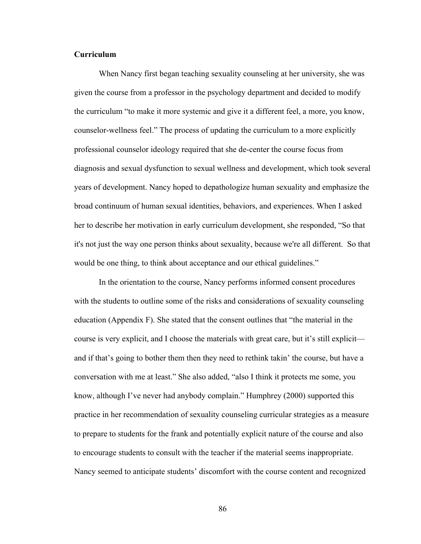## **Curriculum**

When Nancy first began teaching sexuality counseling at her university, she was given the course from a professor in the psychology department and decided to modify the curriculum "to make it more systemic and give it a different feel, a more, you know, counselor-wellness feel." The process of updating the curriculum to a more explicitly professional counselor ideology required that she de-center the course focus from diagnosis and sexual dysfunction to sexual wellness and development, which took several years of development. Nancy hoped to depathologize human sexuality and emphasize the broad continuum of human sexual identities, behaviors, and experiences. When I asked her to describe her motivation in early curriculum development, she responded, "So that it's not just the way one person thinks about sexuality, because we're all different. So that would be one thing, to think about acceptance and our ethical guidelines."

In the orientation to the course, Nancy performs informed consent procedures with the students to outline some of the risks and considerations of sexuality counseling education (Appendix F). She stated that the consent outlines that "the material in the course is very explicit, and I choose the materials with great care, but it's still explicit and if that's going to bother them then they need to rethink takin' the course, but have a conversation with me at least." She also added, "also I think it protects me some, you know, although I've never had anybody complain." Humphrey (2000) supported this practice in her recommendation of sexuality counseling curricular strategies as a measure to prepare to students for the frank and potentially explicit nature of the course and also to encourage students to consult with the teacher if the material seems inappropriate. Nancy seemed to anticipate students' discomfort with the course content and recognized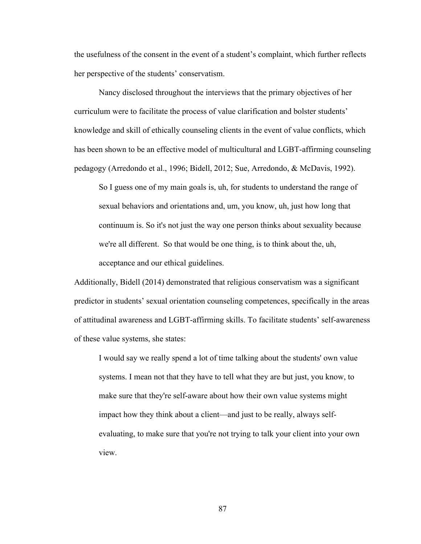the usefulness of the consent in the event of a student's complaint, which further reflects her perspective of the students' conservatism.

Nancy disclosed throughout the interviews that the primary objectives of her curriculum were to facilitate the process of value clarification and bolster students' knowledge and skill of ethically counseling clients in the event of value conflicts, which has been shown to be an effective model of multicultural and LGBT-affirming counseling pedagogy (Arredondo et al., 1996; Bidell, 2012; Sue, Arredondo, & McDavis, 1992).

So I guess one of my main goals is, uh, for students to understand the range of sexual behaviors and orientations and, um, you know, uh, just how long that continuum is. So it's not just the way one person thinks about sexuality because we're all different. So that would be one thing, is to think about the, uh, acceptance and our ethical guidelines.

Additionally, Bidell (2014) demonstrated that religious conservatism was a significant predictor in students' sexual orientation counseling competences, specifically in the areas of attitudinal awareness and LGBT-affirming skills. To facilitate students' self-awareness of these value systems, she states:

I would say we really spend a lot of time talking about the students' own value systems. I mean not that they have to tell what they are but just, you know, to make sure that they're self-aware about how their own value systems might impact how they think about a client—and just to be really, always selfevaluating, to make sure that you're not trying to talk your client into your own view.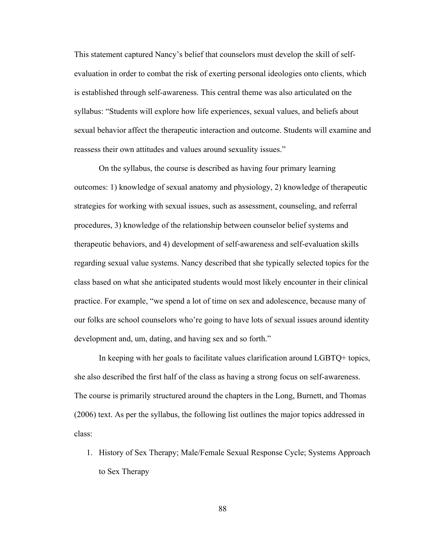This statement captured Nancy's belief that counselors must develop the skill of selfevaluation in order to combat the risk of exerting personal ideologies onto clients, which is established through self-awareness. This central theme was also articulated on the syllabus: "Students will explore how life experiences, sexual values, and beliefs about sexual behavior affect the therapeutic interaction and outcome. Students will examine and reassess their own attitudes and values around sexuality issues."

On the syllabus, the course is described as having four primary learning outcomes: 1) knowledge of sexual anatomy and physiology, 2) knowledge of therapeutic strategies for working with sexual issues, such as assessment, counseling, and referral procedures, 3) knowledge of the relationship between counselor belief systems and therapeutic behaviors, and 4) development of self-awareness and self-evaluation skills regarding sexual value systems. Nancy described that she typically selected topics for the class based on what she anticipated students would most likely encounter in their clinical practice. For example, "we spend a lot of time on sex and adolescence, because many of our folks are school counselors who're going to have lots of sexual issues around identity development and, um, dating, and having sex and so forth."

In keeping with her goals to facilitate values clarification around LGBTQ+ topics, she also described the first half of the class as having a strong focus on self-awareness. The course is primarily structured around the chapters in the Long, Burnett, and Thomas (2006) text. As per the syllabus, the following list outlines the major topics addressed in class:

1. History of Sex Therapy; Male/Female Sexual Response Cycle; Systems Approach to Sex Therapy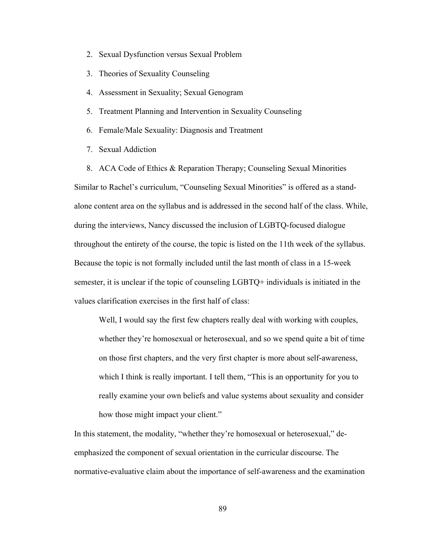- 2. Sexual Dysfunction versus Sexual Problem
- 3. Theories of Sexuality Counseling
- 4. Assessment in Sexuality; Sexual Genogram
- 5. Treatment Planning and Intervention in Sexuality Counseling
- 6. Female/Male Sexuality: Diagnosis and Treatment
- 7. Sexual Addiction

8. ACA Code of Ethics & Reparation Therapy; Counseling Sexual Minorities Similar to Rachel's curriculum, "Counseling Sexual Minorities" is offered as a standalone content area on the syllabus and is addressed in the second half of the class. While, during the interviews, Nancy discussed the inclusion of LGBTQ-focused dialogue throughout the entirety of the course, the topic is listed on the 11th week of the syllabus. Because the topic is not formally included until the last month of class in a 15-week semester, it is unclear if the topic of counseling LGBTQ+ individuals is initiated in the values clarification exercises in the first half of class:

Well, I would say the first few chapters really deal with working with couples, whether they're homosexual or heterosexual, and so we spend quite a bit of time on those first chapters, and the very first chapter is more about self-awareness, which I think is really important. I tell them, "This is an opportunity for you to really examine your own beliefs and value systems about sexuality and consider how those might impact your client."

In this statement, the modality, "whether they're homosexual or heterosexual," deemphasized the component of sexual orientation in the curricular discourse. The normative-evaluative claim about the importance of self-awareness and the examination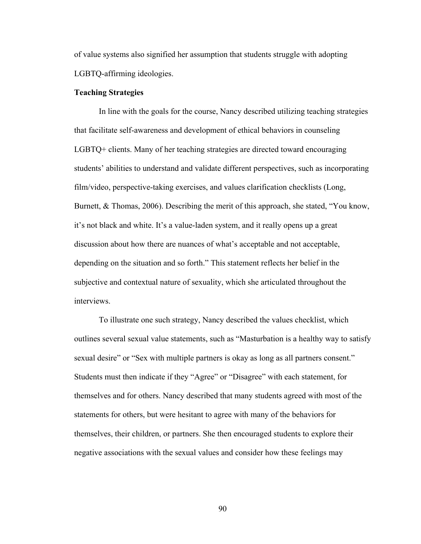of value systems also signified her assumption that students struggle with adopting LGBTQ-affirming ideologies.

### **Teaching Strategies**

In line with the goals for the course, Nancy described utilizing teaching strategies that facilitate self-awareness and development of ethical behaviors in counseling LGBTQ+ clients. Many of her teaching strategies are directed toward encouraging students' abilities to understand and validate different perspectives, such as incorporating film/video, perspective-taking exercises, and values clarification checklists (Long, Burnett, & Thomas, 2006). Describing the merit of this approach, she stated, "You know, it's not black and white. It's a value-laden system, and it really opens up a great discussion about how there are nuances of what's acceptable and not acceptable, depending on the situation and so forth." This statement reflects her belief in the subjective and contextual nature of sexuality, which she articulated throughout the interviews.

To illustrate one such strategy, Nancy described the values checklist, which outlines several sexual value statements, such as "Masturbation is a healthy way to satisfy sexual desire" or "Sex with multiple partners is okay as long as all partners consent." Students must then indicate if they "Agree" or "Disagree" with each statement, for themselves and for others. Nancy described that many students agreed with most of the statements for others, but were hesitant to agree with many of the behaviors for themselves, their children, or partners. She then encouraged students to explore their negative associations with the sexual values and consider how these feelings may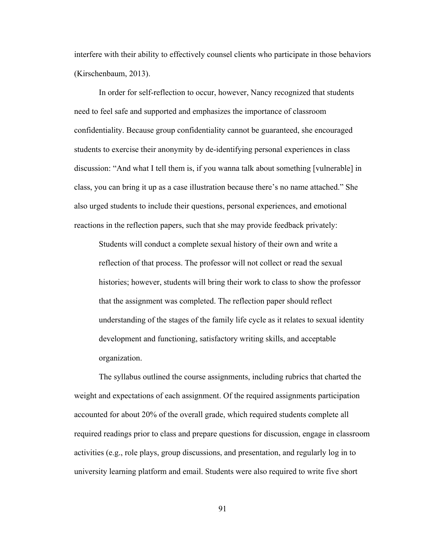interfere with their ability to effectively counsel clients who participate in those behaviors (Kirschenbaum, 2013).

In order for self-reflection to occur, however, Nancy recognized that students need to feel safe and supported and emphasizes the importance of classroom confidentiality. Because group confidentiality cannot be guaranteed, she encouraged students to exercise their anonymity by de-identifying personal experiences in class discussion: "And what I tell them is, if you wanna talk about something [vulnerable] in class, you can bring it up as a case illustration because there's no name attached." She also urged students to include their questions, personal experiences, and emotional reactions in the reflection papers, such that she may provide feedback privately:

Students will conduct a complete sexual history of their own and write a reflection of that process. The professor will not collect or read the sexual histories; however, students will bring their work to class to show the professor that the assignment was completed. The reflection paper should reflect understanding of the stages of the family life cycle as it relates to sexual identity development and functioning, satisfactory writing skills, and acceptable organization.

The syllabus outlined the course assignments, including rubrics that charted the weight and expectations of each assignment. Of the required assignments participation accounted for about 20% of the overall grade, which required students complete all required readings prior to class and prepare questions for discussion, engage in classroom activities (e.g., role plays, group discussions, and presentation, and regularly log in to university learning platform and email. Students were also required to write five short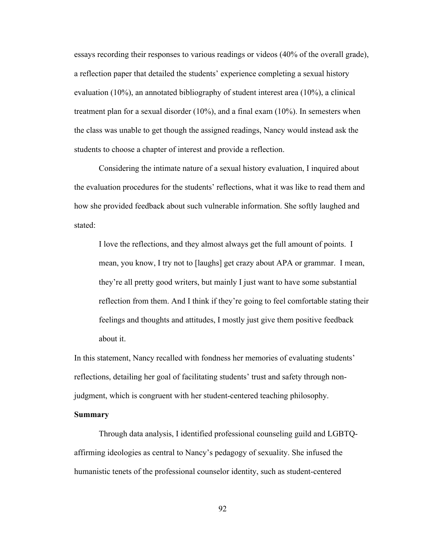essays recording their responses to various readings or videos (40% of the overall grade), a reflection paper that detailed the students' experience completing a sexual history evaluation (10%), an annotated bibliography of student interest area (10%), a clinical treatment plan for a sexual disorder (10%), and a final exam (10%). In semesters when the class was unable to get though the assigned readings, Nancy would instead ask the students to choose a chapter of interest and provide a reflection.

Considering the intimate nature of a sexual history evaluation, I inquired about the evaluation procedures for the students' reflections, what it was like to read them and how she provided feedback about such vulnerable information. She softly laughed and stated:

I love the reflections, and they almost always get the full amount of points. I mean, you know, I try not to [laughs] get crazy about APA or grammar. I mean, they're all pretty good writers, but mainly I just want to have some substantial reflection from them. And I think if they're going to feel comfortable stating their feelings and thoughts and attitudes, I mostly just give them positive feedback about it.

In this statement, Nancy recalled with fondness her memories of evaluating students' reflections, detailing her goal of facilitating students' trust and safety through nonjudgment, which is congruent with her student-centered teaching philosophy.

#### **Summary**

Through data analysis, I identified professional counseling guild and LGBTQaffirming ideologies as central to Nancy's pedagogy of sexuality. She infused the humanistic tenets of the professional counselor identity, such as student-centered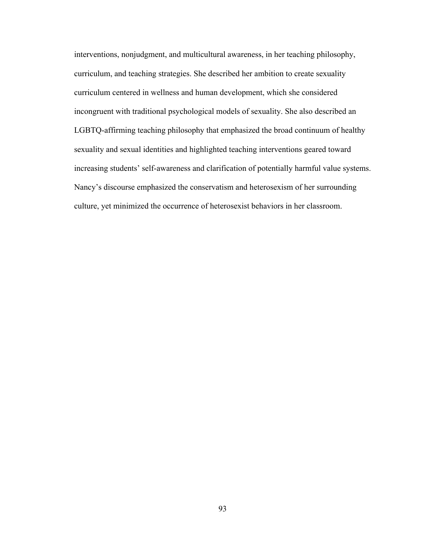interventions, nonjudgment, and multicultural awareness, in her teaching philosophy, curriculum, and teaching strategies. She described her ambition to create sexuality curriculum centered in wellness and human development, which she considered incongruent with traditional psychological models of sexuality. She also described an LGBTQ-affirming teaching philosophy that emphasized the broad continuum of healthy sexuality and sexual identities and highlighted teaching interventions geared toward increasing students' self-awareness and clarification of potentially harmful value systems. Nancy's discourse emphasized the conservatism and heterosexism of her surrounding culture, yet minimized the occurrence of heterosexist behaviors in her classroom.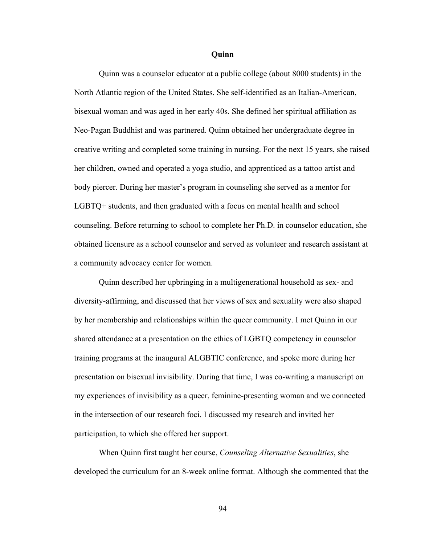#### **Quinn**

Quinn was a counselor educator at a public college (about 8000 students) in the North Atlantic region of the United States. She self-identified as an Italian-American, bisexual woman and was aged in her early 40s. She defined her spiritual affiliation as Neo-Pagan Buddhist and was partnered. Quinn obtained her undergraduate degree in creative writing and completed some training in nursing. For the next 15 years, she raised her children, owned and operated a yoga studio, and apprenticed as a tattoo artist and body piercer. During her master's program in counseling she served as a mentor for LGBTQ+ students, and then graduated with a focus on mental health and school counseling. Before returning to school to complete her Ph.D. in counselor education, she obtained licensure as a school counselor and served as volunteer and research assistant at a community advocacy center for women.

Quinn described her upbringing in a multigenerational household as sex- and diversity-affirming, and discussed that her views of sex and sexuality were also shaped by her membership and relationships within the queer community. I met Quinn in our shared attendance at a presentation on the ethics of LGBTQ competency in counselor training programs at the inaugural ALGBTIC conference, and spoke more during her presentation on bisexual invisibility. During that time, I was co-writing a manuscript on my experiences of invisibility as a queer, feminine-presenting woman and we connected in the intersection of our research foci. I discussed my research and invited her participation, to which she offered her support.

When Quinn first taught her course, *Counseling Alternative Sexualities*, she developed the curriculum for an 8-week online format. Although she commented that the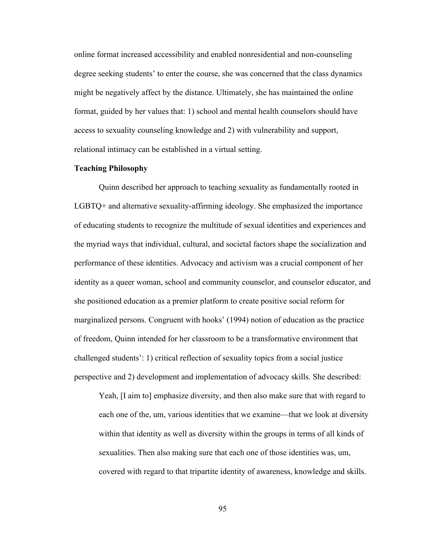online format increased accessibility and enabled nonresidential and non-counseling degree seeking students' to enter the course, she was concerned that the class dynamics might be negatively affect by the distance. Ultimately, she has maintained the online format, guided by her values that: 1) school and mental health counselors should have access to sexuality counseling knowledge and 2) with vulnerability and support, relational intimacy can be established in a virtual setting.

#### **Teaching Philosophy**

Quinn described her approach to teaching sexuality as fundamentally rooted in LGBTQ+ and alternative sexuality-affirming ideology. She emphasized the importance of educating students to recognize the multitude of sexual identities and experiences and the myriad ways that individual, cultural, and societal factors shape the socialization and performance of these identities. Advocacy and activism was a crucial component of her identity as a queer woman, school and community counselor, and counselor educator, and she positioned education as a premier platform to create positive social reform for marginalized persons. Congruent with hooks' (1994) notion of education as the practice of freedom, Quinn intended for her classroom to be a transformative environment that challenged students': 1) critical reflection of sexuality topics from a social justice perspective and 2) development and implementation of advocacy skills. She described:

Yeah, [I aim to] emphasize diversity, and then also make sure that with regard to each one of the, um, various identities that we examine—that we look at diversity within that identity as well as diversity within the groups in terms of all kinds of sexualities. Then also making sure that each one of those identities was, um, covered with regard to that tripartite identity of awareness, knowledge and skills.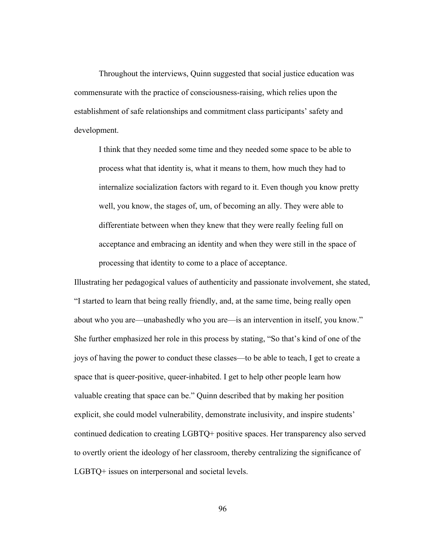Throughout the interviews, Quinn suggested that social justice education was commensurate with the practice of consciousness-raising, which relies upon the establishment of safe relationships and commitment class participants' safety and development.

I think that they needed some time and they needed some space to be able to process what that identity is, what it means to them, how much they had to internalize socialization factors with regard to it. Even though you know pretty well, you know, the stages of, um, of becoming an ally. They were able to differentiate between when they knew that they were really feeling full on acceptance and embracing an identity and when they were still in the space of processing that identity to come to a place of acceptance.

Illustrating her pedagogical values of authenticity and passionate involvement, she stated, "I started to learn that being really friendly, and, at the same time, being really open about who you are—unabashedly who you are—is an intervention in itself, you know." She further emphasized her role in this process by stating, "So that's kind of one of the joys of having the power to conduct these classes—to be able to teach, I get to create a space that is queer-positive, queer-inhabited. I get to help other people learn how valuable creating that space can be." Quinn described that by making her position explicit, she could model vulnerability, demonstrate inclusivity, and inspire students' continued dedication to creating LGBTQ+ positive spaces. Her transparency also served to overtly orient the ideology of her classroom, thereby centralizing the significance of LGBTQ+ issues on interpersonal and societal levels.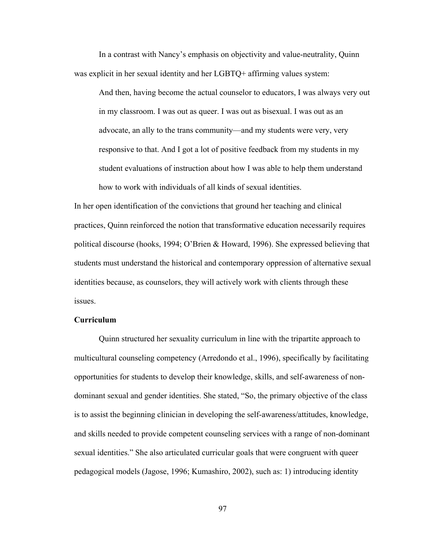In a contrast with Nancy's emphasis on objectivity and value-neutrality, Quinn was explicit in her sexual identity and her LGBTQ+ affirming values system:

And then, having become the actual counselor to educators, I was always very out in my classroom. I was out as queer. I was out as bisexual. I was out as an advocate, an ally to the trans community—and my students were very, very responsive to that. And I got a lot of positive feedback from my students in my student evaluations of instruction about how I was able to help them understand how to work with individuals of all kinds of sexual identities.

In her open identification of the convictions that ground her teaching and clinical practices, Quinn reinforced the notion that transformative education necessarily requires political discourse (hooks, 1994; O'Brien & Howard, 1996). She expressed believing that students must understand the historical and contemporary oppression of alternative sexual identities because, as counselors, they will actively work with clients through these issues.

## **Curriculum**

Quinn structured her sexuality curriculum in line with the tripartite approach to multicultural counseling competency (Arredondo et al., 1996), specifically by facilitating opportunities for students to develop their knowledge, skills, and self-awareness of nondominant sexual and gender identities. She stated, "So, the primary objective of the class is to assist the beginning clinician in developing the self-awareness/attitudes, knowledge, and skills needed to provide competent counseling services with a range of non-dominant sexual identities." She also articulated curricular goals that were congruent with queer pedagogical models (Jagose, 1996; Kumashiro, 2002), such as: 1) introducing identity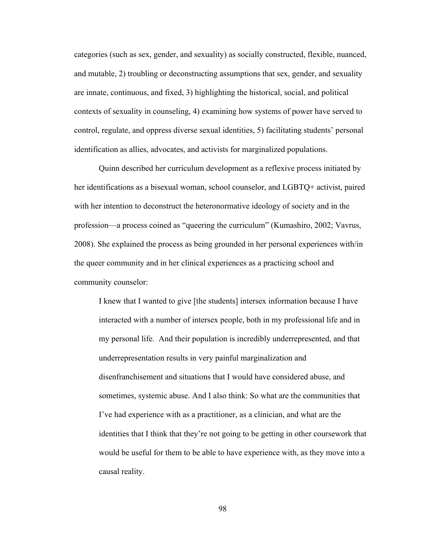categories (such as sex, gender, and sexuality) as socially constructed, flexible, nuanced, and mutable, 2) troubling or deconstructing assumptions that sex, gender, and sexuality are innate, continuous, and fixed, 3) highlighting the historical, social, and political contexts of sexuality in counseling, 4) examining how systems of power have served to control, regulate, and oppress diverse sexual identities, 5) facilitating students' personal identification as allies, advocates, and activists for marginalized populations.

Quinn described her curriculum development as a reflexive process initiated by her identifications as a bisexual woman, school counselor, and LGBTQ+ activist, paired with her intention to deconstruct the heteronormative ideology of society and in the profession—a process coined as "queering the curriculum" (Kumashiro, 2002; Vavrus, 2008). She explained the process as being grounded in her personal experiences with/in the queer community and in her clinical experiences as a practicing school and community counselor:

I knew that I wanted to give [the students] intersex information because I have interacted with a number of intersex people, both in my professional life and in my personal life. And their population is incredibly underrepresented, and that underrepresentation results in very painful marginalization and disenfranchisement and situations that I would have considered abuse, and sometimes, systemic abuse. And I also think: So what are the communities that I've had experience with as a practitioner, as a clinician, and what are the identities that I think that they're not going to be getting in other coursework that would be useful for them to be able to have experience with, as they move into a causal reality.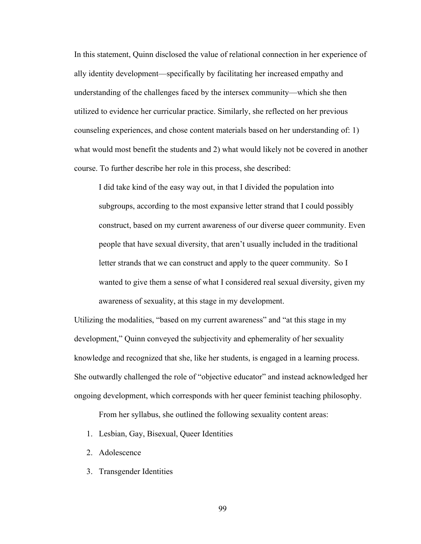In this statement, Quinn disclosed the value of relational connection in her experience of ally identity development—specifically by facilitating her increased empathy and understanding of the challenges faced by the intersex community—which she then utilized to evidence her curricular practice. Similarly, she reflected on her previous counseling experiences, and chose content materials based on her understanding of: 1) what would most benefit the students and 2) what would likely not be covered in another course. To further describe her role in this process, she described:

I did take kind of the easy way out, in that I divided the population into subgroups, according to the most expansive letter strand that I could possibly construct, based on my current awareness of our diverse queer community. Even people that have sexual diversity, that aren't usually included in the traditional letter strands that we can construct and apply to the queer community. So I wanted to give them a sense of what I considered real sexual diversity, given my awareness of sexuality, at this stage in my development.

Utilizing the modalities, "based on my current awareness" and "at this stage in my development," Quinn conveyed the subjectivity and ephemerality of her sexuality knowledge and recognized that she, like her students, is engaged in a learning process. She outwardly challenged the role of "objective educator" and instead acknowledged her ongoing development, which corresponds with her queer feminist teaching philosophy.

From her syllabus, she outlined the following sexuality content areas:

- 1. Lesbian, Gay, Bisexual, Queer Identities
- 2. Adolescence
- 3. Transgender Identities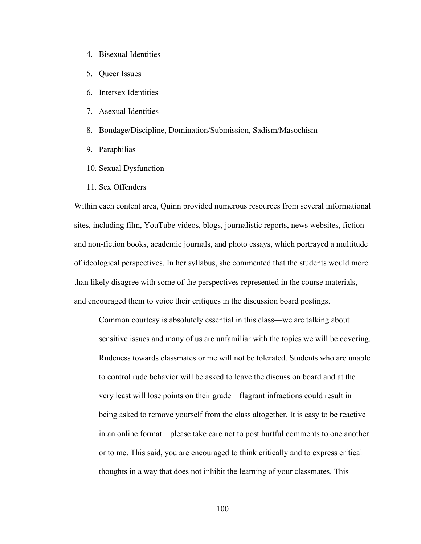- 4. Bisexual Identities
- 5. Queer Issues
- 6. Intersex Identities
- 7. Asexual Identities
- 8. Bondage/Discipline, Domination/Submission, Sadism/Masochism
- 9. Paraphilias
- 10. Sexual Dysfunction
- 11. Sex Offenders

Within each content area, Quinn provided numerous resources from several informational sites, including film, YouTube videos, blogs, journalistic reports, news websites, fiction and non-fiction books, academic journals, and photo essays, which portrayed a multitude of ideological perspectives. In her syllabus, she commented that the students would more than likely disagree with some of the perspectives represented in the course materials, and encouraged them to voice their critiques in the discussion board postings.

Common courtesy is absolutely essential in this class—we are talking about sensitive issues and many of us are unfamiliar with the topics we will be covering. Rudeness towards classmates or me will not be tolerated. Students who are unable to control rude behavior will be asked to leave the discussion board and at the very least will lose points on their grade—flagrant infractions could result in being asked to remove yourself from the class altogether. It is easy to be reactive in an online format—please take care not to post hurtful comments to one another or to me. This said, you are encouraged to think critically and to express critical thoughts in a way that does not inhibit the learning of your classmates. This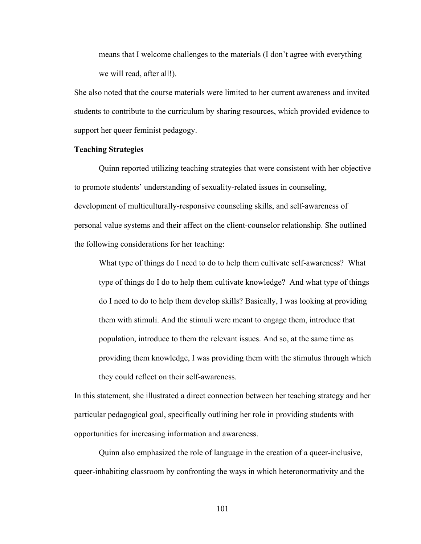means that I welcome challenges to the materials (I don't agree with everything we will read, after all!).

She also noted that the course materials were limited to her current awareness and invited students to contribute to the curriculum by sharing resources, which provided evidence to support her queer feminist pedagogy.

## **Teaching Strategies**

Quinn reported utilizing teaching strategies that were consistent with her objective to promote students' understanding of sexuality-related issues in counseling, development of multiculturally-responsive counseling skills, and self-awareness of personal value systems and their affect on the client-counselor relationship. She outlined the following considerations for her teaching:

What type of things do I need to do to help them cultivate self-awareness? What type of things do I do to help them cultivate knowledge? And what type of things do I need to do to help them develop skills? Basically, I was looking at providing them with stimuli. And the stimuli were meant to engage them, introduce that population, introduce to them the relevant issues. And so, at the same time as providing them knowledge, I was providing them with the stimulus through which they could reflect on their self-awareness.

In this statement, she illustrated a direct connection between her teaching strategy and her particular pedagogical goal, specifically outlining her role in providing students with opportunities for increasing information and awareness.

Quinn also emphasized the role of language in the creation of a queer-inclusive, queer-inhabiting classroom by confronting the ways in which heteronormativity and the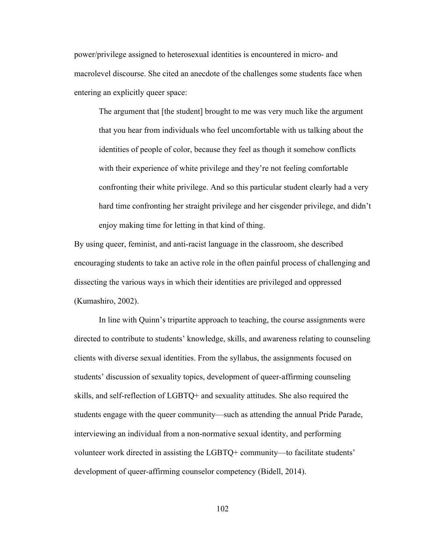power/privilege assigned to heterosexual identities is encountered in micro- and macrolevel discourse. She cited an anecdote of the challenges some students face when entering an explicitly queer space:

The argument that [the student] brought to me was very much like the argument that you hear from individuals who feel uncomfortable with us talking about the identities of people of color, because they feel as though it somehow conflicts with their experience of white privilege and they're not feeling comfortable confronting their white privilege. And so this particular student clearly had a very hard time confronting her straight privilege and her cisgender privilege, and didn't enjoy making time for letting in that kind of thing.

By using queer, feminist, and anti-racist language in the classroom, she described encouraging students to take an active role in the often painful process of challenging and dissecting the various ways in which their identities are privileged and oppressed (Kumashiro, 2002).

In line with Quinn's tripartite approach to teaching, the course assignments were directed to contribute to students' knowledge, skills, and awareness relating to counseling clients with diverse sexual identities. From the syllabus, the assignments focused on students' discussion of sexuality topics, development of queer-affirming counseling skills, and self-reflection of LGBTQ+ and sexuality attitudes. She also required the students engage with the queer community—such as attending the annual Pride Parade, interviewing an individual from a non-normative sexual identity, and performing volunteer work directed in assisting the LGBTQ+ community—to facilitate students' development of queer-affirming counselor competency (Bidell, 2014).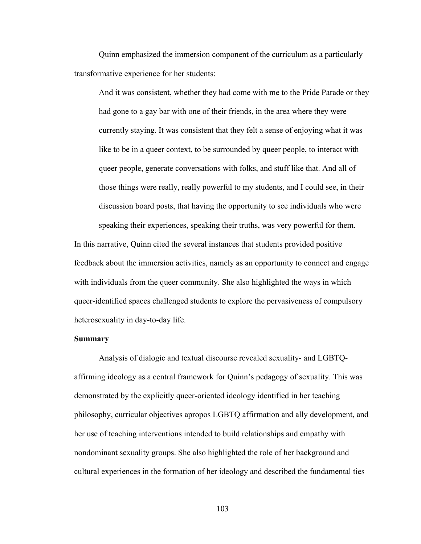Quinn emphasized the immersion component of the curriculum as a particularly transformative experience for her students:

And it was consistent, whether they had come with me to the Pride Parade or they had gone to a gay bar with one of their friends, in the area where they were currently staying. It was consistent that they felt a sense of enjoying what it was like to be in a queer context, to be surrounded by queer people, to interact with queer people, generate conversations with folks, and stuff like that. And all of those things were really, really powerful to my students, and I could see, in their discussion board posts, that having the opportunity to see individuals who were speaking their experiences, speaking their truths, was very powerful for them.

In this narrative, Quinn cited the several instances that students provided positive feedback about the immersion activities, namely as an opportunity to connect and engage with individuals from the queer community. She also highlighted the ways in which queer-identified spaces challenged students to explore the pervasiveness of compulsory heterosexuality in day-to-day life.

#### **Summary**

Analysis of dialogic and textual discourse revealed sexuality- and LGBTQaffirming ideology as a central framework for Quinn's pedagogy of sexuality. This was demonstrated by the explicitly queer-oriented ideology identified in her teaching philosophy, curricular objectives apropos LGBTQ affirmation and ally development, and her use of teaching interventions intended to build relationships and empathy with nondominant sexuality groups. She also highlighted the role of her background and cultural experiences in the formation of her ideology and described the fundamental ties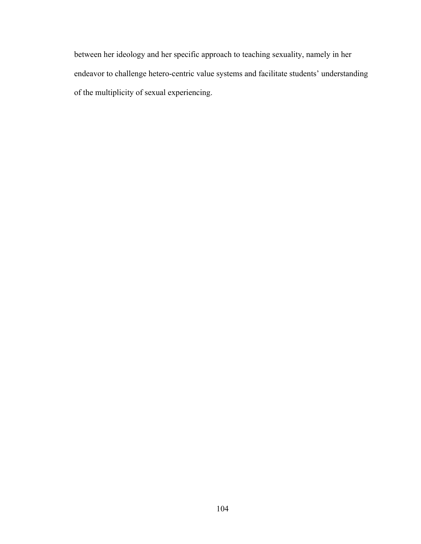between her ideology and her specific approach to teaching sexuality, namely in her endeavor to challenge hetero-centric value systems and facilitate students' understanding of the multiplicity of sexual experiencing.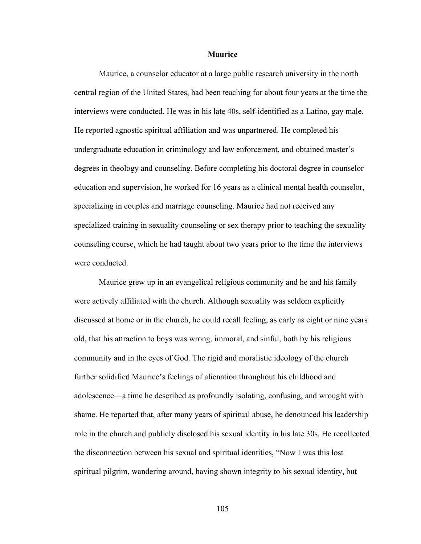#### **Maurice**

Maurice, a counselor educator at a large public research university in the north central region of the United States, had been teaching for about four years at the time the interviews were conducted. He was in his late 40s, self-identified as a Latino, gay male. He reported agnostic spiritual affiliation and was unpartnered. He completed his undergraduate education in criminology and law enforcement, and obtained master's degrees in theology and counseling. Before completing his doctoral degree in counselor education and supervision, he worked for 16 years as a clinical mental health counselor, specializing in couples and marriage counseling. Maurice had not received any specialized training in sexuality counseling or sex therapy prior to teaching the sexuality counseling course, which he had taught about two years prior to the time the interviews were conducted.

Maurice grew up in an evangelical religious community and he and his family were actively affiliated with the church. Although sexuality was seldom explicitly discussed at home or in the church, he could recall feeling, as early as eight or nine years old, that his attraction to boys was wrong, immoral, and sinful, both by his religious community and in the eyes of God. The rigid and moralistic ideology of the church further solidified Maurice's feelings of alienation throughout his childhood and adolescence—a time he described as profoundly isolating, confusing, and wrought with shame. He reported that, after many years of spiritual abuse, he denounced his leadership role in the church and publicly disclosed his sexual identity in his late 30s. He recollected the disconnection between his sexual and spiritual identities, "Now I was this lost spiritual pilgrim, wandering around, having shown integrity to his sexual identity, but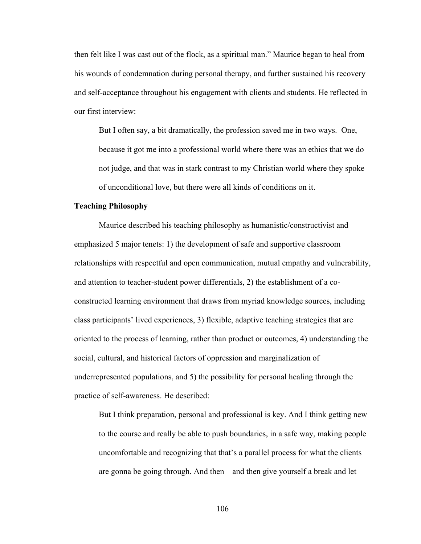then felt like I was cast out of the flock, as a spiritual man." Maurice began to heal from his wounds of condemnation during personal therapy, and further sustained his recovery and self-acceptance throughout his engagement with clients and students. He reflected in our first interview:

But I often say, a bit dramatically, the profession saved me in two ways. One, because it got me into a professional world where there was an ethics that we do not judge, and that was in stark contrast to my Christian world where they spoke of unconditional love, but there were all kinds of conditions on it.

### **Teaching Philosophy**

Maurice described his teaching philosophy as humanistic/constructivist and emphasized 5 major tenets: 1) the development of safe and supportive classroom relationships with respectful and open communication, mutual empathy and vulnerability, and attention to teacher-student power differentials, 2) the establishment of a coconstructed learning environment that draws from myriad knowledge sources, including class participants' lived experiences, 3) flexible, adaptive teaching strategies that are oriented to the process of learning, rather than product or outcomes, 4) understanding the social, cultural, and historical factors of oppression and marginalization of underrepresented populations, and 5) the possibility for personal healing through the practice of self-awareness. He described:

But I think preparation, personal and professional is key. And I think getting new to the course and really be able to push boundaries, in a safe way, making people uncomfortable and recognizing that that's a parallel process for what the clients are gonna be going through. And then—and then give yourself a break and let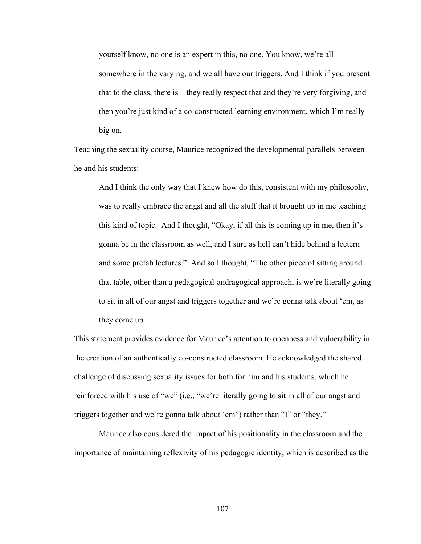yourself know, no one is an expert in this, no one. You know, we're all somewhere in the varying, and we all have our triggers. And I think if you present that to the class, there is—they really respect that and they're very forgiving, and then you're just kind of a co-constructed learning environment, which I'm really big on.

Teaching the sexuality course, Maurice recognized the developmental parallels between he and his students:

And I think the only way that I knew how do this, consistent with my philosophy, was to really embrace the angst and all the stuff that it brought up in me teaching this kind of topic. And I thought, "Okay, if all this is coming up in me, then it's gonna be in the classroom as well, and I sure as hell can't hide behind a lectern and some prefab lectures." And so I thought, "The other piece of sitting around that table, other than a pedagogical-andragogical approach, is we're literally going to sit in all of our angst and triggers together and we're gonna talk about 'em, as they come up.

This statement provides evidence for Maurice's attention to openness and vulnerability in the creation of an authentically co-constructed classroom. He acknowledged the shared challenge of discussing sexuality issues for both for him and his students, which he reinforced with his use of "we" (i.e., "we're literally going to sit in all of our angst and triggers together and we're gonna talk about 'em") rather than "I" or "they."

Maurice also considered the impact of his positionality in the classroom and the importance of maintaining reflexivity of his pedagogic identity, which is described as the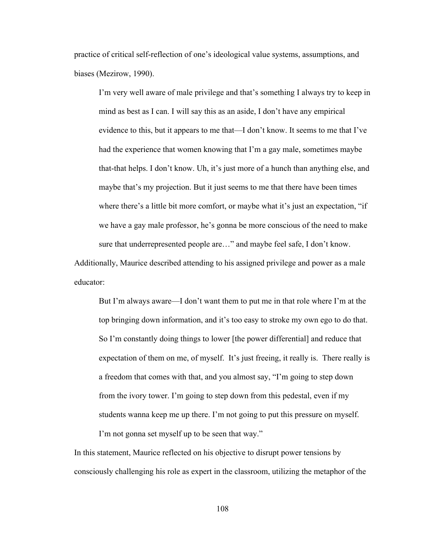practice of critical self-reflection of one's ideological value systems, assumptions, and biases (Mezirow, 1990).

I'm very well aware of male privilege and that's something I always try to keep in mind as best as I can. I will say this as an aside, I don't have any empirical evidence to this, but it appears to me that—I don't know. It seems to me that I've had the experience that women knowing that I'm a gay male, sometimes maybe that-that helps. I don't know. Uh, it's just more of a hunch than anything else, and maybe that's my projection. But it just seems to me that there have been times where there's a little bit more comfort, or maybe what it's just an expectation, "if we have a gay male professor, he's gonna be more conscious of the need to make sure that underrepresented people are…" and maybe feel safe, I don't know.

Additionally, Maurice described attending to his assigned privilege and power as a male educator:

But I'm always aware—I don't want them to put me in that role where I'm at the top bringing down information, and it's too easy to stroke my own ego to do that. So I'm constantly doing things to lower [the power differential] and reduce that expectation of them on me, of myself. It's just freeing, it really is. There really is a freedom that comes with that, and you almost say, "I'm going to step down from the ivory tower. I'm going to step down from this pedestal, even if my students wanna keep me up there. I'm not going to put this pressure on myself. I'm not gonna set myself up to be seen that way."

In this statement, Maurice reflected on his objective to disrupt power tensions by consciously challenging his role as expert in the classroom, utilizing the metaphor of the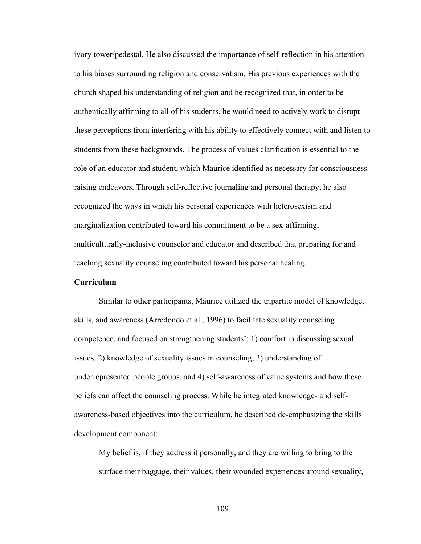ivory tower/pedestal. He also discussed the importance of self-reflection in his attention to his biases surrounding religion and conservatism. His previous experiences with the church shaped his understanding of religion and he recognized that, in order to be authentically affirming to all of his students, he would need to actively work to disrupt these perceptions from interfering with his ability to effectively connect with and listen to students from these backgrounds. The process of values clarification is essential to the role of an educator and student, which Maurice identified as necessary for consciousnessraising endeavors. Through self-reflective journaling and personal therapy, he also recognized the ways in which his personal experiences with heterosexism and marginalization contributed toward his commitment to be a sex-affirming, multiculturally-inclusive counselor and educator and described that preparing for and teaching sexuality counseling contributed toward his personal healing.

# **Curriculum**

Similar to other participants, Maurice utilized the tripartite model of knowledge, skills, and awareness (Arredondo et al., 1996) to facilitate sexuality counseling competence, and focused on strengthening students': 1) comfort in discussing sexual issues, 2) knowledge of sexuality issues in counseling, 3) understanding of underrepresented people groups, and 4) self-awareness of value systems and how these beliefs can affect the counseling process. While he integrated knowledge- and selfawareness-based objectives into the curriculum, he described de-emphasizing the skills development component:

My belief is, if they address it personally, and they are willing to bring to the surface their baggage, their values, their wounded experiences around sexuality,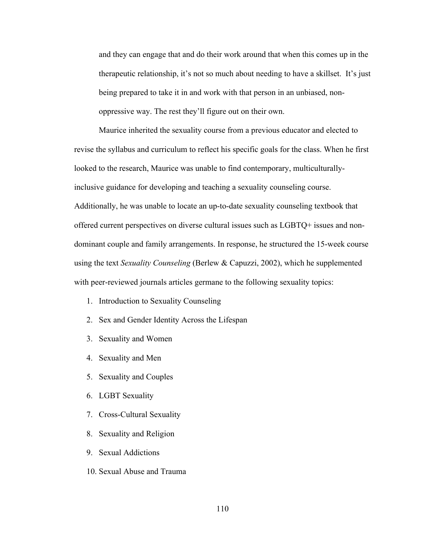and they can engage that and do their work around that when this comes up in the therapeutic relationship, it's not so much about needing to have a skillset. It's just being prepared to take it in and work with that person in an unbiased, nonoppressive way. The rest they'll figure out on their own.

Maurice inherited the sexuality course from a previous educator and elected to revise the syllabus and curriculum to reflect his specific goals for the class. When he first looked to the research, Maurice was unable to find contemporary, multiculturallyinclusive guidance for developing and teaching a sexuality counseling course. Additionally, he was unable to locate an up-to-date sexuality counseling textbook that offered current perspectives on diverse cultural issues such as LGBTQ+ issues and nondominant couple and family arrangements. In response, he structured the 15-week course using the text *Sexuality Counseling* (Berlew & Capuzzi, 2002), which he supplemented with peer-reviewed journals articles germane to the following sexuality topics:

- 1. Introduction to Sexuality Counseling
- 2. Sex and Gender Identity Across the Lifespan
- 3. Sexuality and Women
- 4. Sexuality and Men
- 5. Sexuality and Couples
- 6. LGBT Sexuality
- 7. Cross-Cultural Sexuality
- 8. Sexuality and Religion
- 9. Sexual Addictions
- 10. Sexual Abuse and Trauma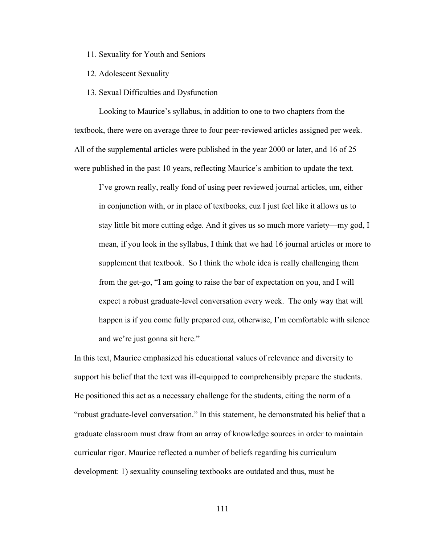- 11. Sexuality for Youth and Seniors
- 12. Adolescent Sexuality
- 13. Sexual Difficulties and Dysfunction

Looking to Maurice's syllabus, in addition to one to two chapters from the textbook, there were on average three to four peer-reviewed articles assigned per week. All of the supplemental articles were published in the year 2000 or later, and 16 of 25 were published in the past 10 years, reflecting Maurice's ambition to update the text.

I've grown really, really fond of using peer reviewed journal articles, um, either in conjunction with, or in place of textbooks, cuz I just feel like it allows us to stay little bit more cutting edge. And it gives us so much more variety—my god, I mean, if you look in the syllabus, I think that we had 16 journal articles or more to supplement that textbook. So I think the whole idea is really challenging them from the get-go, "I am going to raise the bar of expectation on you, and I will expect a robust graduate-level conversation every week. The only way that will happen is if you come fully prepared cuz, otherwise, I'm comfortable with silence and we're just gonna sit here."

In this text, Maurice emphasized his educational values of relevance and diversity to support his belief that the text was ill-equipped to comprehensibly prepare the students. He positioned this act as a necessary challenge for the students, citing the norm of a "robust graduate-level conversation." In this statement, he demonstrated his belief that a graduate classroom must draw from an array of knowledge sources in order to maintain curricular rigor. Maurice reflected a number of beliefs regarding his curriculum development: 1) sexuality counseling textbooks are outdated and thus, must be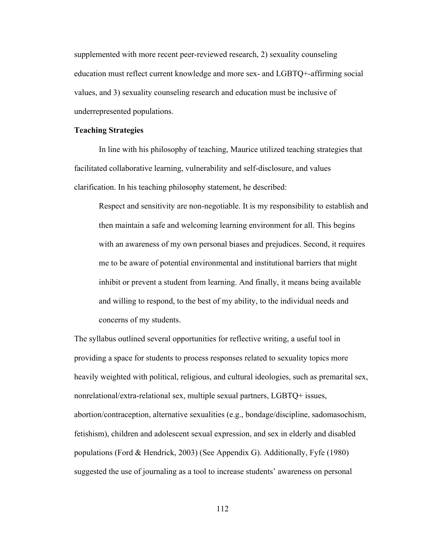supplemented with more recent peer-reviewed research, 2) sexuality counseling education must reflect current knowledge and more sex- and LGBTQ+-affirming social values, and 3) sexuality counseling research and education must be inclusive of underrepresented populations.

#### **Teaching Strategies**

In line with his philosophy of teaching, Maurice utilized teaching strategies that facilitated collaborative learning, vulnerability and self-disclosure, and values clarification. In his teaching philosophy statement, he described:

Respect and sensitivity are non-negotiable. It is my responsibility to establish and then maintain a safe and welcoming learning environment for all. This begins with an awareness of my own personal biases and prejudices. Second, it requires me to be aware of potential environmental and institutional barriers that might inhibit or prevent a student from learning. And finally, it means being available and willing to respond, to the best of my ability, to the individual needs and concerns of my students.

The syllabus outlined several opportunities for reflective writing, a useful tool in providing a space for students to process responses related to sexuality topics more heavily weighted with political, religious, and cultural ideologies, such as premarital sex, nonrelational/extra-relational sex, multiple sexual partners, LGBTQ+ issues, abortion/contraception, alternative sexualities (e.g., bondage/discipline, sadomasochism, fetishism), children and adolescent sexual expression, and sex in elderly and disabled populations (Ford & Hendrick, 2003) (See Appendix G). Additionally, Fyfe (1980) suggested the use of journaling as a tool to increase students' awareness on personal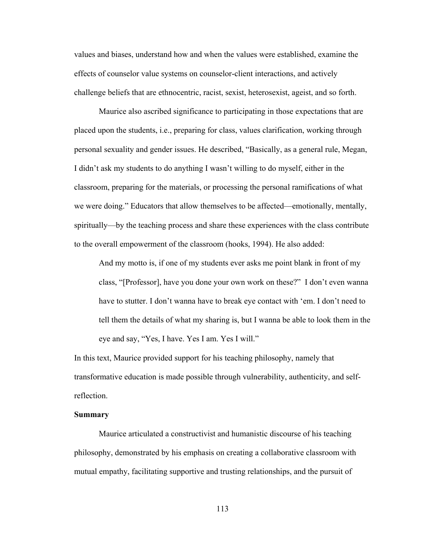values and biases, understand how and when the values were established, examine the effects of counselor value systems on counselor-client interactions, and actively challenge beliefs that are ethnocentric, racist, sexist, heterosexist, ageist, and so forth.

Maurice also ascribed significance to participating in those expectations that are placed upon the students, i.e., preparing for class, values clarification, working through personal sexuality and gender issues. He described, "Basically, as a general rule, Megan, I didn't ask my students to do anything I wasn't willing to do myself, either in the classroom, preparing for the materials, or processing the personal ramifications of what we were doing." Educators that allow themselves to be affected—emotionally, mentally, spiritually—by the teaching process and share these experiences with the class contribute to the overall empowerment of the classroom (hooks, 1994). He also added:

And my motto is, if one of my students ever asks me point blank in front of my class, "[Professor], have you done your own work on these?" I don't even wanna have to stutter. I don't wanna have to break eye contact with 'em. I don't need to tell them the details of what my sharing is, but I wanna be able to look them in the eye and say, "Yes, I have. Yes I am. Yes I will."

In this text, Maurice provided support for his teaching philosophy, namely that transformative education is made possible through vulnerability, authenticity, and selfreflection.

## **Summary**

Maurice articulated a constructivist and humanistic discourse of his teaching philosophy, demonstrated by his emphasis on creating a collaborative classroom with mutual empathy, facilitating supportive and trusting relationships, and the pursuit of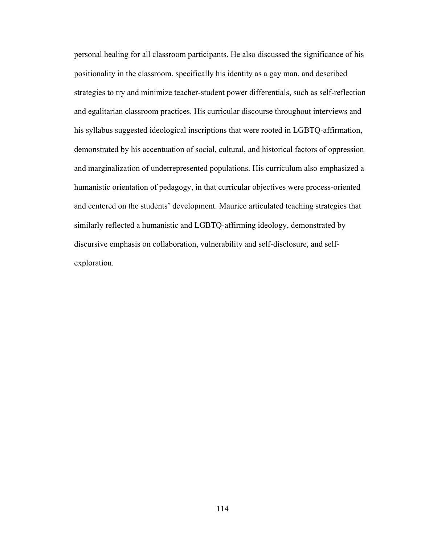personal healing for all classroom participants. He also discussed the significance of his positionality in the classroom, specifically his identity as a gay man, and described strategies to try and minimize teacher-student power differentials, such as self-reflection and egalitarian classroom practices. His curricular discourse throughout interviews and his syllabus suggested ideological inscriptions that were rooted in LGBTQ-affirmation, demonstrated by his accentuation of social, cultural, and historical factors of oppression and marginalization of underrepresented populations. His curriculum also emphasized a humanistic orientation of pedagogy, in that curricular objectives were process-oriented and centered on the students' development. Maurice articulated teaching strategies that similarly reflected a humanistic and LGBTQ-affirming ideology, demonstrated by discursive emphasis on collaboration, vulnerability and self-disclosure, and selfexploration.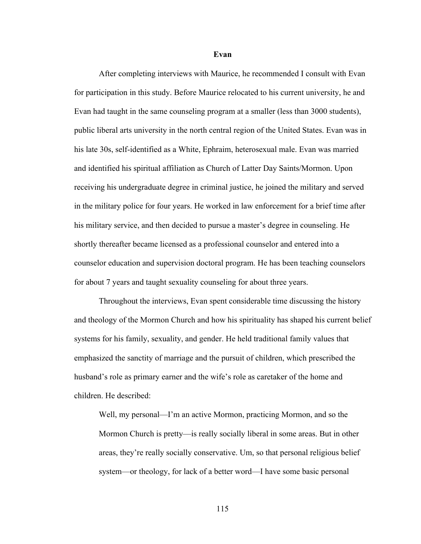**Evan**

After completing interviews with Maurice, he recommended I consult with Evan for participation in this study. Before Maurice relocated to his current university, he and Evan had taught in the same counseling program at a smaller (less than 3000 students), public liberal arts university in the north central region of the United States. Evan was in his late 30s, self-identified as a White, Ephraim, heterosexual male. Evan was married and identified his spiritual affiliation as Church of Latter Day Saints/Mormon. Upon receiving his undergraduate degree in criminal justice, he joined the military and served in the military police for four years. He worked in law enforcement for a brief time after his military service, and then decided to pursue a master's degree in counseling. He shortly thereafter became licensed as a professional counselor and entered into a counselor education and supervision doctoral program. He has been teaching counselors for about 7 years and taught sexuality counseling for about three years.

Throughout the interviews, Evan spent considerable time discussing the history and theology of the Mormon Church and how his spirituality has shaped his current belief systems for his family, sexuality, and gender. He held traditional family values that emphasized the sanctity of marriage and the pursuit of children, which prescribed the husband's role as primary earner and the wife's role as caretaker of the home and children. He described:

Well, my personal—I'm an active Mormon, practicing Mormon, and so the Mormon Church is pretty—is really socially liberal in some areas. But in other areas, they're really socially conservative. Um, so that personal religious belief system—or theology, for lack of a better word—I have some basic personal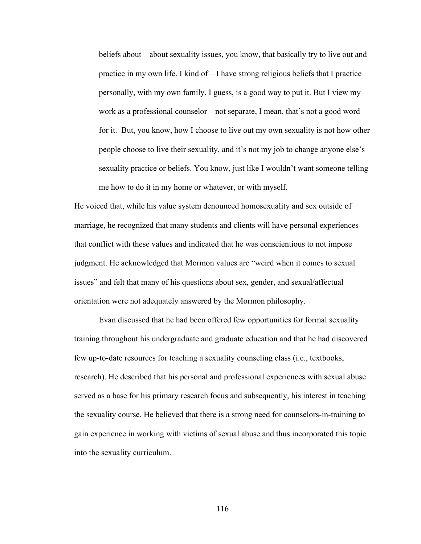beliefs about—about sexuality issues, you know, that basically try to live out and practice in my own life. I kind of—I have strong religious beliefs that I practice personally, with my own family, I guess, is a good way to put it. But I view my work as a professional counselor—not separate, I mean, that's not a good word for it. But, you know, how I choose to live out my own sexuality is not how other people choose to live their sexuality, and it's not my job to change anyone else's sexuality practice or beliefs. You know, just like I wouldn't want someone telling me how to do it in my home or whatever, or with myself.

He voiced that, while his value system denounced homosexuality and sex outside of marriage, he recognized that many students and clients will have personal experiences that conflict with these values and indicated that he was conscientious to not impose judgment. He acknowledged that Mormon values are "weird when it comes to sexual issues" and felt that many of his questions about sex, gender, and sexual/affectual orientation were not adequately answered by the Mormon philosophy.

Evan discussed that he had been offered few opportunities for formal sexuality training throughout his undergraduate and graduate education and that he had discovered few up-to-date resources for teaching a sexuality counseling class (i.e., textbooks, research). He described that his personal and professional experiences with sexual abuse served as a base for his primary research focus and subsequently, his interest in teaching the sexuality course. He believed that there is a strong need for counselors-in-training to gain experience in working with victims of sexual abuse and thus incorporated this topic into the sexuality curriculum.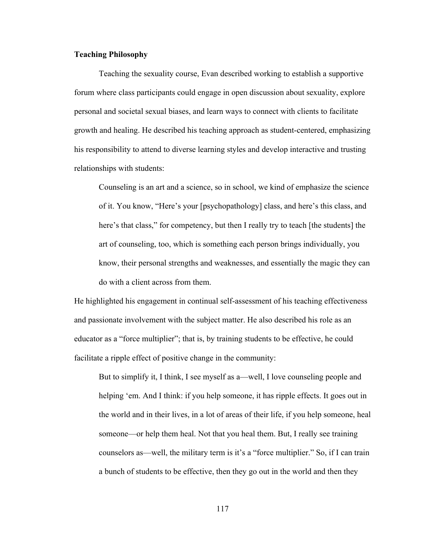## **Teaching Philosophy**

Teaching the sexuality course, Evan described working to establish a supportive forum where class participants could engage in open discussion about sexuality, explore personal and societal sexual biases, and learn ways to connect with clients to facilitate growth and healing. He described his teaching approach as student-centered, emphasizing his responsibility to attend to diverse learning styles and develop interactive and trusting relationships with students:

Counseling is an art and a science, so in school, we kind of emphasize the science of it. You know, "Here's your [psychopathology] class, and here's this class, and here's that class," for competency, but then I really try to teach [the students] the art of counseling, too, which is something each person brings individually, you know, their personal strengths and weaknesses, and essentially the magic they can do with a client across from them.

He highlighted his engagement in continual self-assessment of his teaching effectiveness and passionate involvement with the subject matter. He also described his role as an educator as a "force multiplier"; that is, by training students to be effective, he could facilitate a ripple effect of positive change in the community:

But to simplify it, I think, I see myself as a—well, I love counseling people and helping 'em. And I think: if you help someone, it has ripple effects. It goes out in the world and in their lives, in a lot of areas of their life, if you help someone, heal someone—or help them heal. Not that you heal them. But, I really see training counselors as—well, the military term is it's a "force multiplier." So, if I can train a bunch of students to be effective, then they go out in the world and then they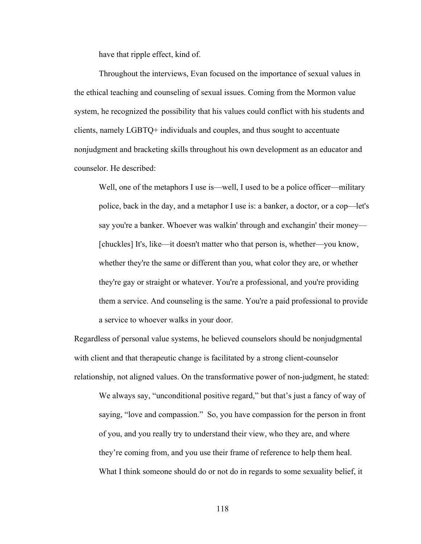have that ripple effect, kind of.

Throughout the interviews, Evan focused on the importance of sexual values in the ethical teaching and counseling of sexual issues. Coming from the Mormon value system, he recognized the possibility that his values could conflict with his students and clients, namely LGBTQ+ individuals and couples, and thus sought to accentuate nonjudgment and bracketing skills throughout his own development as an educator and counselor. He described:

Well, one of the metaphors I use is—well, I used to be a police officer—military police, back in the day, and a metaphor I use is: a banker, a doctor, or a cop—let's say you're a banker. Whoever was walkin' through and exchangin' their money— [chuckles] It's, like—it doesn't matter who that person is, whether—you know, whether they're the same or different than you, what color they are, or whether they're gay or straight or whatever. You're a professional, and you're providing them a service. And counseling is the same. You're a paid professional to provide a service to whoever walks in your door.

Regardless of personal value systems, he believed counselors should be nonjudgmental with client and that therapeutic change is facilitated by a strong client-counselor relationship, not aligned values. On the transformative power of non-judgment, he stated: We always say, "unconditional positive regard," but that's just a fancy of way of

saying, "love and compassion." So, you have compassion for the person in front of you, and you really try to understand their view, who they are, and where they're coming from, and you use their frame of reference to help them heal. What I think someone should do or not do in regards to some sexuality belief, it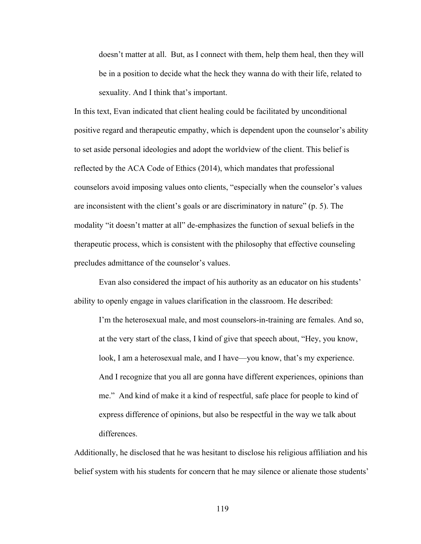doesn't matter at all. But, as I connect with them, help them heal, then they will be in a position to decide what the heck they wanna do with their life, related to sexuality. And I think that's important.

In this text, Evan indicated that client healing could be facilitated by unconditional positive regard and therapeutic empathy, which is dependent upon the counselor's ability to set aside personal ideologies and adopt the worldview of the client. This belief is reflected by the ACA Code of Ethics (2014), which mandates that professional counselors avoid imposing values onto clients, "especially when the counselor's values are inconsistent with the client's goals or are discriminatory in nature" (p. 5). The modality "it doesn't matter at all" de-emphasizes the function of sexual beliefs in the therapeutic process, which is consistent with the philosophy that effective counseling precludes admittance of the counselor's values.

Evan also considered the impact of his authority as an educator on his students' ability to openly engage in values clarification in the classroom. He described:

I'm the heterosexual male, and most counselors-in-training are females. And so, at the very start of the class, I kind of give that speech about, "Hey, you know, look, I am a heterosexual male, and I have—you know, that's my experience. And I recognize that you all are gonna have different experiences, opinions than me." And kind of make it a kind of respectful, safe place for people to kind of express difference of opinions, but also be respectful in the way we talk about differences.

Additionally, he disclosed that he was hesitant to disclose his religious affiliation and his belief system with his students for concern that he may silence or alienate those students'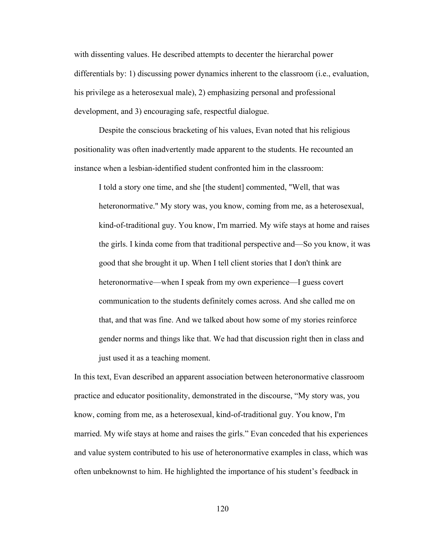with dissenting values. He described attempts to decenter the hierarchal power differentials by: 1) discussing power dynamics inherent to the classroom (i.e., evaluation, his privilege as a heterosexual male), 2) emphasizing personal and professional development, and 3) encouraging safe, respectful dialogue.

Despite the conscious bracketing of his values, Evan noted that his religious positionality was often inadvertently made apparent to the students. He recounted an instance when a lesbian-identified student confronted him in the classroom:

I told a story one time, and she [the student] commented, "Well, that was heteronormative." My story was, you know, coming from me, as a heterosexual, kind-of-traditional guy. You know, I'm married. My wife stays at home and raises the girls. I kinda come from that traditional perspective and—So you know, it was good that she brought it up. When I tell client stories that I don't think are heteronormative—when I speak from my own experience—I guess covert communication to the students definitely comes across. And she called me on that, and that was fine. And we talked about how some of my stories reinforce gender norms and things like that. We had that discussion right then in class and just used it as a teaching moment.

In this text, Evan described an apparent association between heteronormative classroom practice and educator positionality, demonstrated in the discourse, "My story was, you know, coming from me, as a heterosexual, kind-of-traditional guy. You know, I'm married. My wife stays at home and raises the girls." Evan conceded that his experiences and value system contributed to his use of heteronormative examples in class, which was often unbeknownst to him. He highlighted the importance of his student's feedback in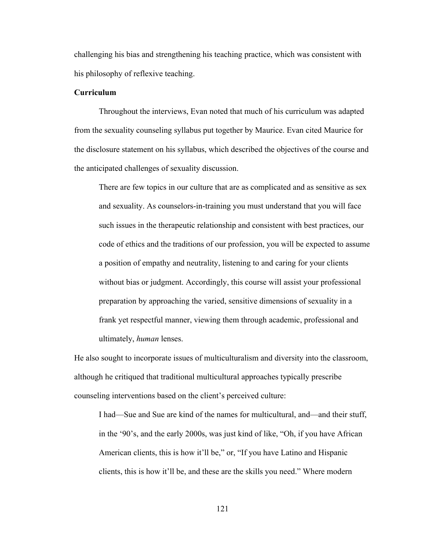challenging his bias and strengthening his teaching practice, which was consistent with his philosophy of reflexive teaching.

### **Curriculum**

Throughout the interviews, Evan noted that much of his curriculum was adapted from the sexuality counseling syllabus put together by Maurice. Evan cited Maurice for the disclosure statement on his syllabus, which described the objectives of the course and the anticipated challenges of sexuality discussion.

There are few topics in our culture that are as complicated and as sensitive as sex and sexuality. As counselors-in-training you must understand that you will face such issues in the therapeutic relationship and consistent with best practices, our code of ethics and the traditions of our profession, you will be expected to assume a position of empathy and neutrality, listening to and caring for your clients without bias or judgment. Accordingly, this course will assist your professional preparation by approaching the varied, sensitive dimensions of sexuality in a frank yet respectful manner, viewing them through academic, professional and ultimately, *human* lenses.

He also sought to incorporate issues of multiculturalism and diversity into the classroom, although he critiqued that traditional multicultural approaches typically prescribe counseling interventions based on the client's perceived culture:

I had—Sue and Sue are kind of the names for multicultural, and—and their stuff, in the '90's, and the early 2000s, was just kind of like, "Oh, if you have African American clients, this is how it'll be," or, "If you have Latino and Hispanic clients, this is how it'll be, and these are the skills you need." Where modern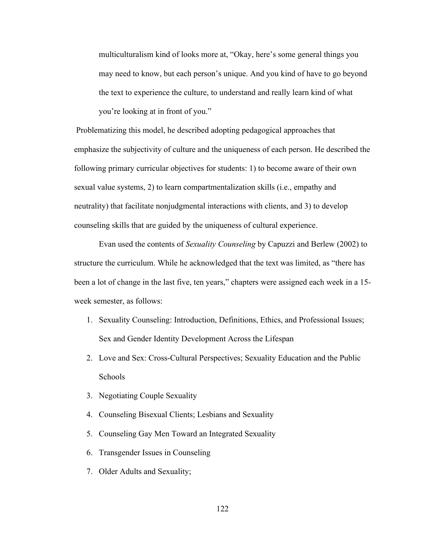multiculturalism kind of looks more at, "Okay, here's some general things you may need to know, but each person's unique. And you kind of have to go beyond the text to experience the culture, to understand and really learn kind of what you're looking at in front of you."

Problematizing this model, he described adopting pedagogical approaches that emphasize the subjectivity of culture and the uniqueness of each person. He described the following primary curricular objectives for students: 1) to become aware of their own sexual value systems, 2) to learn compartmentalization skills (i.e., empathy and neutrality) that facilitate nonjudgmental interactions with clients, and 3) to develop counseling skills that are guided by the uniqueness of cultural experience.

Evan used the contents of *Sexuality Counseling* by Capuzzi and Berlew (2002) to structure the curriculum. While he acknowledged that the text was limited, as "there has been a lot of change in the last five, ten years," chapters were assigned each week in a 15 week semester, as follows:

- 1. Sexuality Counseling: Introduction, Definitions, Ethics, and Professional Issues; Sex and Gender Identity Development Across the Lifespan
- 2. Love and Sex: Cross-Cultural Perspectives; Sexuality Education and the Public Schools
- 3. Negotiating Couple Sexuality
- 4. Counseling Bisexual Clients; Lesbians and Sexuality
- 5. Counseling Gay Men Toward an Integrated Sexuality
- 6. Transgender Issues in Counseling
- 7. Older Adults and Sexuality;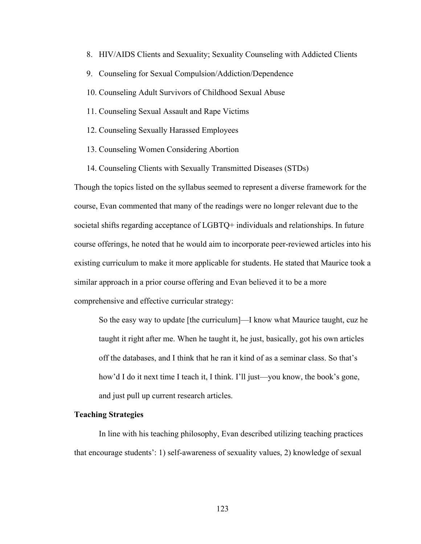- 8. HIV/AIDS Clients and Sexuality; Sexuality Counseling with Addicted Clients
- 9. Counseling for Sexual Compulsion/Addiction/Dependence
- 10. Counseling Adult Survivors of Childhood Sexual Abuse
- 11. Counseling Sexual Assault and Rape Victims
- 12. Counseling Sexually Harassed Employees
- 13. Counseling Women Considering Abortion
- 14. Counseling Clients with Sexually Transmitted Diseases (STDs)

Though the topics listed on the syllabus seemed to represent a diverse framework for the course, Evan commented that many of the readings were no longer relevant due to the societal shifts regarding acceptance of LGBTQ+ individuals and relationships. In future course offerings, he noted that he would aim to incorporate peer-reviewed articles into his existing curriculum to make it more applicable for students. He stated that Maurice took a similar approach in a prior course offering and Evan believed it to be a more comprehensive and effective curricular strategy:

So the easy way to update [the curriculum]—I know what Maurice taught, cuz he taught it right after me. When he taught it, he just, basically, got his own articles off the databases, and I think that he ran it kind of as a seminar class. So that's how'd I do it next time I teach it, I think. I'll just—you know, the book's gone, and just pull up current research articles.

## **Teaching Strategies**

In line with his teaching philosophy, Evan described utilizing teaching practices that encourage students': 1) self-awareness of sexuality values, 2) knowledge of sexual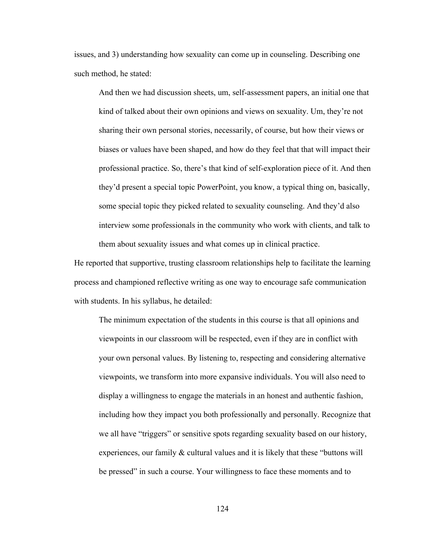issues, and 3) understanding how sexuality can come up in counseling. Describing one such method, he stated:

And then we had discussion sheets, um, self-assessment papers, an initial one that kind of talked about their own opinions and views on sexuality. Um, they're not sharing their own personal stories, necessarily, of course, but how their views or biases or values have been shaped, and how do they feel that that will impact their professional practice. So, there's that kind of self-exploration piece of it. And then they'd present a special topic PowerPoint, you know, a typical thing on, basically, some special topic they picked related to sexuality counseling. And they'd also interview some professionals in the community who work with clients, and talk to them about sexuality issues and what comes up in clinical practice.

He reported that supportive, trusting classroom relationships help to facilitate the learning process and championed reflective writing as one way to encourage safe communication with students. In his syllabus, he detailed:

The minimum expectation of the students in this course is that all opinions and viewpoints in our classroom will be respected, even if they are in conflict with your own personal values. By listening to, respecting and considering alternative viewpoints, we transform into more expansive individuals. You will also need to display a willingness to engage the materials in an honest and authentic fashion, including how they impact you both professionally and personally. Recognize that we all have "triggers" or sensitive spots regarding sexuality based on our history, experiences, our family & cultural values and it is likely that these "buttons will be pressed" in such a course. Your willingness to face these moments and to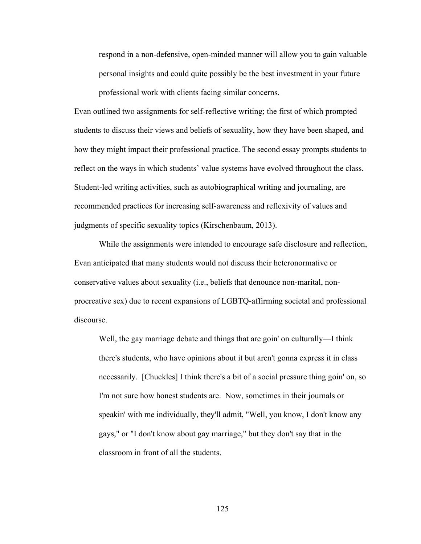respond in a non-defensive, open-minded manner will allow you to gain valuable personal insights and could quite possibly be the best investment in your future professional work with clients facing similar concerns.

Evan outlined two assignments for self-reflective writing; the first of which prompted students to discuss their views and beliefs of sexuality, how they have been shaped, and how they might impact their professional practice. The second essay prompts students to reflect on the ways in which students' value systems have evolved throughout the class. Student-led writing activities, such as autobiographical writing and journaling, are recommended practices for increasing self-awareness and reflexivity of values and judgments of specific sexuality topics (Kirschenbaum, 2013).

While the assignments were intended to encourage safe disclosure and reflection, Evan anticipated that many students would not discuss their heteronormative or conservative values about sexuality (i.e., beliefs that denounce non-marital, nonprocreative sex) due to recent expansions of LGBTQ-affirming societal and professional discourse.

Well, the gay marriage debate and things that are goin' on culturally—I think there's students, who have opinions about it but aren't gonna express it in class necessarily. [Chuckles] I think there's a bit of a social pressure thing goin' on, so I'm not sure how honest students are. Now, sometimes in their journals or speakin' with me individually, they'll admit, "Well, you know, I don't know any gays," or "I don't know about gay marriage," but they don't say that in the classroom in front of all the students.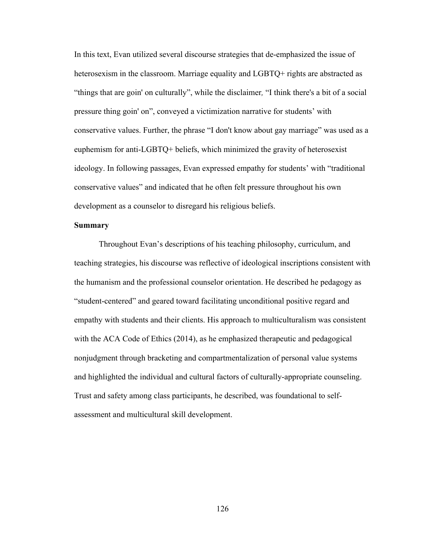In this text, Evan utilized several discourse strategies that de-emphasized the issue of heterosexism in the classroom. Marriage equality and LGBTQ+ rights are abstracted as "things that are goin' on culturally", while the disclaimer*,* "I think there's a bit of a social pressure thing goin' on", conveyed a victimization narrative for students' with conservative values. Further, the phrase "I don't know about gay marriage" was used as a euphemism for anti-LGBTQ+ beliefs, which minimized the gravity of heterosexist ideology. In following passages, Evan expressed empathy for students' with "traditional conservative values" and indicated that he often felt pressure throughout his own development as a counselor to disregard his religious beliefs.

# **Summary**

Throughout Evan's descriptions of his teaching philosophy, curriculum, and teaching strategies, his discourse was reflective of ideological inscriptions consistent with the humanism and the professional counselor orientation. He described he pedagogy as "student-centered" and geared toward facilitating unconditional positive regard and empathy with students and their clients. His approach to multiculturalism was consistent with the ACA Code of Ethics (2014), as he emphasized therapeutic and pedagogical nonjudgment through bracketing and compartmentalization of personal value systems and highlighted the individual and cultural factors of culturally-appropriate counseling. Trust and safety among class participants, he described, was foundational to selfassessment and multicultural skill development.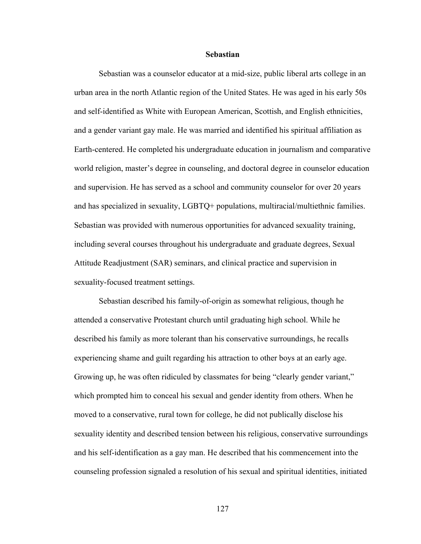#### **Sebastian**

Sebastian was a counselor educator at a mid-size, public liberal arts college in an urban area in the north Atlantic region of the United States. He was aged in his early 50s and self-identified as White with European American, Scottish, and English ethnicities, and a gender variant gay male. He was married and identified his spiritual affiliation as Earth-centered. He completed his undergraduate education in journalism and comparative world religion, master's degree in counseling, and doctoral degree in counselor education and supervision. He has served as a school and community counselor for over 20 years and has specialized in sexuality, LGBTQ+ populations, multiracial/multiethnic families. Sebastian was provided with numerous opportunities for advanced sexuality training, including several courses throughout his undergraduate and graduate degrees, Sexual Attitude Readjustment (SAR) seminars, and clinical practice and supervision in sexuality-focused treatment settings.

Sebastian described his family-of-origin as somewhat religious, though he attended a conservative Protestant church until graduating high school. While he described his family as more tolerant than his conservative surroundings, he recalls experiencing shame and guilt regarding his attraction to other boys at an early age. Growing up, he was often ridiculed by classmates for being "clearly gender variant," which prompted him to conceal his sexual and gender identity from others. When he moved to a conservative, rural town for college, he did not publically disclose his sexuality identity and described tension between his religious, conservative surroundings and his self-identification as a gay man. He described that his commencement into the counseling profession signaled a resolution of his sexual and spiritual identities, initiated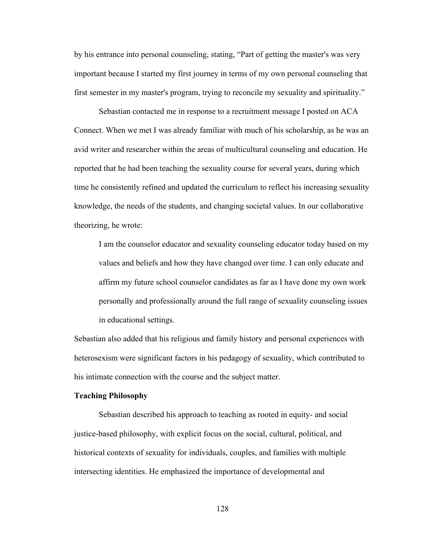by his entrance into personal counseling, stating, "Part of getting the master's was very important because I started my first journey in terms of my own personal counseling that first semester in my master's program, trying to reconcile my sexuality and spirituality."

Sebastian contacted me in response to a recruitment message I posted on ACA Connect. When we met I was already familiar with much of his scholarship, as he was an avid writer and researcher within the areas of multicultural counseling and education. He reported that he had been teaching the sexuality course for several years, during which time he consistently refined and updated the curriculum to reflect his increasing sexuality knowledge, the needs of the students, and changing societal values. In our collaborative theorizing, he wrote:

I am the counselor educator and sexuality counseling educator today based on my values and beliefs and how they have changed over time. I can only educate and affirm my future school counselor candidates as far as I have done my own work personally and professionally around the full range of sexuality counseling issues in educational settings.

Sebastian also added that his religious and family history and personal experiences with heterosexism were significant factors in his pedagogy of sexuality, which contributed to his intimate connection with the course and the subject matter.

#### **Teaching Philosophy**

Sebastian described his approach to teaching as rooted in equity- and social justice-based philosophy, with explicit focus on the social, cultural, political, and historical contexts of sexuality for individuals, couples, and families with multiple intersecting identities. He emphasized the importance of developmental and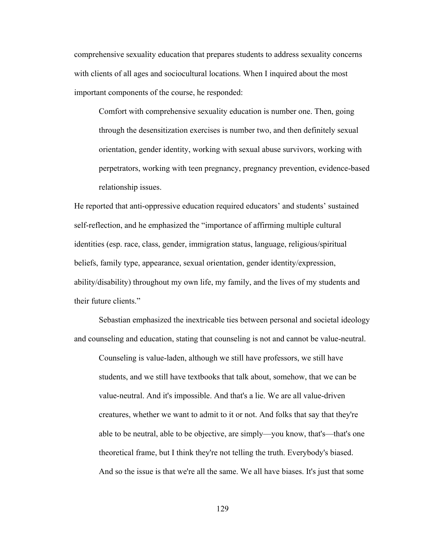comprehensive sexuality education that prepares students to address sexuality concerns with clients of all ages and sociocultural locations. When I inquired about the most important components of the course, he responded:

Comfort with comprehensive sexuality education is number one. Then, going through the desensitization exercises is number two, and then definitely sexual orientation, gender identity, working with sexual abuse survivors, working with perpetrators, working with teen pregnancy, pregnancy prevention, evidence-based relationship issues.

He reported that anti-oppressive education required educators' and students' sustained self-reflection, and he emphasized the "importance of affirming multiple cultural identities (esp. race, class, gender, immigration status, language, religious/spiritual beliefs, family type, appearance, sexual orientation, gender identity/expression, ability/disability) throughout my own life, my family, and the lives of my students and their future clients."

Sebastian emphasized the inextricable ties between personal and societal ideology and counseling and education, stating that counseling is not and cannot be value-neutral.

Counseling is value-laden, although we still have professors, we still have students, and we still have textbooks that talk about, somehow, that we can be value-neutral. And it's impossible. And that's a lie. We are all value-driven creatures, whether we want to admit to it or not. And folks that say that they're able to be neutral, able to be objective, are simply—you know, that's—that's one theoretical frame, but I think they're not telling the truth. Everybody's biased. And so the issue is that we're all the same. We all have biases. It's just that some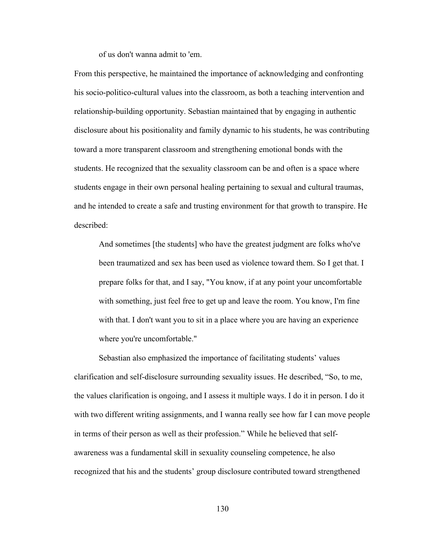of us don't wanna admit to 'em.

From this perspective, he maintained the importance of acknowledging and confronting his socio-politico-cultural values into the classroom, as both a teaching intervention and relationship-building opportunity. Sebastian maintained that by engaging in authentic disclosure about his positionality and family dynamic to his students, he was contributing toward a more transparent classroom and strengthening emotional bonds with the students. He recognized that the sexuality classroom can be and often is a space where students engage in their own personal healing pertaining to sexual and cultural traumas, and he intended to create a safe and trusting environment for that growth to transpire. He described:

And sometimes [the students] who have the greatest judgment are folks who've been traumatized and sex has been used as violence toward them. So I get that. I prepare folks for that, and I say, "You know, if at any point your uncomfortable with something, just feel free to get up and leave the room. You know, I'm fine with that. I don't want you to sit in a place where you are having an experience where you're uncomfortable."

Sebastian also emphasized the importance of facilitating students' values clarification and self-disclosure surrounding sexuality issues. He described, "So, to me, the values clarification is ongoing, and I assess it multiple ways. I do it in person. I do it with two different writing assignments, and I wanna really see how far I can move people in terms of their person as well as their profession." While he believed that selfawareness was a fundamental skill in sexuality counseling competence, he also recognized that his and the students' group disclosure contributed toward strengthened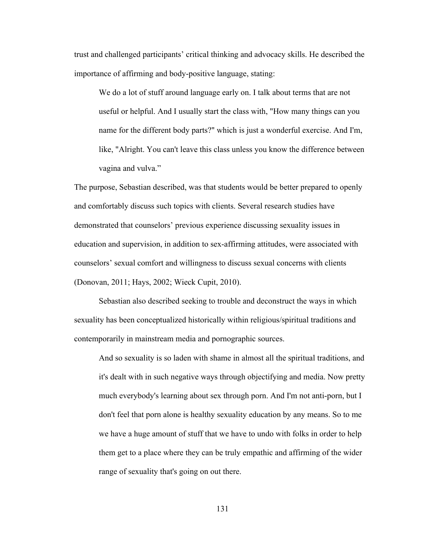trust and challenged participants' critical thinking and advocacy skills. He described the importance of affirming and body-positive language, stating:

We do a lot of stuff around language early on. I talk about terms that are not useful or helpful. And I usually start the class with, "How many things can you name for the different body parts?" which is just a wonderful exercise. And I'm, like, "Alright. You can't leave this class unless you know the difference between vagina and vulva."

The purpose, Sebastian described, was that students would be better prepared to openly and comfortably discuss such topics with clients. Several research studies have demonstrated that counselors' previous experience discussing sexuality issues in education and supervision, in addition to sex-affirming attitudes, were associated with counselors' sexual comfort and willingness to discuss sexual concerns with clients (Donovan, 2011; Hays, 2002; Wieck Cupit, 2010).

Sebastian also described seeking to trouble and deconstruct the ways in which sexuality has been conceptualized historically within religious/spiritual traditions and contemporarily in mainstream media and pornographic sources.

And so sexuality is so laden with shame in almost all the spiritual traditions, and it's dealt with in such negative ways through objectifying and media. Now pretty much everybody's learning about sex through porn. And I'm not anti-porn, but I don't feel that porn alone is healthy sexuality education by any means. So to me we have a huge amount of stuff that we have to undo with folks in order to help them get to a place where they can be truly empathic and affirming of the wider range of sexuality that's going on out there.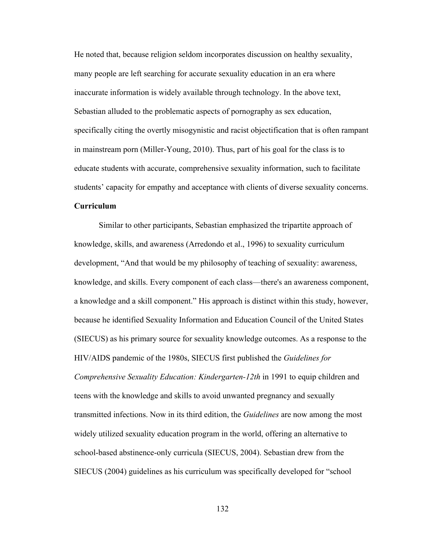He noted that, because religion seldom incorporates discussion on healthy sexuality, many people are left searching for accurate sexuality education in an era where inaccurate information is widely available through technology. In the above text, Sebastian alluded to the problematic aspects of pornography as sex education, specifically citing the overtly misogynistic and racist objectification that is often rampant in mainstream porn (Miller-Young, 2010). Thus, part of his goal for the class is to educate students with accurate, comprehensive sexuality information, such to facilitate students' capacity for empathy and acceptance with clients of diverse sexuality concerns. **Curriculum** 

Similar to other participants, Sebastian emphasized the tripartite approach of knowledge, skills, and awareness (Arredondo et al., 1996) to sexuality curriculum development, "And that would be my philosophy of teaching of sexuality: awareness, knowledge, and skills. Every component of each class—there's an awareness component, a knowledge and a skill component." His approach is distinct within this study, however, because he identified Sexuality Information and Education Council of the United States (SIECUS) as his primary source for sexuality knowledge outcomes. As a response to the HIV/AIDS pandemic of the 1980s, SIECUS first published the *Guidelines for Comprehensive Sexuality Education: Kindergarten-12th* in 1991 to equip children and teens with the knowledge and skills to avoid unwanted pregnancy and sexually transmitted infections. Now in its third edition, the *Guidelines* are now among the most widely utilized sexuality education program in the world, offering an alternative to school-based abstinence-only curricula (SIECUS, 2004). Sebastian drew from the SIECUS (2004) guidelines as his curriculum was specifically developed for "school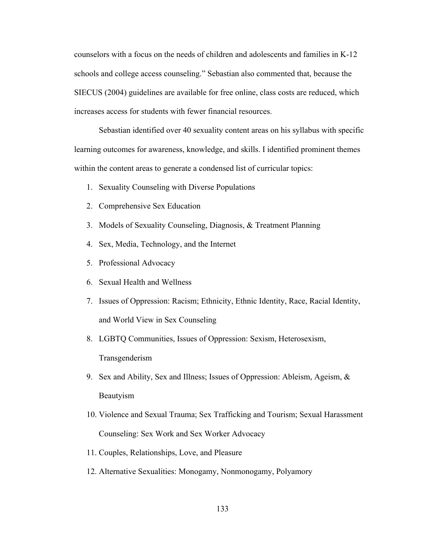counselors with a focus on the needs of children and adolescents and families in K-12 schools and college access counseling." Sebastian also commented that, because the SIECUS (2004) guidelines are available for free online, class costs are reduced, which increases access for students with fewer financial resources.

Sebastian identified over 40 sexuality content areas on his syllabus with specific learning outcomes for awareness, knowledge, and skills. I identified prominent themes within the content areas to generate a condensed list of curricular topics:

- 1. Sexuality Counseling with Diverse Populations
- 2. Comprehensive Sex Education
- 3. Models of Sexuality Counseling, Diagnosis, & Treatment Planning
- 4. Sex, Media, Technology, and the Internet
- 5. Professional Advocacy
- 6. Sexual Health and Wellness
- 7. Issues of Oppression: Racism; Ethnicity, Ethnic Identity, Race, Racial Identity, and World View in Sex Counseling
- 8. LGBTQ Communities, Issues of Oppression: Sexism, Heterosexism, Transgenderism
- 9. Sex and Ability, Sex and Illness; Issues of Oppression: Ableism, Ageism, & Beautyism
- 10. Violence and Sexual Trauma; Sex Trafficking and Tourism; Sexual Harassment Counseling: Sex Work and Sex Worker Advocacy
- 11. Couples, Relationships, Love, and Pleasure
- 12. Alternative Sexualities: Monogamy, Nonmonogamy, Polyamory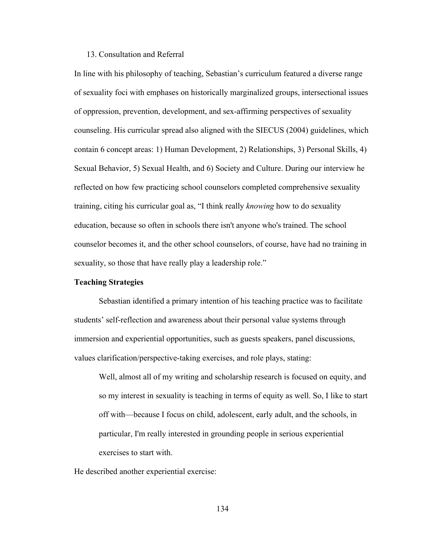### 13. Consultation and Referral

In line with his philosophy of teaching, Sebastian's curriculum featured a diverse range of sexuality foci with emphases on historically marginalized groups, intersectional issues of oppression, prevention, development, and sex-affirming perspectives of sexuality counseling. His curricular spread also aligned with the SIECUS (2004) guidelines, which contain 6 concept areas: 1) Human Development, 2) Relationships, 3) Personal Skills, 4) Sexual Behavior, 5) Sexual Health, and 6) Society and Culture. During our interview he reflected on how few practicing school counselors completed comprehensive sexuality training, citing his curricular goal as, "I think really *knowing* how to do sexuality education, because so often in schools there isn't anyone who's trained. The school counselor becomes it, and the other school counselors, of course, have had no training in sexuality, so those that have really play a leadership role."

### **Teaching Strategies**

Sebastian identified a primary intention of his teaching practice was to facilitate students' self-reflection and awareness about their personal value systems through immersion and experiential opportunities, such as guests speakers, panel discussions, values clarification/perspective-taking exercises, and role plays, stating:

Well, almost all of my writing and scholarship research is focused on equity, and so my interest in sexuality is teaching in terms of equity as well. So, I like to start off with—because I focus on child, adolescent, early adult, and the schools, in particular, I'm really interested in grounding people in serious experiential exercises to start with.

He described another experiential exercise: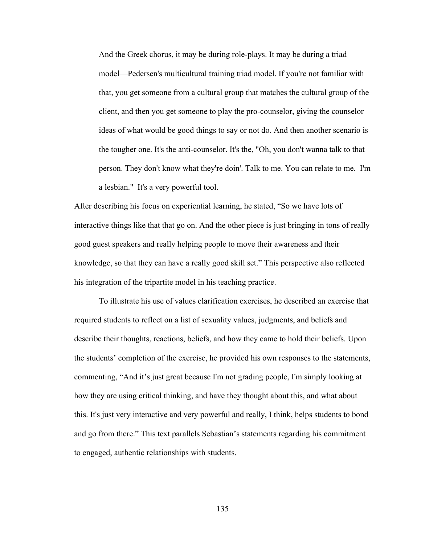And the Greek chorus, it may be during role-plays. It may be during a triad model—Pedersen's multicultural training triad model. If you're not familiar with that, you get someone from a cultural group that matches the cultural group of the client, and then you get someone to play the pro-counselor, giving the counselor ideas of what would be good things to say or not do. And then another scenario is the tougher one. It's the anti-counselor. It's the, "Oh, you don't wanna talk to that person. They don't know what they're doin'. Talk to me. You can relate to me. I'm a lesbian." It's a very powerful tool.

After describing his focus on experiential learning, he stated, "So we have lots of interactive things like that that go on. And the other piece is just bringing in tons of really good guest speakers and really helping people to move their awareness and their knowledge, so that they can have a really good skill set." This perspective also reflected his integration of the tripartite model in his teaching practice.

To illustrate his use of values clarification exercises, he described an exercise that required students to reflect on a list of sexuality values, judgments, and beliefs and describe their thoughts, reactions, beliefs, and how they came to hold their beliefs. Upon the students' completion of the exercise, he provided his own responses to the statements, commenting, "And it's just great because I'm not grading people, I'm simply looking at how they are using critical thinking, and have they thought about this, and what about this. It's just very interactive and very powerful and really, I think, helps students to bond and go from there." This text parallels Sebastian's statements regarding his commitment to engaged, authentic relationships with students.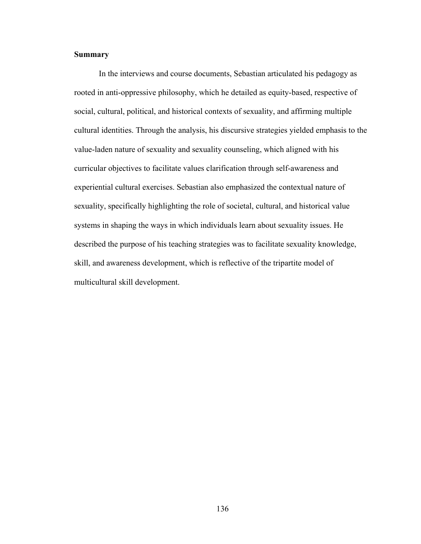### **Summary**

In the interviews and course documents, Sebastian articulated his pedagogy as rooted in anti-oppressive philosophy, which he detailed as equity-based, respective of social, cultural, political, and historical contexts of sexuality, and affirming multiple cultural identities. Through the analysis, his discursive strategies yielded emphasis to the value-laden nature of sexuality and sexuality counseling, which aligned with his curricular objectives to facilitate values clarification through self-awareness and experiential cultural exercises. Sebastian also emphasized the contextual nature of sexuality, specifically highlighting the role of societal, cultural, and historical value systems in shaping the ways in which individuals learn about sexuality issues. He described the purpose of his teaching strategies was to facilitate sexuality knowledge, skill, and awareness development, which is reflective of the tripartite model of multicultural skill development.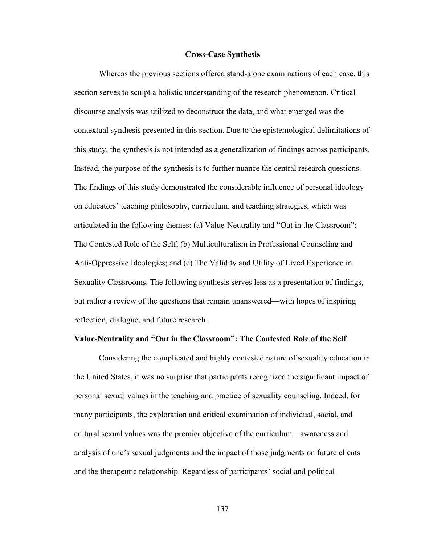#### **Cross-Case Synthesis**

Whereas the previous sections offered stand-alone examinations of each case, this section serves to sculpt a holistic understanding of the research phenomenon. Critical discourse analysis was utilized to deconstruct the data, and what emerged was the contextual synthesis presented in this section. Due to the epistemological delimitations of this study, the synthesis is not intended as a generalization of findings across participants. Instead, the purpose of the synthesis is to further nuance the central research questions. The findings of this study demonstrated the considerable influence of personal ideology on educators' teaching philosophy, curriculum, and teaching strategies, which was articulated in the following themes: (a) Value-Neutrality and "Out in the Classroom": The Contested Role of the Self; (b) Multiculturalism in Professional Counseling and Anti-Oppressive Ideologies; and (c) The Validity and Utility of Lived Experience in Sexuality Classrooms. The following synthesis serves less as a presentation of findings, but rather a review of the questions that remain unanswered—with hopes of inspiring reflection, dialogue, and future research.

### **Value-Neutrality and "Out in the Classroom": The Contested Role of the Self**

Considering the complicated and highly contested nature of sexuality education in the United States, it was no surprise that participants recognized the significant impact of personal sexual values in the teaching and practice of sexuality counseling. Indeed, for many participants, the exploration and critical examination of individual, social, and cultural sexual values was the premier objective of the curriculum—awareness and analysis of one's sexual judgments and the impact of those judgments on future clients and the therapeutic relationship. Regardless of participants' social and political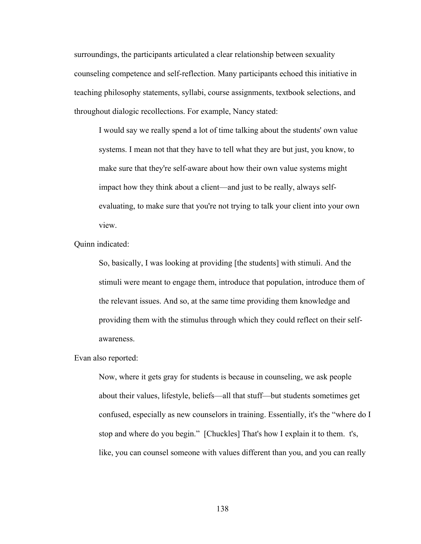surroundings, the participants articulated a clear relationship between sexuality counseling competence and self-reflection. Many participants echoed this initiative in teaching philosophy statements, syllabi, course assignments, textbook selections, and throughout dialogic recollections. For example, Nancy stated:

I would say we really spend a lot of time talking about the students' own value systems. I mean not that they have to tell what they are but just, you know, to make sure that they're self-aware about how their own value systems might impact how they think about a client—and just to be really, always selfevaluating, to make sure that you're not trying to talk your client into your own view.

Quinn indicated:

So, basically, I was looking at providing [the students] with stimuli. And the stimuli were meant to engage them, introduce that population, introduce them of the relevant issues. And so, at the same time providing them knowledge and providing them with the stimulus through which they could reflect on their selfawareness.

Evan also reported:

Now, where it gets gray for students is because in counseling, we ask people about their values, lifestyle, beliefs—all that stuff—but students sometimes get confused, especially as new counselors in training. Essentially, it's the "where do I stop and where do you begin." [Chuckles] That's how I explain it to them. t's, like, you can counsel someone with values different than you, and you can really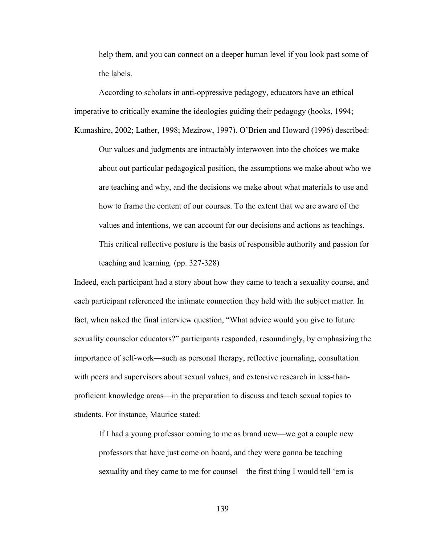help them, and you can connect on a deeper human level if you look past some of the labels.

According to scholars in anti-oppressive pedagogy, educators have an ethical imperative to critically examine the ideologies guiding their pedagogy (hooks, 1994; Kumashiro, 2002; Lather, 1998; Mezirow, 1997). O'Brien and Howard (1996) described:

Our values and judgments are intractably interwoven into the choices we make about out particular pedagogical position, the assumptions we make about who we are teaching and why, and the decisions we make about what materials to use and how to frame the content of our courses. To the extent that we are aware of the values and intentions, we can account for our decisions and actions as teachings. This critical reflective posture is the basis of responsible authority and passion for teaching and learning. (pp. 327-328)

Indeed, each participant had a story about how they came to teach a sexuality course, and each participant referenced the intimate connection they held with the subject matter. In fact, when asked the final interview question, "What advice would you give to future sexuality counselor educators?" participants responded, resoundingly, by emphasizing the importance of self-work—such as personal therapy, reflective journaling, consultation with peers and supervisors about sexual values, and extensive research in less-thanproficient knowledge areas—in the preparation to discuss and teach sexual topics to students. For instance, Maurice stated:

If I had a young professor coming to me as brand new—we got a couple new professors that have just come on board, and they were gonna be teaching sexuality and they came to me for counsel—the first thing I would tell 'em is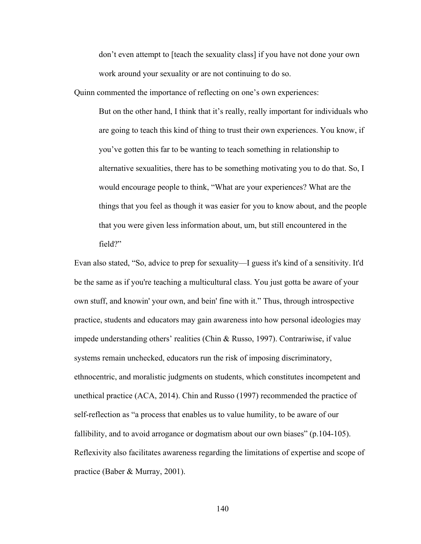don't even attempt to [teach the sexuality class] if you have not done your own work around your sexuality or are not continuing to do so.

Quinn commented the importance of reflecting on one's own experiences:

But on the other hand, I think that it's really, really important for individuals who are going to teach this kind of thing to trust their own experiences. You know, if you've gotten this far to be wanting to teach something in relationship to alternative sexualities, there has to be something motivating you to do that. So, I would encourage people to think, "What are your experiences? What are the things that you feel as though it was easier for you to know about, and the people that you were given less information about, um, but still encountered in the field?"

Evan also stated, "So, advice to prep for sexuality—I guess it's kind of a sensitivity. It'd be the same as if you're teaching a multicultural class. You just gotta be aware of your own stuff, and knowin' your own, and bein' fine with it." Thus, through introspective practice, students and educators may gain awareness into how personal ideologies may impede understanding others' realities (Chin & Russo, 1997). Contrariwise, if value systems remain unchecked, educators run the risk of imposing discriminatory, ethnocentric, and moralistic judgments on students, which constitutes incompetent and unethical practice (ACA, 2014). Chin and Russo (1997) recommended the practice of self-reflection as "a process that enables us to value humility, to be aware of our fallibility, and to avoid arrogance or dogmatism about our own biases" (p.104-105). Reflexivity also facilitates awareness regarding the limitations of expertise and scope of practice (Baber & Murray, 2001).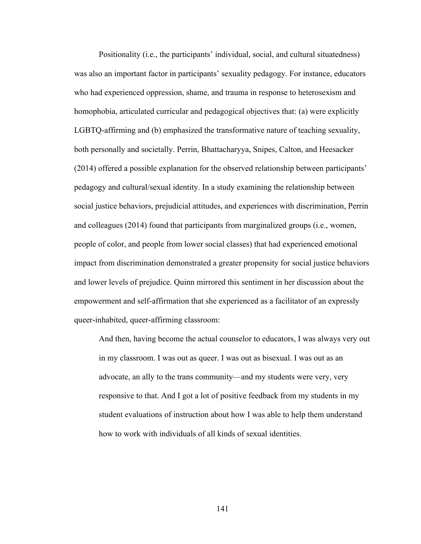Positionality (i.e., the participants' individual, social, and cultural situatedness) was also an important factor in participants' sexuality pedagogy. For instance, educators who had experienced oppression, shame, and trauma in response to heterosexism and homophobia, articulated curricular and pedagogical objectives that: (a) were explicitly LGBTQ-affirming and (b) emphasized the transformative nature of teaching sexuality, both personally and societally. Perrin, Bhattacharyya, Snipes, Calton, and Heesacker (2014) offered a possible explanation for the observed relationship between participants' pedagogy and cultural/sexual identity. In a study examining the relationship between social justice behaviors, prejudicial attitudes, and experiences with discrimination, Perrin and colleagues (2014) found that participants from marginalized groups (i.e., women, people of color, and people from lower social classes) that had experienced emotional impact from discrimination demonstrated a greater propensity for social justice behaviors and lower levels of prejudice. Quinn mirrored this sentiment in her discussion about the empowerment and self-affirmation that she experienced as a facilitator of an expressly queer-inhabited, queer-affirming classroom:

And then, having become the actual counselor to educators, I was always very out in my classroom. I was out as queer. I was out as bisexual. I was out as an advocate, an ally to the trans community—and my students were very, very responsive to that. And I got a lot of positive feedback from my students in my student evaluations of instruction about how I was able to help them understand how to work with individuals of all kinds of sexual identities.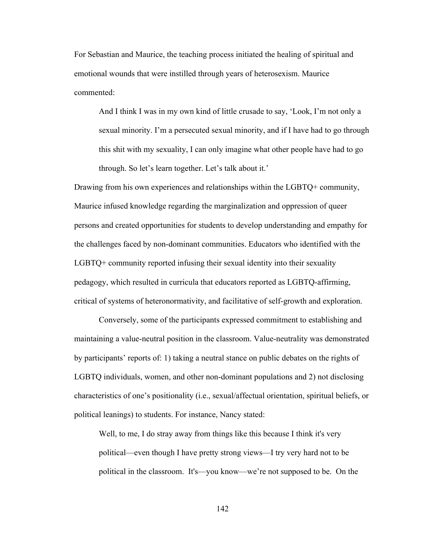For Sebastian and Maurice, the teaching process initiated the healing of spiritual and emotional wounds that were instilled through years of heterosexism. Maurice commented:

And I think I was in my own kind of little crusade to say, 'Look, I'm not only a sexual minority. I'm a persecuted sexual minority, and if I have had to go through this shit with my sexuality, I can only imagine what other people have had to go through. So let's learn together. Let's talk about it.'

Drawing from his own experiences and relationships within the LGBTQ+ community, Maurice infused knowledge regarding the marginalization and oppression of queer persons and created opportunities for students to develop understanding and empathy for the challenges faced by non-dominant communities. Educators who identified with the LGBTQ+ community reported infusing their sexual identity into their sexuality pedagogy, which resulted in curricula that educators reported as LGBTQ-affirming, critical of systems of heteronormativity, and facilitative of self-growth and exploration.

Conversely, some of the participants expressed commitment to establishing and maintaining a value-neutral position in the classroom. Value-neutrality was demonstrated by participants' reports of: 1) taking a neutral stance on public debates on the rights of LGBTQ individuals, women, and other non-dominant populations and 2) not disclosing characteristics of one's positionality (i.e., sexual/affectual orientation, spiritual beliefs, or political leanings) to students. For instance, Nancy stated:

Well, to me, I do stray away from things like this because I think it's very political—even though I have pretty strong views—I try very hard not to be political in the classroom. It's—you know—we're not supposed to be. On the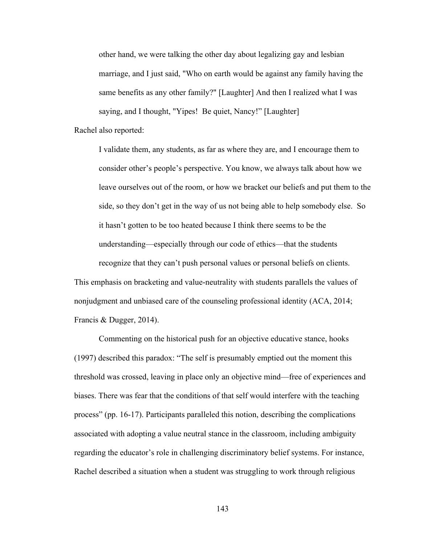other hand, we were talking the other day about legalizing gay and lesbian marriage, and I just said, "Who on earth would be against any family having the same benefits as any other family?" [Laughter] And then I realized what I was saying, and I thought, "Yipes! Be quiet, Nancy!" [Laughter]

Rachel also reported:

I validate them, any students, as far as where they are, and I encourage them to consider other's people's perspective. You know, we always talk about how we leave ourselves out of the room, or how we bracket our beliefs and put them to the side, so they don't get in the way of us not being able to help somebody else. So it hasn't gotten to be too heated because I think there seems to be the understanding—especially through our code of ethics—that the students recognize that they can't push personal values or personal beliefs on clients.

This emphasis on bracketing and value-neutrality with students parallels the values of nonjudgment and unbiased care of the counseling professional identity (ACA, 2014; Francis & Dugger, 2014).

Commenting on the historical push for an objective educative stance, hooks (1997) described this paradox: "The self is presumably emptied out the moment this threshold was crossed, leaving in place only an objective mind—free of experiences and biases. There was fear that the conditions of that self would interfere with the teaching process" (pp. 16-17). Participants paralleled this notion, describing the complications associated with adopting a value neutral stance in the classroom, including ambiguity regarding the educator's role in challenging discriminatory belief systems. For instance, Rachel described a situation when a student was struggling to work through religious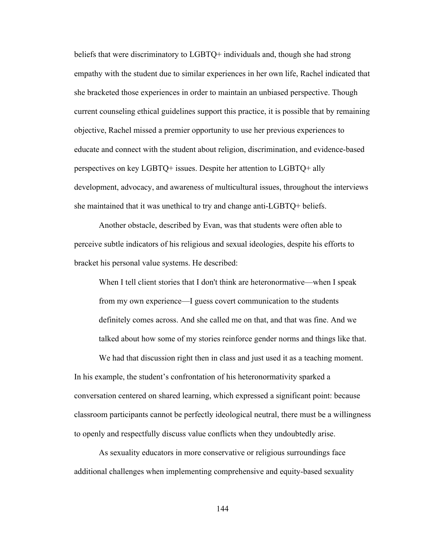beliefs that were discriminatory to LGBTQ+ individuals and, though she had strong empathy with the student due to similar experiences in her own life, Rachel indicated that she bracketed those experiences in order to maintain an unbiased perspective. Though current counseling ethical guidelines support this practice, it is possible that by remaining objective, Rachel missed a premier opportunity to use her previous experiences to educate and connect with the student about religion, discrimination, and evidence-based perspectives on key LGBTQ+ issues. Despite her attention to LGBTQ+ ally development, advocacy, and awareness of multicultural issues, throughout the interviews she maintained that it was unethical to try and change anti-LGBTQ+ beliefs.

Another obstacle, described by Evan, was that students were often able to perceive subtle indicators of his religious and sexual ideologies, despite his efforts to bracket his personal value systems. He described:

When I tell client stories that I don't think are heteronormative—when I speak from my own experience—I guess covert communication to the students definitely comes across. And she called me on that, and that was fine. And we talked about how some of my stories reinforce gender norms and things like that.

We had that discussion right then in class and just used it as a teaching moment. In his example, the student's confrontation of his heteronormativity sparked a conversation centered on shared learning, which expressed a significant point: because classroom participants cannot be perfectly ideological neutral, there must be a willingness to openly and respectfully discuss value conflicts when they undoubtedly arise.

As sexuality educators in more conservative or religious surroundings face additional challenges when implementing comprehensive and equity-based sexuality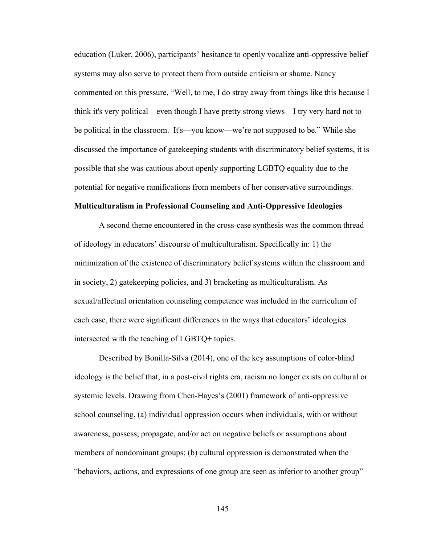education (Luker, 2006), participants' hesitance to openly vocalize anti-oppressive belief systems may also serve to protect them from outside criticism or shame. Nancy commented on this pressure, "Well, to me, I do stray away from things like this because I think it's very political—even though I have pretty strong views—I try very hard not to be political in the classroom. It's—you know—we're not supposed to be." While she discussed the importance of gatekeeping students with discriminatory belief systems, it is possible that she was cautious about openly supporting LGBTQ equality due to the potential for negative ramifications from members of her conservative surroundings.

### **Multiculturalism in Professional Counseling and Anti-Oppressive Ideologies**

A second theme encountered in the cross-case synthesis was the common thread of ideology in educators' discourse of multiculturalism. Specifically in: 1) the minimization of the existence of discriminatory belief systems within the classroom and in society, 2) gatekeeping policies, and 3) bracketing as multiculturalism. As sexual/affectual orientation counseling competence was included in the curriculum of each case, there were significant differences in the ways that educators' ideologies intersected with the teaching of LGBTQ+ topics.

Described by Bonilla-Silva (2014), one of the key assumptions of color-blind ideology is the belief that, in a post-civil rights era, racism no longer exists on cultural or systemic levels. Drawing from Chen-Hayes's (2001) framework of anti-oppressive school counseling, (a) individual oppression occurs when individuals, with or without awareness, possess, propagate, and/or act on negative beliefs or assumptions about members of nondominant groups; (b) cultural oppression is demonstrated when the "behaviors, actions, and expressions of one group are seen as inferior to another group"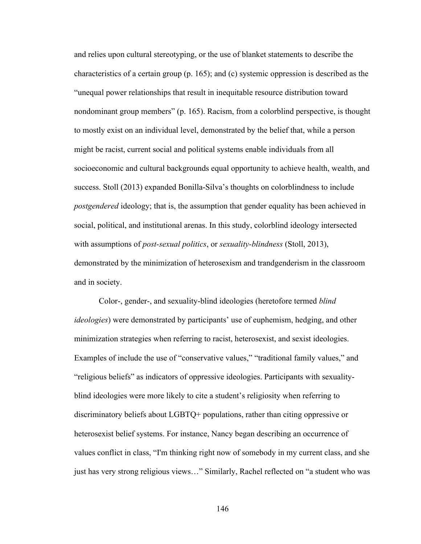and relies upon cultural stereotyping, or the use of blanket statements to describe the characteristics of a certain group (p. 165); and (c) systemic oppression is described as the "unequal power relationships that result in inequitable resource distribution toward nondominant group members" (p. 165). Racism, from a colorblind perspective, is thought to mostly exist on an individual level, demonstrated by the belief that, while a person might be racist, current social and political systems enable individuals from all socioeconomic and cultural backgrounds equal opportunity to achieve health, wealth, and success. Stoll (2013) expanded Bonilla-Silva's thoughts on colorblindness to include *postgendered* ideology; that is, the assumption that gender equality has been achieved in social, political, and institutional arenas. In this study, colorblind ideology intersected with assumptions of *post-sexual politics*, or *sexuality-blindness* (Stoll, 2013), demonstrated by the minimization of heterosexism and trandgenderism in the classroom and in society.

Color-, gender-, and sexuality-blind ideologies (heretofore termed *blind ideologies*) were demonstrated by participants' use of euphemism, hedging, and other minimization strategies when referring to racist, heterosexist, and sexist ideologies. Examples of include the use of "conservative values," "traditional family values," and "religious beliefs" as indicators of oppressive ideologies. Participants with sexualityblind ideologies were more likely to cite a student's religiosity when referring to discriminatory beliefs about LGBTQ+ populations, rather than citing oppressive or heterosexist belief systems. For instance, Nancy began describing an occurrence of values conflict in class, "I'm thinking right now of somebody in my current class, and she just has very strong religious views…" Similarly, Rachel reflected on "a student who was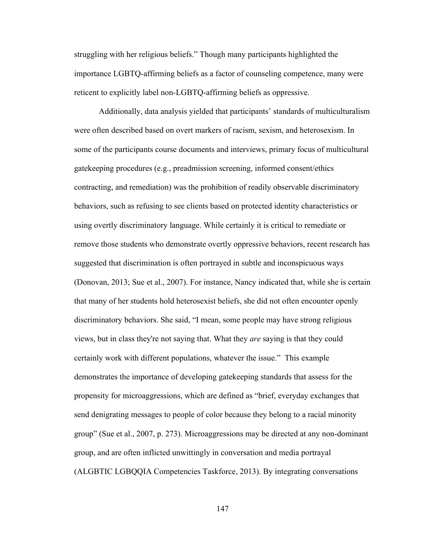struggling with her religious beliefs." Though many participants highlighted the importance LGBTQ-affirming beliefs as a factor of counseling competence, many were reticent to explicitly label non-LGBTQ-affirming beliefs as oppressive.

Additionally, data analysis yielded that participants' standards of multiculturalism were often described based on overt markers of racism, sexism, and heterosexism. In some of the participants course documents and interviews, primary focus of multicultural gatekeeping procedures (e.g., preadmission screening, informed consent/ethics contracting, and remediation) was the prohibition of readily observable discriminatory behaviors, such as refusing to see clients based on protected identity characteristics or using overtly discriminatory language. While certainly it is critical to remediate or remove those students who demonstrate overtly oppressive behaviors, recent research has suggested that discrimination is often portrayed in subtle and inconspicuous ways (Donovan, 2013; Sue et al., 2007). For instance, Nancy indicated that, while she is certain that many of her students hold heterosexist beliefs, she did not often encounter openly discriminatory behaviors. She said, "I mean, some people may have strong religious views, but in class they're not saying that. What they *are* saying is that they could certainly work with different populations, whatever the issue." This example demonstrates the importance of developing gatekeeping standards that assess for the propensity for microaggressions, which are defined as "brief, everyday exchanges that send denigrating messages to people of color because they belong to a racial minority group" (Sue et al., 2007, p. 273). Microaggressions may be directed at any non-dominant group, and are often inflicted unwittingly in conversation and media portrayal (ALGBTIC LGBQQIA Competencies Taskforce, 2013). By integrating conversations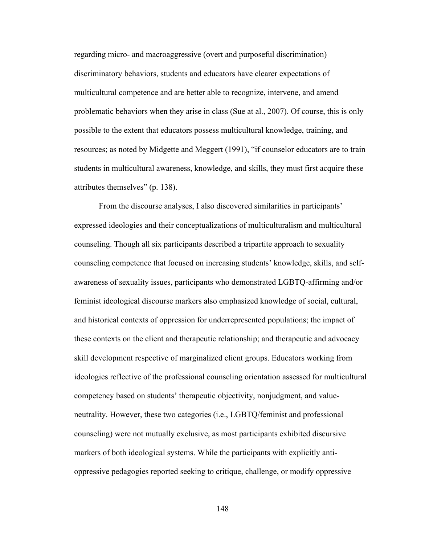regarding micro- and macroaggressive (overt and purposeful discrimination) discriminatory behaviors, students and educators have clearer expectations of multicultural competence and are better able to recognize, intervene, and amend problematic behaviors when they arise in class (Sue at al., 2007). Of course, this is only possible to the extent that educators possess multicultural knowledge, training, and resources; as noted by Midgette and Meggert (1991), "if counselor educators are to train students in multicultural awareness, knowledge, and skills, they must first acquire these attributes themselves" (p. 138).

From the discourse analyses, I also discovered similarities in participants' expressed ideologies and their conceptualizations of multiculturalism and multicultural counseling. Though all six participants described a tripartite approach to sexuality counseling competence that focused on increasing students' knowledge, skills, and selfawareness of sexuality issues, participants who demonstrated LGBTQ-affirming and/or feminist ideological discourse markers also emphasized knowledge of social, cultural, and historical contexts of oppression for underrepresented populations; the impact of these contexts on the client and therapeutic relationship; and therapeutic and advocacy skill development respective of marginalized client groups. Educators working from ideologies reflective of the professional counseling orientation assessed for multicultural competency based on students' therapeutic objectivity, nonjudgment, and valueneutrality. However, these two categories (i.e., LGBTQ/feminist and professional counseling) were not mutually exclusive, as most participants exhibited discursive markers of both ideological systems. While the participants with explicitly antioppressive pedagogies reported seeking to critique, challenge, or modify oppressive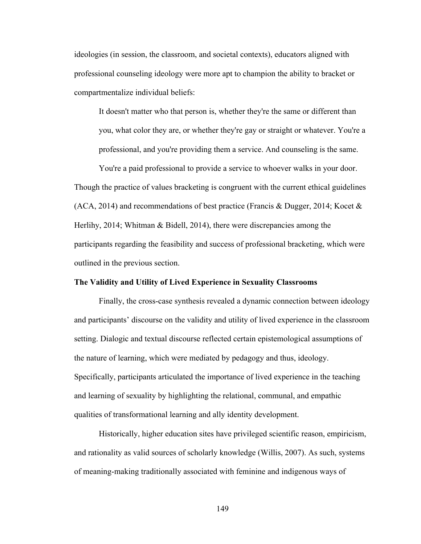ideologies (in session, the classroom, and societal contexts), educators aligned with professional counseling ideology were more apt to champion the ability to bracket or compartmentalize individual beliefs:

It doesn't matter who that person is, whether they're the same or different than you, what color they are, or whether they're gay or straight or whatever. You're a professional, and you're providing them a service. And counseling is the same.

You're a paid professional to provide a service to whoever walks in your door. Though the practice of values bracketing is congruent with the current ethical guidelines (ACA, 2014) and recommendations of best practice (Francis & Dugger, 2014; Kocet & Herlihy, 2014; Whitman & Bidell, 2014), there were discrepancies among the participants regarding the feasibility and success of professional bracketing, which were outlined in the previous section.

### **The Validity and Utility of Lived Experience in Sexuality Classrooms**

Finally, the cross-case synthesis revealed a dynamic connection between ideology and participants' discourse on the validity and utility of lived experience in the classroom setting. Dialogic and textual discourse reflected certain epistemological assumptions of the nature of learning, which were mediated by pedagogy and thus, ideology. Specifically, participants articulated the importance of lived experience in the teaching and learning of sexuality by highlighting the relational, communal, and empathic qualities of transformational learning and ally identity development.

Historically, higher education sites have privileged scientific reason, empiricism, and rationality as valid sources of scholarly knowledge (Willis, 2007). As such, systems of meaning-making traditionally associated with feminine and indigenous ways of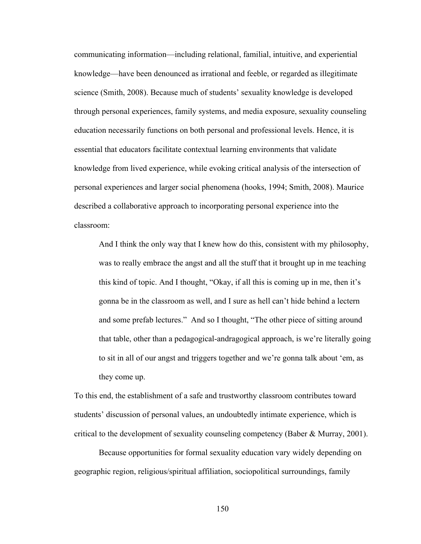communicating information—including relational, familial, intuitive, and experiential knowledge—have been denounced as irrational and feeble, or regarded as illegitimate science (Smith, 2008). Because much of students' sexuality knowledge is developed through personal experiences, family systems, and media exposure, sexuality counseling education necessarily functions on both personal and professional levels. Hence, it is essential that educators facilitate contextual learning environments that validate knowledge from lived experience, while evoking critical analysis of the intersection of personal experiences and larger social phenomena (hooks, 1994; Smith, 2008). Maurice described a collaborative approach to incorporating personal experience into the classroom:

And I think the only way that I knew how do this, consistent with my philosophy, was to really embrace the angst and all the stuff that it brought up in me teaching this kind of topic. And I thought, "Okay, if all this is coming up in me, then it's gonna be in the classroom as well, and I sure as hell can't hide behind a lectern and some prefab lectures." And so I thought, "The other piece of sitting around that table, other than a pedagogical-andragogical approach, is we're literally going to sit in all of our angst and triggers together and we're gonna talk about 'em, as they come up.

To this end, the establishment of a safe and trustworthy classroom contributes toward students' discussion of personal values, an undoubtedly intimate experience, which is critical to the development of sexuality counseling competency (Baber & Murray, 2001).

Because opportunities for formal sexuality education vary widely depending on geographic region, religious/spiritual affiliation, sociopolitical surroundings, family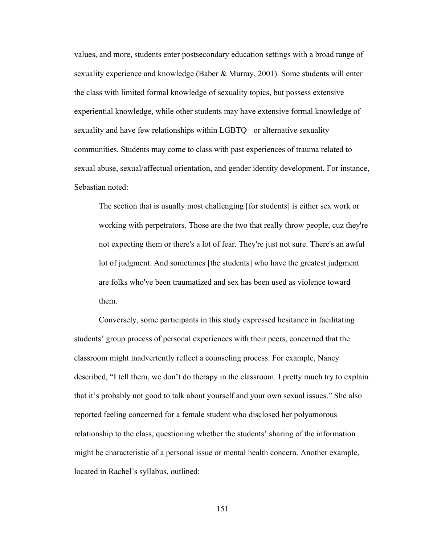values, and more, students enter postsecondary education settings with a broad range of sexuality experience and knowledge (Baber & Murray, 2001). Some students will enter the class with limited formal knowledge of sexuality topics, but possess extensive experiential knowledge, while other students may have extensive formal knowledge of sexuality and have few relationships within LGBTQ+ or alternative sexuality communities. Students may come to class with past experiences of trauma related to sexual abuse, sexual/affectual orientation, and gender identity development. For instance, Sebastian noted:

The section that is usually most challenging [for students] is either sex work or working with perpetrators. Those are the two that really throw people, cuz they're not expecting them or there's a lot of fear. They're just not sure. There's an awful lot of judgment. And sometimes [the students] who have the greatest judgment are folks who've been traumatized and sex has been used as violence toward them.

Conversely, some participants in this study expressed hesitance in facilitating students' group process of personal experiences with their peers, concerned that the classroom might inadvertently reflect a counseling process. For example, Nancy described, "I tell them, we don't do therapy in the classroom. I pretty much try to explain that it's probably not good to talk about yourself and your own sexual issues." She also reported feeling concerned for a female student who disclosed her polyamorous relationship to the class, questioning whether the students' sharing of the information might be characteristic of a personal issue or mental health concern. Another example, located in Rachel's syllabus, outlined: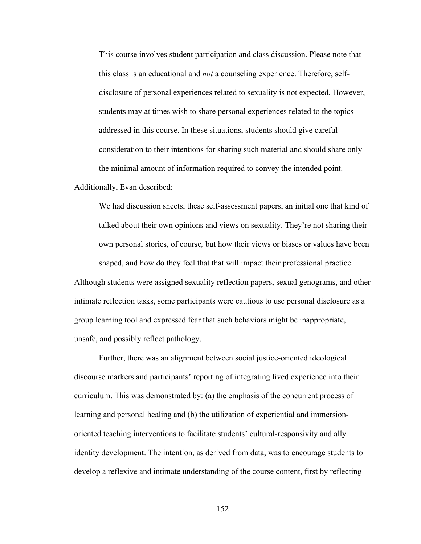This course involves student participation and class discussion. Please note that this class is an educational and *not* a counseling experience. Therefore, selfdisclosure of personal experiences related to sexuality is not expected. However, students may at times wish to share personal experiences related to the topics addressed in this course. In these situations, students should give careful consideration to their intentions for sharing such material and should share only the minimal amount of information required to convey the intended point.

Additionally, Evan described:

We had discussion sheets, these self-assessment papers, an initial one that kind of talked about their own opinions and views on sexuality. They're not sharing their own personal stories, of course*,* but how their views or biases or values have been shaped, and how do they feel that that will impact their professional practice. Although students were assigned sexuality reflection papers, sexual genograms, and other

intimate reflection tasks, some participants were cautious to use personal disclosure as a group learning tool and expressed fear that such behaviors might be inappropriate, unsafe, and possibly reflect pathology.

Further, there was an alignment between social justice-oriented ideological discourse markers and participants' reporting of integrating lived experience into their curriculum. This was demonstrated by: (a) the emphasis of the concurrent process of learning and personal healing and (b) the utilization of experiential and immersionoriented teaching interventions to facilitate students' cultural-responsivity and ally identity development. The intention, as derived from data, was to encourage students to develop a reflexive and intimate understanding of the course content, first by reflecting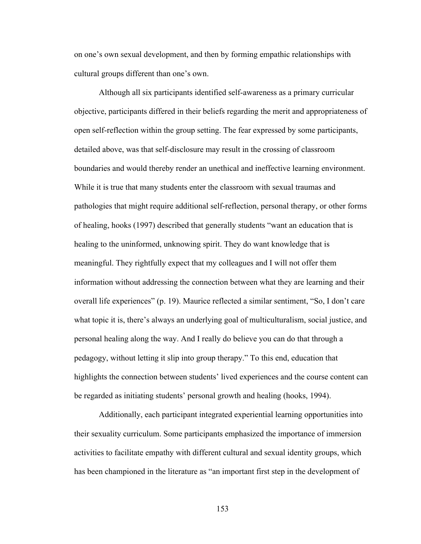on one's own sexual development, and then by forming empathic relationships with cultural groups different than one's own.

Although all six participants identified self-awareness as a primary curricular objective, participants differed in their beliefs regarding the merit and appropriateness of open self-reflection within the group setting. The fear expressed by some participants, detailed above, was that self-disclosure may result in the crossing of classroom boundaries and would thereby render an unethical and ineffective learning environment. While it is true that many students enter the classroom with sexual traumas and pathologies that might require additional self-reflection, personal therapy, or other forms of healing, hooks (1997) described that generally students "want an education that is healing to the uninformed, unknowing spirit. They do want knowledge that is meaningful. They rightfully expect that my colleagues and I will not offer them information without addressing the connection between what they are learning and their overall life experiences" (p. 19). Maurice reflected a similar sentiment, "So, I don't care what topic it is, there's always an underlying goal of multiculturalism, social justice, and personal healing along the way. And I really do believe you can do that through a pedagogy, without letting it slip into group therapy." To this end, education that highlights the connection between students' lived experiences and the course content can be regarded as initiating students' personal growth and healing (hooks, 1994).

Additionally, each participant integrated experiential learning opportunities into their sexuality curriculum. Some participants emphasized the importance of immersion activities to facilitate empathy with different cultural and sexual identity groups, which has been championed in the literature as "an important first step in the development of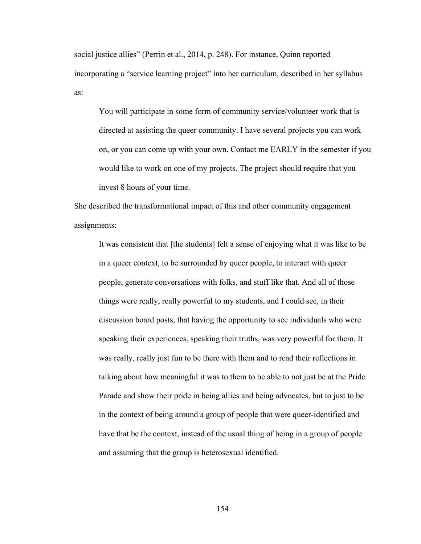social justice allies" (Perrin et al., 2014, p. 248). For instance, Quinn reported incorporating a "service learning project" into her curriculum, described in her syllabus as:

You will participate in some form of community service/volunteer work that is directed at assisting the queer community. I have several projects you can work on, or you can come up with your own. Contact me EARLY in the semester if you would like to work on one of my projects. The project should require that you invest 8 hours of your time.

She described the transformational impact of this and other community engagement assignments:

It was consistent that [the students] felt a sense of enjoying what it was like to be in a queer context, to be surrounded by queer people, to interact with queer people, generate conversations with folks, and stuff like that. And all of those things were really, really powerful to my students, and I could see, in their discussion board posts, that having the opportunity to see individuals who were speaking their experiences, speaking their truths, was very powerful for them. It was really, really just fun to be there with them and to read their reflections in talking about how meaningful it was to them to be able to not just be at the Pride Parade and show their pride in being allies and being advocates, but to just to be in the context of being around a group of people that were queer-identified and have that be the context, instead of the usual thing of being in a group of people and assuming that the group is heterosexual identified.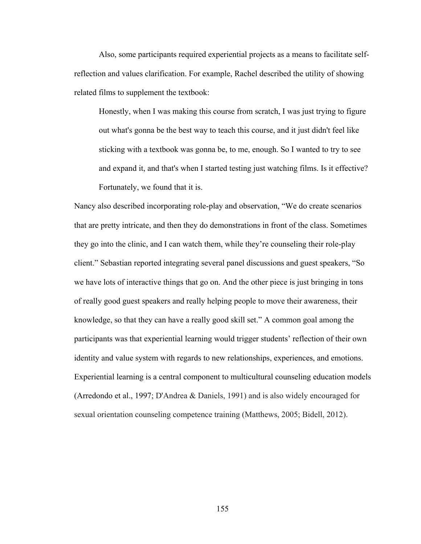Also, some participants required experiential projects as a means to facilitate selfreflection and values clarification. For example, Rachel described the utility of showing related films to supplement the textbook:

Honestly, when I was making this course from scratch, I was just trying to figure out what's gonna be the best way to teach this course, and it just didn't feel like sticking with a textbook was gonna be, to me, enough. So I wanted to try to see and expand it, and that's when I started testing just watching films. Is it effective? Fortunately, we found that it is.

Nancy also described incorporating role-play and observation, "We do create scenarios that are pretty intricate, and then they do demonstrations in front of the class. Sometimes they go into the clinic, and I can watch them, while they're counseling their role-play client." Sebastian reported integrating several panel discussions and guest speakers, "So we have lots of interactive things that go on. And the other piece is just bringing in tons of really good guest speakers and really helping people to move their awareness, their knowledge, so that they can have a really good skill set." A common goal among the participants was that experiential learning would trigger students' reflection of their own identity and value system with regards to new relationships, experiences, and emotions. Experiential learning is a central component to multicultural counseling education models (Arredondo et al., 1997; D'Andrea & Daniels, 1991) and is also widely encouraged for sexual orientation counseling competence training (Matthews, 2005; Bidell, 2012).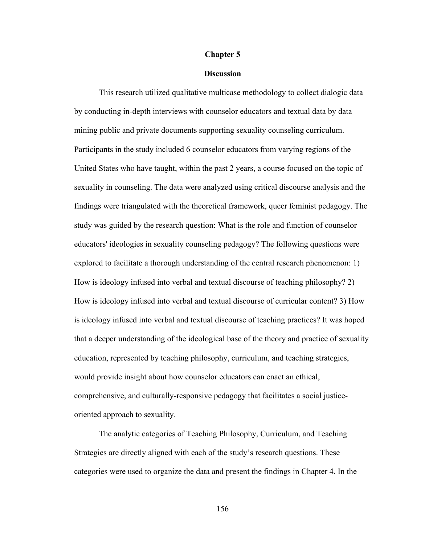#### **Chapter 5**

#### **Discussion**

This research utilized qualitative multicase methodology to collect dialogic data by conducting in-depth interviews with counselor educators and textual data by data mining public and private documents supporting sexuality counseling curriculum. Participants in the study included 6 counselor educators from varying regions of the United States who have taught, within the past 2 years, a course focused on the topic of sexuality in counseling. The data were analyzed using critical discourse analysis and the findings were triangulated with the theoretical framework, queer feminist pedagogy. The study was guided by the research question: What is the role and function of counselor educators' ideologies in sexuality counseling pedagogy? The following questions were explored to facilitate a thorough understanding of the central research phenomenon: 1) How is ideology infused into verbal and textual discourse of teaching philosophy? 2) How is ideology infused into verbal and textual discourse of curricular content? 3) How is ideology infused into verbal and textual discourse of teaching practices? It was hoped that a deeper understanding of the ideological base of the theory and practice of sexuality education, represented by teaching philosophy, curriculum, and teaching strategies, would provide insight about how counselor educators can enact an ethical, comprehensive, and culturally-responsive pedagogy that facilitates a social justiceoriented approach to sexuality.

The analytic categories of Teaching Philosophy, Curriculum, and Teaching Strategies are directly aligned with each of the study's research questions. These categories were used to organize the data and present the findings in Chapter 4. In the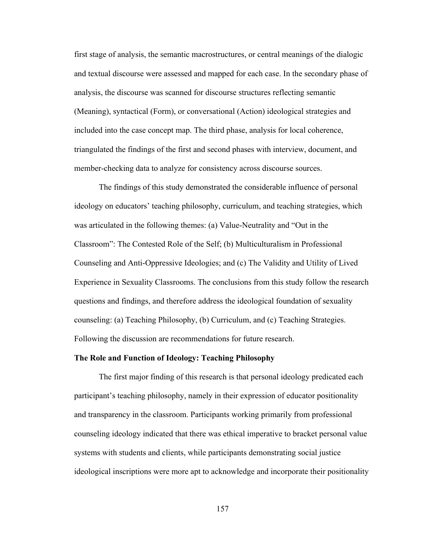first stage of analysis, the semantic macrostructures, or central meanings of the dialogic and textual discourse were assessed and mapped for each case. In the secondary phase of analysis, the discourse was scanned for discourse structures reflecting semantic (Meaning), syntactical (Form), or conversational (Action) ideological strategies and included into the case concept map. The third phase, analysis for local coherence, triangulated the findings of the first and second phases with interview, document, and member-checking data to analyze for consistency across discourse sources.

The findings of this study demonstrated the considerable influence of personal ideology on educators' teaching philosophy, curriculum, and teaching strategies, which was articulated in the following themes: (a) Value-Neutrality and "Out in the Classroom": The Contested Role of the Self; (b) Multiculturalism in Professional Counseling and Anti-Oppressive Ideologies; and (c) The Validity and Utility of Lived Experience in Sexuality Classrooms. The conclusions from this study follow the research questions and findings, and therefore address the ideological foundation of sexuality counseling: (a) Teaching Philosophy, (b) Curriculum, and (c) Teaching Strategies. Following the discussion are recommendations for future research.

### **The Role and Function of Ideology: Teaching Philosophy**

The first major finding of this research is that personal ideology predicated each participant's teaching philosophy, namely in their expression of educator positionality and transparency in the classroom. Participants working primarily from professional counseling ideology indicated that there was ethical imperative to bracket personal value systems with students and clients, while participants demonstrating social justice ideological inscriptions were more apt to acknowledge and incorporate their positionality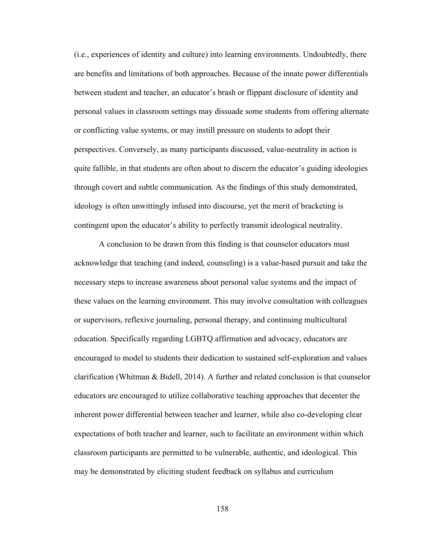(i.e., experiences of identity and culture) into learning environments. Undoubtedly, there are benefits and limitations of both approaches. Because of the innate power differentials between student and teacher, an educator's brash or flippant disclosure of identity and personal values in classroom settings may dissuade some students from offering alternate or conflicting value systems, or may instill pressure on students to adopt their perspectives. Conversely, as many participants discussed, value-neutrality in action is quite fallible, in that students are often about to discern the educator's guiding ideologies through covert and subtle communication. As the findings of this study demonstrated, ideology is often unwittingly infused into discourse, yet the merit of bracketing is contingent upon the educator's ability to perfectly transmit ideological neutrality.

A conclusion to be drawn from this finding is that counselor educators must acknowledge that teaching (and indeed, counseling) is a value-based pursuit and take the necessary steps to increase awareness about personal value systems and the impact of these values on the learning environment. This may involve consultation with colleagues or supervisors, reflexive journaling, personal therapy, and continuing multicultural education. Specifically regarding LGBTQ affirmation and advocacy, educators are encouraged to model to students their dedication to sustained self-exploration and values clarification (Whitman & Bidell, 2014). A further and related conclusion is that counselor educators are encouraged to utilize collaborative teaching approaches that decenter the inherent power differential between teacher and learner, while also co-developing clear expectations of both teacher and learner, such to facilitate an environment within which classroom participants are permitted to be vulnerable, authentic, and ideological. This may be demonstrated by eliciting student feedback on syllabus and curriculum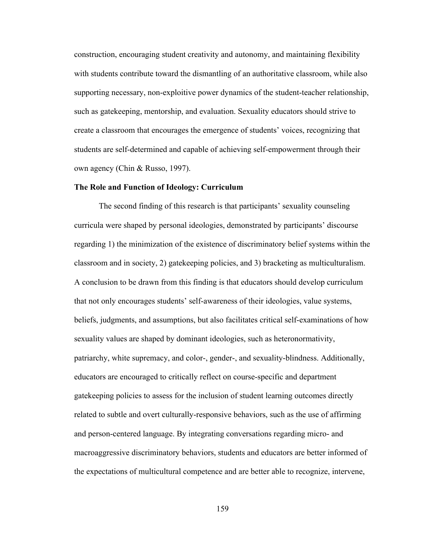construction, encouraging student creativity and autonomy, and maintaining flexibility with students contribute toward the dismantling of an authoritative classroom, while also supporting necessary, non-exploitive power dynamics of the student-teacher relationship, such as gatekeeping, mentorship, and evaluation. Sexuality educators should strive to create a classroom that encourages the emergence of students' voices, recognizing that students are self-determined and capable of achieving self-empowerment through their own agency (Chin & Russo, 1997).

#### **The Role and Function of Ideology: Curriculum**

The second finding of this research is that participants' sexuality counseling curricula were shaped by personal ideologies, demonstrated by participants' discourse regarding 1) the minimization of the existence of discriminatory belief systems within the classroom and in society, 2) gatekeeping policies, and 3) bracketing as multiculturalism. A conclusion to be drawn from this finding is that educators should develop curriculum that not only encourages students' self-awareness of their ideologies, value systems, beliefs, judgments, and assumptions, but also facilitates critical self-examinations of how sexuality values are shaped by dominant ideologies, such as heteronormativity, patriarchy, white supremacy, and color-, gender-, and sexuality-blindness. Additionally, educators are encouraged to critically reflect on course-specific and department gatekeeping policies to assess for the inclusion of student learning outcomes directly related to subtle and overt culturally-responsive behaviors, such as the use of affirming and person-centered language. By integrating conversations regarding micro- and macroaggressive discriminatory behaviors, students and educators are better informed of the expectations of multicultural competence and are better able to recognize, intervene,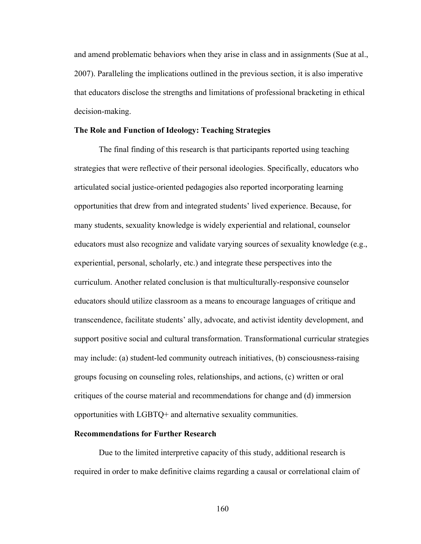and amend problematic behaviors when they arise in class and in assignments (Sue at al., 2007). Paralleling the implications outlined in the previous section, it is also imperative that educators disclose the strengths and limitations of professional bracketing in ethical decision-making.

### **The Role and Function of Ideology: Teaching Strategies**

The final finding of this research is that participants reported using teaching strategies that were reflective of their personal ideologies. Specifically, educators who articulated social justice-oriented pedagogies also reported incorporating learning opportunities that drew from and integrated students' lived experience. Because, for many students, sexuality knowledge is widely experiential and relational, counselor educators must also recognize and validate varying sources of sexuality knowledge (e.g., experiential, personal, scholarly, etc.) and integrate these perspectives into the curriculum. Another related conclusion is that multiculturally-responsive counselor educators should utilize classroom as a means to encourage languages of critique and transcendence, facilitate students' ally, advocate, and activist identity development, and support positive social and cultural transformation. Transformational curricular strategies may include: (a) student-led community outreach initiatives, (b) consciousness-raising groups focusing on counseling roles, relationships, and actions, (c) written or oral critiques of the course material and recommendations for change and (d) immersion opportunities with LGBTQ+ and alternative sexuality communities.

#### **Recommendations for Further Research**

Due to the limited interpretive capacity of this study, additional research is required in order to make definitive claims regarding a causal or correlational claim of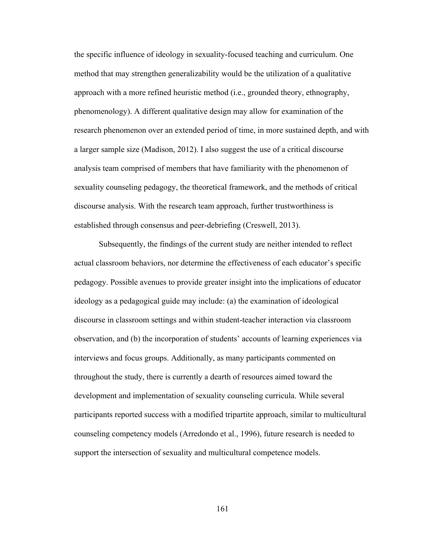the specific influence of ideology in sexuality-focused teaching and curriculum. One method that may strengthen generalizability would be the utilization of a qualitative approach with a more refined heuristic method (i.e., grounded theory, ethnography, phenomenology). A different qualitative design may allow for examination of the research phenomenon over an extended period of time, in more sustained depth, and with a larger sample size (Madison, 2012). I also suggest the use of a critical discourse analysis team comprised of members that have familiarity with the phenomenon of sexuality counseling pedagogy, the theoretical framework, and the methods of critical discourse analysis. With the research team approach, further trustworthiness is established through consensus and peer-debriefing (Creswell, 2013).

Subsequently, the findings of the current study are neither intended to reflect actual classroom behaviors, nor determine the effectiveness of each educator's specific pedagogy. Possible avenues to provide greater insight into the implications of educator ideology as a pedagogical guide may include: (a) the examination of ideological discourse in classroom settings and within student-teacher interaction via classroom observation, and (b) the incorporation of students' accounts of learning experiences via interviews and focus groups. Additionally, as many participants commented on throughout the study, there is currently a dearth of resources aimed toward the development and implementation of sexuality counseling curricula. While several participants reported success with a modified tripartite approach, similar to multicultural counseling competency models (Arredondo et al., 1996), future research is needed to support the intersection of sexuality and multicultural competence models.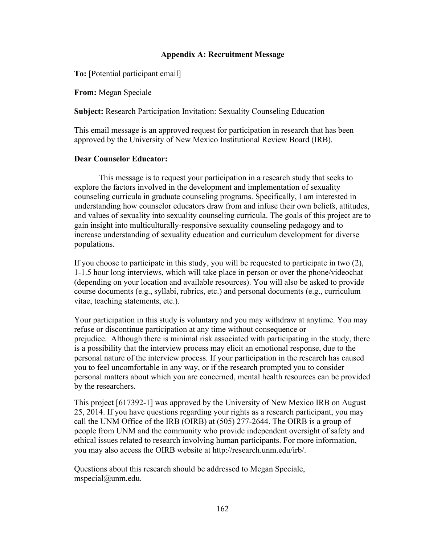### **Appendix A: Recruitment Message**

**To:** [Potential participant email]

**From:** Megan Speciale

**Subject:** Research Participation Invitation: Sexuality Counseling Education

This email message is an approved request for participation in research that has been approved by the University of New Mexico Institutional Review Board (IRB).

## **Dear Counselor Educator:**

This message is to request your participation in a research study that seeks to explore the factors involved in the development and implementation of sexuality counseling curricula in graduate counseling programs. Specifically, I am interested in understanding how counselor educators draw from and infuse their own beliefs, attitudes, and values of sexuality into sexuality counseling curricula. The goals of this project are to gain insight into multiculturally-responsive sexuality counseling pedagogy and to increase understanding of sexuality education and curriculum development for diverse populations.

If you choose to participate in this study, you will be requested to participate in two (2), 1-1.5 hour long interviews, which will take place in person or over the phone/videochat (depending on your location and available resources). You will also be asked to provide course documents (e.g., syllabi, rubrics, etc.) and personal documents (e.g., curriculum vitae, teaching statements, etc.).

Your participation in this study is voluntary and you may withdraw at anytime. You may refuse or discontinue participation at any time without consequence or prejudice. Although there is minimal risk associated with participating in the study, there is a possibility that the interview process may elicit an emotional response, due to the personal nature of the interview process. If your participation in the research has caused you to feel uncomfortable in any way, or if the research prompted you to consider personal matters about which you are concerned, mental health resources can be provided by the researchers.

This project [617392-1] was approved by the University of New Mexico IRB on August 25, 2014. If you have questions regarding your rights as a research participant, you may call the UNM Office of the IRB (OIRB) at (505) 277-2644. The OIRB is a group of people from UNM and the community who provide independent oversight of safety and ethical issues related to research involving human participants. For more information, you may also access the OIRB website at http://research.unm.edu/irb/.

Questions about this research should be addressed to Megan Speciale, mspecial@unm.edu.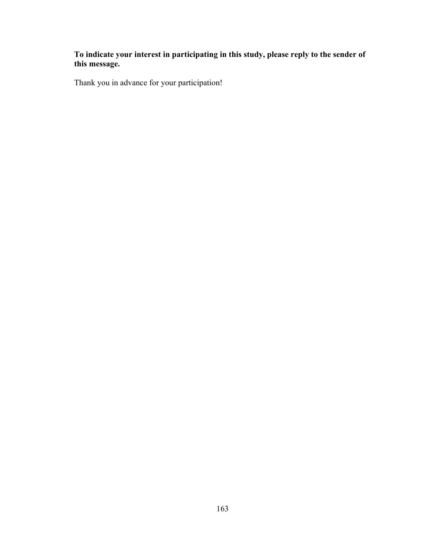## **To indicate your interest in participating in this study, please reply to the sender of this message.**

Thank you in advance for your participation!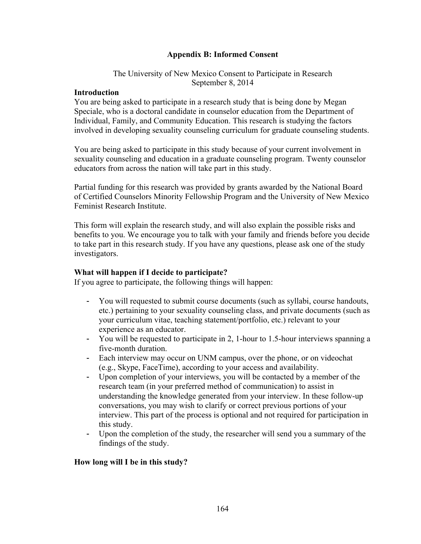## **Appendix B: Informed Consent**

### The University of New Mexico Consent to Participate in Research September 8, 2014

### **Introduction**

You are being asked to participate in a research study that is being done by Megan Speciale, who is a doctoral candidate in counselor education from the Department of Individual, Family, and Community Education. This research is studying the factors involved in developing sexuality counseling curriculum for graduate counseling students.

You are being asked to participate in this study because of your current involvement in sexuality counseling and education in a graduate counseling program. Twenty counselor educators from across the nation will take part in this study.

Partial funding for this research was provided by grants awarded by the National Board of Certified Counselors Minority Fellowship Program and the University of New Mexico Feminist Research Institute.

This form will explain the research study, and will also explain the possible risks and benefits to you. We encourage you to talk with your family and friends before you decide to take part in this research study. If you have any questions, please ask one of the study investigators.

### **What will happen if I decide to participate?**

If you agree to participate, the following things will happen:

- You will requested to submit course documents (such as syllabi, course handouts, etc.) pertaining to your sexuality counseling class, and private documents (such as your curriculum vitae, teaching statement/portfolio, etc.) relevant to your experience as an educator.
- You will be requested to participate in 2, 1-hour to 1.5-hour interviews spanning a five-month duration.
- Each interview may occur on UNM campus, over the phone, or on videochat (e.g., Skype, FaceTime), according to your access and availability.
- Upon completion of your interviews, you will be contacted by a member of the research team (in your preferred method of communication) to assist in understanding the knowledge generated from your interview. In these follow-up conversations, you may wish to clarify or correct previous portions of your interview. This part of the process is optional and not required for participation in this study.
- Upon the completion of the study, the researcher will send you a summary of the findings of the study.

### **How long will I be in this study?**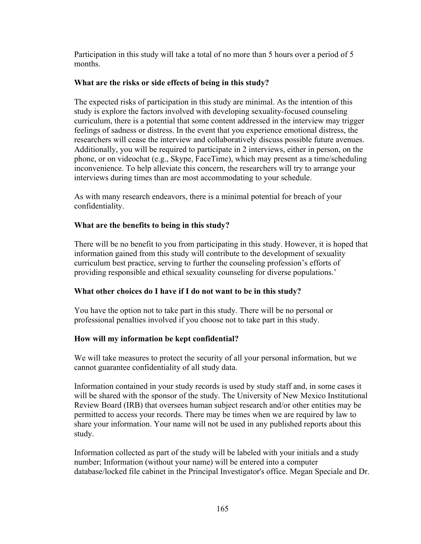Participation in this study will take a total of no more than 5 hours over a period of 5 months.

## **What are the risks or side effects of being in this study?**

The expected risks of participation in this study are minimal. As the intention of this study is explore the factors involved with developing sexuality-focused counseling curriculum, there is a potential that some content addressed in the interview may trigger feelings of sadness or distress. In the event that you experience emotional distress, the researchers will cease the interview and collaboratively discuss possible future avenues. Additionally, you will be required to participate in 2 interviews, either in person, on the phone, or on videochat (e.g., Skype, FaceTime), which may present as a time/scheduling inconvenience. To help alleviate this concern, the researchers will try to arrange your interviews during times than are most accommodating to your schedule.

As with many research endeavors, there is a minimal potential for breach of your confidentiality.

## **What are the benefits to being in this study?**

There will be no benefit to you from participating in this study. However, it is hoped that information gained from this study will contribute to the development of sexuality curriculum best practice, serving to further the counseling profession's efforts of providing responsible and ethical sexuality counseling for diverse populations.'

## **What other choices do I have if I do not want to be in this study?**

You have the option not to take part in this study. There will be no personal or professional penalties involved if you choose not to take part in this study.

## **How will my information be kept confidential?**

We will take measures to protect the security of all your personal information, but we cannot guarantee confidentiality of all study data.

Information contained in your study records is used by study staff and, in some cases it will be shared with the sponsor of the study. The University of New Mexico Institutional Review Board (IRB) that oversees human subject research and/or other entities may be permitted to access your records. There may be times when we are required by law to share your information. Your name will not be used in any published reports about this study.

Information collected as part of the study will be labeled with your initials and a study number; Information (without your name) will be entered into a computer database/locked file cabinet in the Principal Investigator's office. Megan Speciale and Dr.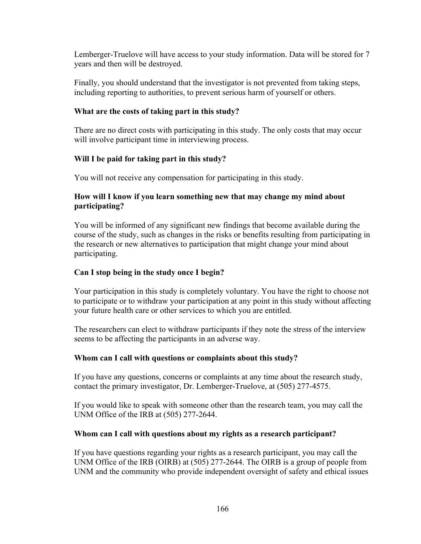Lemberger-Truelove will have access to your study information. Data will be stored for 7 years and then will be destroyed.

Finally, you should understand that the investigator is not prevented from taking steps, including reporting to authorities, to prevent serious harm of yourself or others.

## **What are the costs of taking part in this study?**

There are no direct costs with participating in this study. The only costs that may occur will involve participant time in interviewing process.

# **Will I be paid for taking part in this study?**

You will not receive any compensation for participating in this study.

## **How will I know if you learn something new that may change my mind about participating?**

You will be informed of any significant new findings that become available during the course of the study, such as changes in the risks or benefits resulting from participating in the research or new alternatives to participation that might change your mind about participating.

# **Can I stop being in the study once I begin?**

Your participation in this study is completely voluntary. You have the right to choose not to participate or to withdraw your participation at any point in this study without affecting your future health care or other services to which you are entitled.

The researchers can elect to withdraw participants if they note the stress of the interview seems to be affecting the participants in an adverse way.

## **Whom can I call with questions or complaints about this study?**

If you have any questions, concerns or complaints at any time about the research study, contact the primary investigator, Dr. Lemberger-Truelove, at (505) 277-4575.

If you would like to speak with someone other than the research team, you may call the UNM Office of the IRB at (505) 277-2644.

## **Whom can I call with questions about my rights as a research participant?**

If you have questions regarding your rights as a research participant, you may call the UNM Office of the IRB (OIRB) at (505) 277-2644. The OIRB is a group of people from UNM and the community who provide independent oversight of safety and ethical issues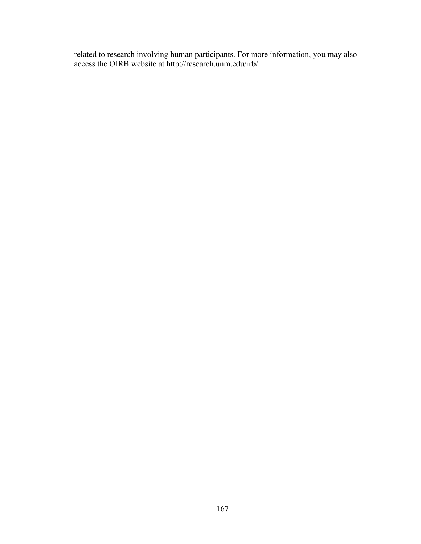related to research involving human participants. For more information, you may also access the OIRB website at http://research.unm.edu/irb/.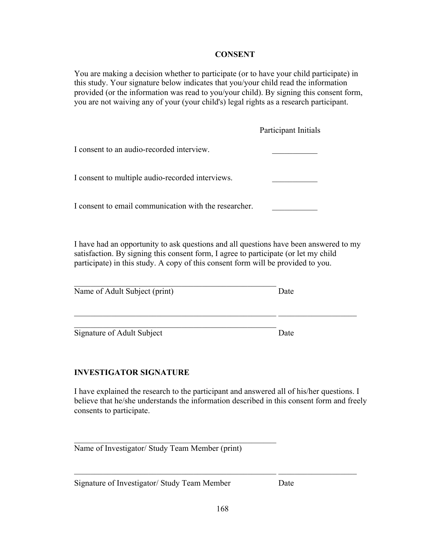## **CONSENT**

You are making a decision whether to participate (or to have your child participate) in this study. Your signature below indicates that you/your child read the information provided (or the information was read to you/your child). By signing this consent form, you are not waiving any of your (your child's) legal rights as a research participant.

|                                                       | Participant Initials |
|-------------------------------------------------------|----------------------|
| I consent to an audio-recorded interview.             |                      |
| I consent to multiple audio-recorded interviews.      |                      |
| I consent to email communication with the researcher. |                      |

I have had an opportunity to ask questions and all questions have been answered to my satisfaction. By signing this consent form, I agree to participate (or let my child participate) in this study. A copy of this consent form will be provided to you.

 $\_$  , and the set of the set of the set of the set of the set of the set of the set of the set of the set of the set of the set of the set of the set of the set of the set of the set of the set of the set of the set of th

| Name of Adult Subject (print) | Date |
|-------------------------------|------|

 $\mathcal{L}_\text{max}$  and the contract of the contract of the contract of the contract of the contract of the contract of the contract of the contract of the contract of the contract of the contract of the contract of the contrac

Signature of Adult Subject Date

# **INVESTIGATOR SIGNATURE**

I have explained the research to the participant and answered all of his/her questions. I believe that he/she understands the information described in this consent form and freely consents to participate.

Name of Investigator/ Study Team Member (print)

\_\_\_\_\_\_\_\_\_\_\_\_\_\_\_\_\_\_\_\_\_\_\_\_\_\_\_\_\_\_\_\_\_\_\_\_\_\_\_\_\_\_\_\_\_\_\_\_\_

Signature of Investigator/ Study Team Member Date

 $\_$  , and the set of the set of the set of the set of the set of the set of the set of the set of the set of the set of the set of the set of the set of the set of the set of the set of the set of the set of the set of th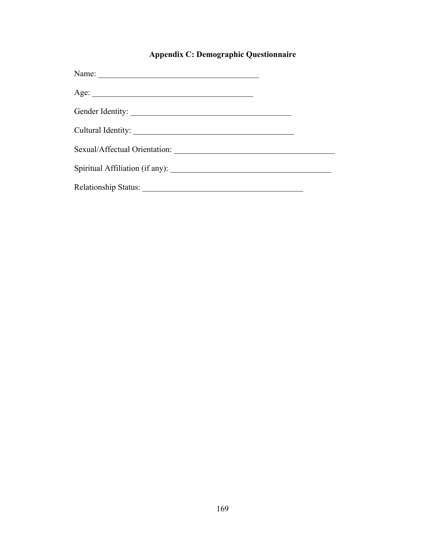# **Appendix C: Demographic Questionnaire**

| Gender Identity: |  |
|------------------|--|
|                  |  |
|                  |  |
|                  |  |
|                  |  |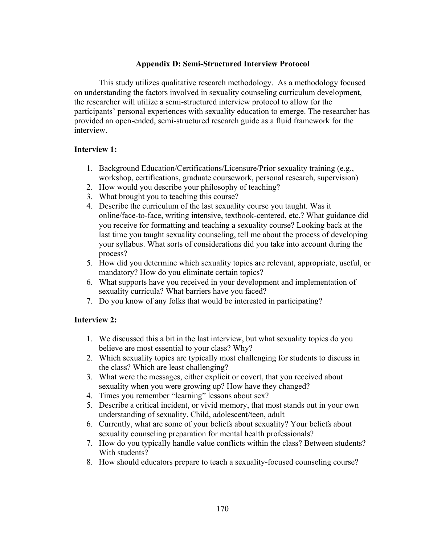### **Appendix D: Semi-Structured Interview Protocol**

This study utilizes qualitative research methodology. As a methodology focused on understanding the factors involved in sexuality counseling curriculum development, the researcher will utilize a semi-structured interview protocol to allow for the participants' personal experiences with sexuality education to emerge. The researcher has provided an open-ended, semi-structured research guide as a fluid framework for the interview.

### **Interview 1:**

- 1. Background Education/Certifications/Licensure/Prior sexuality training (e.g., workshop, certifications, graduate coursework, personal research, supervision)
- 2. How would you describe your philosophy of teaching?
- 3. What brought you to teaching this course?
- 4. Describe the curriculum of the last sexuality course you taught. Was it online/face-to-face, writing intensive, textbook-centered, etc.? What guidance did you receive for formatting and teaching a sexuality course? Looking back at the last time you taught sexuality counseling, tell me about the process of developing your syllabus. What sorts of considerations did you take into account during the process?
- 5. How did you determine which sexuality topics are relevant, appropriate, useful, or mandatory? How do you eliminate certain topics?
- 6. What supports have you received in your development and implementation of sexuality curricula? What barriers have you faced?
- 7. Do you know of any folks that would be interested in participating?

# **Interview 2:**

- 1. We discussed this a bit in the last interview, but what sexuality topics do you believe are most essential to your class? Why?
- 2. Which sexuality topics are typically most challenging for students to discuss in the class? Which are least challenging?
- 3. What were the messages, either explicit or covert, that you received about sexuality when you were growing up? How have they changed?
- 4. Times you remember "learning" lessons about sex?
- 5. Describe a critical incident, or vivid memory, that most stands out in your own understanding of sexuality. Child, adolescent/teen, adult
- 6. Currently, what are some of your beliefs about sexuality? Your beliefs about sexuality counseling preparation for mental health professionals?
- 7. How do you typically handle value conflicts within the class? Between students? With students?
- 8. How should educators prepare to teach a sexuality-focused counseling course?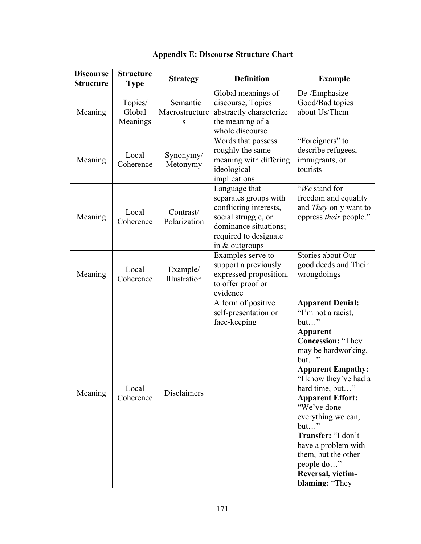| <b>Discourse</b><br><b>Structure</b> | <b>Structure</b><br><b>Type</b> | <b>Strategy</b>                 | <b>Definition</b>                                                                                                                                             | <b>Example</b>                                                                                                                                                                                                                                                                                                                                                                                                     |
|--------------------------------------|---------------------------------|---------------------------------|---------------------------------------------------------------------------------------------------------------------------------------------------------------|--------------------------------------------------------------------------------------------------------------------------------------------------------------------------------------------------------------------------------------------------------------------------------------------------------------------------------------------------------------------------------------------------------------------|
| Meaning                              | Topics/<br>Global<br>Meanings   | Semantic<br>Macrostructure<br>S | Global meanings of<br>discourse; Topics<br>abstractly characterize<br>the meaning of a<br>whole discourse                                                     | De-/Emphasize<br>Good/Bad topics<br>about Us/Them                                                                                                                                                                                                                                                                                                                                                                  |
| Meaning                              | Local<br>Coherence              | Synonymy/<br>Metonymy           | Words that possess<br>roughly the same<br>meaning with differing<br>ideological<br>implications                                                               | "Foreigners" to<br>describe refugees,<br>immigrants, or<br>tourists                                                                                                                                                                                                                                                                                                                                                |
| Meaning                              | Local<br>Coherence              | Contrast/<br>Polarization       | Language that<br>separates groups with<br>conflicting interests,<br>social struggle, or<br>dominance situations;<br>required to designate<br>in $&$ outgroups | "We stand for<br>freedom and equality<br>and They only want to<br>oppress their people."                                                                                                                                                                                                                                                                                                                           |
| Meaning                              | Local<br>Coherence              | Example/<br>Illustration        | Examples serve to<br>support a previously<br>expressed proposition,<br>to offer proof or<br>evidence                                                          | Stories about Our<br>good deeds and Their<br>wrongdoings                                                                                                                                                                                                                                                                                                                                                           |
| Meaning                              | Local<br>Coherence              | Disclaimers                     | A form of positive<br>self-presentation or<br>face-keeping                                                                                                    | <b>Apparent Denial:</b><br>"I'm not a racist,<br>$but$ "<br><b>Apparent</b><br><b>Concession: "They</b><br>may be hardworking,<br>$but$ "<br><b>Apparent Empathy:</b><br>"I know they've had a<br>hard time, but"<br><b>Apparent Effort:</b><br>"We've done<br>everything we can,<br>but"<br>Transfer: "I don't<br>have a problem with<br>them, but the other<br>people do"<br>Reversal, victim-<br>blaming: "They |

# **Appendix E: Discourse Structure Chart**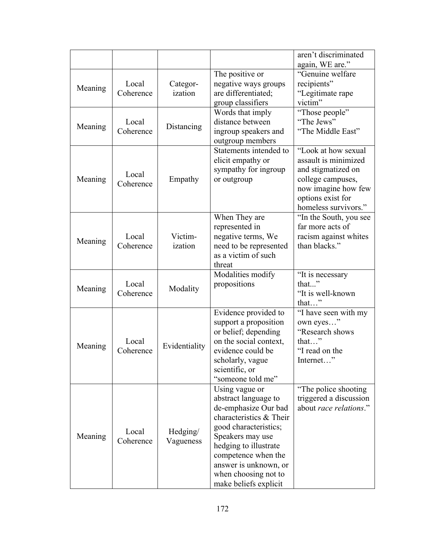|         |                    |                       |                                                                                                                                                                                                                                                                  | aren't discriminated<br>again, WE are."                                                                                                                    |
|---------|--------------------|-----------------------|------------------------------------------------------------------------------------------------------------------------------------------------------------------------------------------------------------------------------------------------------------------|------------------------------------------------------------------------------------------------------------------------------------------------------------|
| Meaning | Local<br>Coherence | Categor-<br>ization   | The positive or<br>negative ways groups<br>are differentiated;<br>group classifiers                                                                                                                                                                              | "Genuine welfare<br>recipients"<br>"Legitimate rape<br>victim"                                                                                             |
| Meaning | Local<br>Coherence | Distancing            | Words that imply<br>distance between<br>ingroup speakers and<br>outgroup members                                                                                                                                                                                 | "Those people"<br>"The Jews"<br>"The Middle East"                                                                                                          |
| Meaning | Local<br>Coherence | Empathy               | Statements intended to<br>elicit empathy or<br>sympathy for ingroup<br>or outgroup                                                                                                                                                                               | "Look at how sexual<br>assault is minimized<br>and stigmatized on<br>college campuses,<br>now imagine how few<br>options exist for<br>homeless survivors." |
| Meaning | Local<br>Coherence | Victim-<br>ization    | When They are<br>represented in<br>negative terms, We<br>need to be represented<br>as a victim of such<br>threat                                                                                                                                                 | "In the South, you see<br>far more acts of<br>racism against whites<br>than blacks."                                                                       |
| Meaning | Local<br>Coherence | Modality              | Modalities modify<br>propositions                                                                                                                                                                                                                                | "It is necessary<br>that"<br>"It is well-known<br>that"                                                                                                    |
| Meaning | Local<br>Coherence | Evidentiality         | Evidence provided to<br>support a proposition<br>or belief; depending<br>on the social context,<br>evidence could be<br>scholarly, vague<br>scientific, or<br>"someone told me"                                                                                  | "I have seen with my<br>own eyes"<br>"Research shows<br>that"<br>"I read on the<br>Internet"                                                               |
| Meaning | Local<br>Coherence | Hedging/<br>Vagueness | Using vague or<br>abstract language to<br>de-emphasize Our bad<br>characteristics & Their<br>good characteristics;<br>Speakers may use<br>hedging to illustrate<br>competence when the<br>answer is unknown, or<br>when choosing not to<br>make beliefs explicit | "The police shooting"<br>triggered a discussion<br>about race relations."                                                                                  |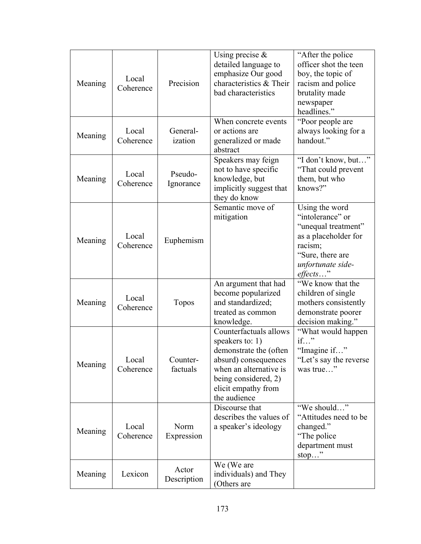| Meaning | Local<br>Coherence | Precision            | Using precise $\&$<br>detailed language to<br>emphasize Our good<br>characteristics & Their<br>bad characteristics                                                                     | "After the police"<br>officer shot the teen<br>boy, the topic of<br>racism and police<br>brutality made<br>newspaper<br>headlines."                  |
|---------|--------------------|----------------------|----------------------------------------------------------------------------------------------------------------------------------------------------------------------------------------|------------------------------------------------------------------------------------------------------------------------------------------------------|
| Meaning | Local<br>Coherence | General-<br>ization  | When concrete events<br>or actions are<br>generalized or made<br>abstract                                                                                                              | "Poor people are"<br>always looking for a<br>handout."                                                                                               |
| Meaning | Local<br>Coherence | Pseudo-<br>Ignorance | Speakers may feign<br>not to have specific<br>knowledge, but<br>implicitly suggest that<br>they do know                                                                                | "I don't know, but"<br>"That could prevent"<br>them, but who<br>knows?"                                                                              |
| Meaning | Local<br>Coherence | Euphemism            | Semantic move of<br>mitigation                                                                                                                                                         | Using the word<br>"intolerance" or<br>"unequal treatment"<br>as a placeholder for<br>racism;<br>"Sure, there are<br>unfortunate side-<br>$effects$ " |
| Meaning | Local<br>Coherence | Topos                | An argument that had<br>become popularized<br>and standardized;<br>treated as common<br>knowledge.                                                                                     | "We know that the<br>children of single<br>mothers consistently<br>demonstrate poorer<br>decision making."                                           |
| Meaning | Local<br>Coherence | Counter-<br>factuals | Counterfactuals allows<br>speakers to: $1)$<br>demonstrate the (often<br>absurd) consequences<br>when an alternative is<br>being considered, 2)<br>elicit empathy from<br>the audience | "What would happen"<br>if"<br>"Imagine if"<br>"Let's say the reverse"<br>was true"                                                                   |
| Meaning | Local<br>Coherence | Norm<br>Expression   | Discourse that<br>describes the values of<br>a speaker's ideology                                                                                                                      | "We should"<br>"Attitudes need to be<br>changed."<br>"The police"<br>department must<br>stop"                                                        |
| Meaning | Lexicon            | Actor<br>Description | We (We are<br>individuals) and They<br>(Others are                                                                                                                                     |                                                                                                                                                      |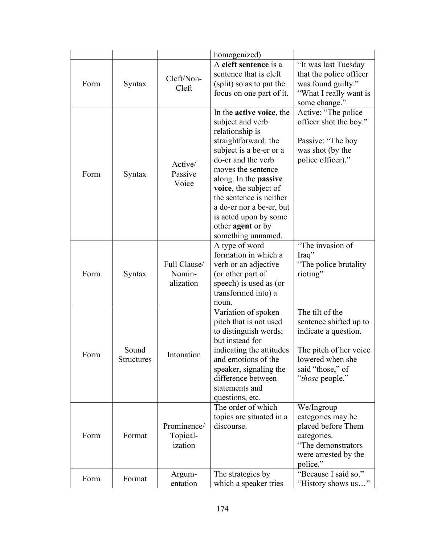|      |                   |                         | homogenized)                                         |                                               |
|------|-------------------|-------------------------|------------------------------------------------------|-----------------------------------------------|
|      |                   |                         |                                                      |                                               |
|      |                   | Cleft/Non-              | A cleft sentence is a                                | "It was last Tuesday                          |
|      |                   |                         | sentence that is cleft                               | that the police officer                       |
| Form | Syntax            | Cleft                   | (split) so as to put the                             | was found guilty."                            |
|      |                   |                         | focus on one part of it.                             | "What I really want is                        |
|      |                   |                         |                                                      | some change."                                 |
|      |                   |                         | In the <b>active voice</b> , the<br>subject and verb | Active: "The police<br>officer shot the boy." |
|      |                   |                         | relationship is                                      |                                               |
|      |                   |                         | straightforward: the                                 | Passive: "The boy                             |
|      |                   |                         | subject is a be-er or a                              | was shot (by the                              |
|      |                   |                         | do-er and the verb                                   | police officer)."                             |
|      |                   | Active/                 | moves the sentence                                   |                                               |
| Form | Syntax            | Passive                 | along. In the <b>passive</b>                         |                                               |
|      |                   | Voice                   | voice, the subject of                                |                                               |
|      |                   |                         | the sentence is neither                              |                                               |
|      |                   |                         | a do-er nor a be-er, but                             |                                               |
|      |                   |                         | is acted upon by some                                |                                               |
|      |                   |                         | other <b>agent</b> or by                             |                                               |
|      |                   |                         | something unnamed.                                   |                                               |
|      |                   |                         | A type of word                                       | "The invasion of                              |
|      |                   | Full Clause/            | formation in which a                                 | Iraq"                                         |
|      |                   |                         | verb or an adjective                                 | "The police brutality"                        |
| Form | Syntax            | Nomin-<br>alization     | (or other part of<br>speech) is used as (or          | rioting"                                      |
|      |                   |                         | transformed into) a                                  |                                               |
|      |                   |                         | noun.                                                |                                               |
|      |                   |                         | Variation of spoken                                  | The tilt of the                               |
|      |                   |                         | pitch that is not used                               | sentence shifted up to                        |
|      |                   |                         | to distinguish words;                                | indicate a question.                          |
|      |                   |                         | but instead for                                      |                                               |
| Form | Sound             | Intonation              | indicating the attitudes                             | The pitch of her voice                        |
|      | <b>Structures</b> |                         | and emotions of the                                  | lowered when she                              |
|      |                   |                         | speaker, signaling the                               | said "those," of                              |
|      |                   |                         | difference between                                   | " <i>those</i> people."                       |
|      |                   |                         | statements and                                       |                                               |
|      |                   |                         | questions, etc.<br>The order of which                | We/Ingroup                                    |
|      |                   |                         | topics are situated in a                             | categories may be                             |
| Form | Format            | Prominence/<br>Topical- | discourse.                                           | placed before Them                            |
|      |                   |                         |                                                      | categories.                                   |
|      |                   | ization                 |                                                      | "The demonstrators                            |
|      |                   |                         |                                                      | were arrested by the                          |
|      |                   |                         |                                                      | police."                                      |
| Form | Format            | Argum-                  | The strategies by                                    | "Because I said so."                          |
|      |                   | entation                | which a speaker tries                                | "History shows us"                            |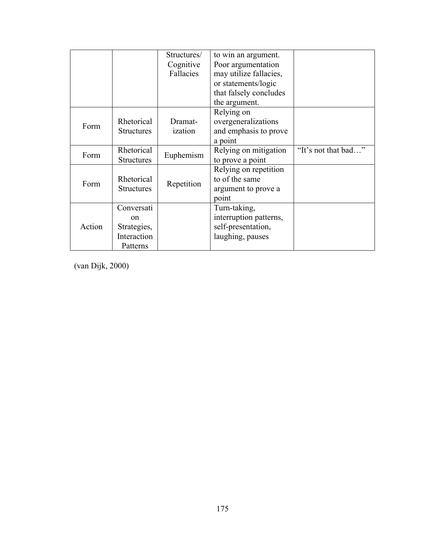|        |                   | Structures/ | to win an argument.    |                     |
|--------|-------------------|-------------|------------------------|---------------------|
|        |                   | Cognitive   | Poor argumentation     |                     |
|        |                   | Fallacies   | may utilize fallacies, |                     |
|        |                   |             | or statements/logic    |                     |
|        |                   |             | that falsely concludes |                     |
|        |                   |             | the argument.          |                     |
|        |                   |             | Relying on             |                     |
| Form   | Rhetorical        | Dramat-     | overgeneralizations    |                     |
|        | <b>Structures</b> | ization     | and emphasis to prove  |                     |
|        |                   |             | a point                |                     |
| Form   | Rhetorical        |             | Relying on mitigation  | "It's not that bad" |
|        | <b>Structures</b> | Euphemism   | to prove a point       |                     |
|        |                   |             | Relying on repetition  |                     |
| Form   | Rhetorical        |             | to of the same         |                     |
|        | <b>Structures</b> | Repetition  | argument to prove a    |                     |
|        |                   |             | point                  |                     |
|        | Conversati        |             | Turn-taking,           |                     |
| Action | <sub>on</sub>     |             | interruption patterns, |                     |
|        | Strategies,       |             | self-presentation,     |                     |
|        | Interaction       |             | laughing, pauses       |                     |
|        | Patterns          |             |                        |                     |

(van Dijk, 2000)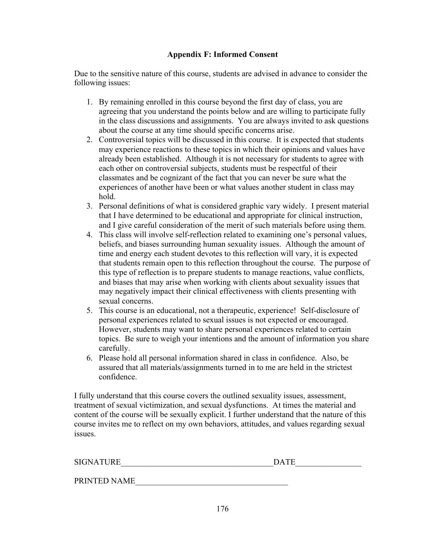# **Appendix F: Informed Consent**

Due to the sensitive nature of this course, students are advised in advance to consider the following issues:

- 1. By remaining enrolled in this course beyond the first day of class, you are agreeing that you understand the points below and are willing to participate fully in the class discussions and assignments. You are always invited to ask questions about the course at any time should specific concerns arise.
- 2. Controversial topics will be discussed in this course. It is expected that students may experience reactions to these topics in which their opinions and values have already been established. Although it is not necessary for students to agree with each other on controversial subjects, students must be respectful of their classmates and be cognizant of the fact that you can never be sure what the experiences of another have been or what values another student in class may hold.
- 3. Personal definitions of what is considered graphic vary widely. I present material that I have determined to be educational and appropriate for clinical instruction, and I give careful consideration of the merit of such materials before using them.
- 4. This class will involve self-reflection related to examining one's personal values, beliefs, and biases surrounding human sexuality issues. Although the amount of time and energy each student devotes to this reflection will vary, it is expected that students remain open to this reflection throughout the course. The purpose of this type of reflection is to prepare students to manage reactions, value conflicts, and biases that may arise when working with clients about sexuality issues that may negatively impact their clinical effectiveness with clients presenting with sexual concerns.
- 5. This course is an educational, not a therapeutic, experience! Self-disclosure of personal experiences related to sexual issues is not expected or encouraged. However, students may want to share personal experiences related to certain topics. Be sure to weigh your intentions and the amount of information you share carefully.
- 6. Please hold all personal information shared in class in confidence. Also, be assured that all materials/assignments turned in to me are held in the strictest confidence.

I fully understand that this course covers the outlined sexuality issues, assessment, treatment of sexual victimization, and sexual dysfunctions. At times the material and content of the course will be sexually explicit. I further understand that the nature of this course invites me to reflect on my own behaviors, attitudes, and values regarding sexual issues.

| <b>SIGNATURE</b> | DATE |  |
|------------------|------|--|
|                  |      |  |

PRINTED NAME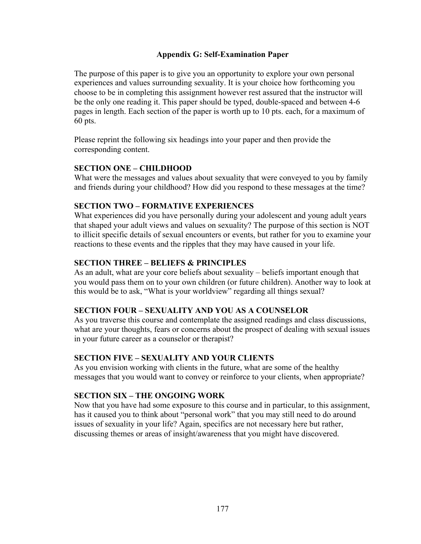### **Appendix G: Self-Examination Paper**

The purpose of this paper is to give you an opportunity to explore your own personal experiences and values surrounding sexuality. It is your choice how forthcoming you choose to be in completing this assignment however rest assured that the instructor will be the only one reading it. This paper should be typed, double-spaced and between 4-6 pages in length. Each section of the paper is worth up to 10 pts. each, for a maximum of 60 pts.

Please reprint the following six headings into your paper and then provide the corresponding content.

### **SECTION ONE – CHILDHOOD**

What were the messages and values about sexuality that were conveyed to you by family and friends during your childhood? How did you respond to these messages at the time?

### **SECTION TWO – FORMATIVE EXPERIENCES**

What experiences did you have personally during your adolescent and young adult years that shaped your adult views and values on sexuality? The purpose of this section is NOT to illicit specific details of sexual encounters or events, but rather for you to examine your reactions to these events and the ripples that they may have caused in your life.

### **SECTION THREE – BELIEFS & PRINCIPLES**

As an adult, what are your core beliefs about sexuality – beliefs important enough that you would pass them on to your own children (or future children). Another way to look at this would be to ask, "What is your worldview" regarding all things sexual?

#### **SECTION FOUR – SEXUALITY AND YOU AS A COUNSELOR**

As you traverse this course and contemplate the assigned readings and class discussions, what are your thoughts, fears or concerns about the prospect of dealing with sexual issues in your future career as a counselor or therapist?

# **SECTION FIVE – SEXUALITY AND YOUR CLIENTS**

As you envision working with clients in the future, what are some of the healthy messages that you would want to convey or reinforce to your clients, when appropriate?

# **SECTION SIX – THE ONGOING WORK**

Now that you have had some exposure to this course and in particular, to this assignment, has it caused you to think about "personal work" that you may still need to do around issues of sexuality in your life? Again, specifics are not necessary here but rather, discussing themes or areas of insight/awareness that you might have discovered.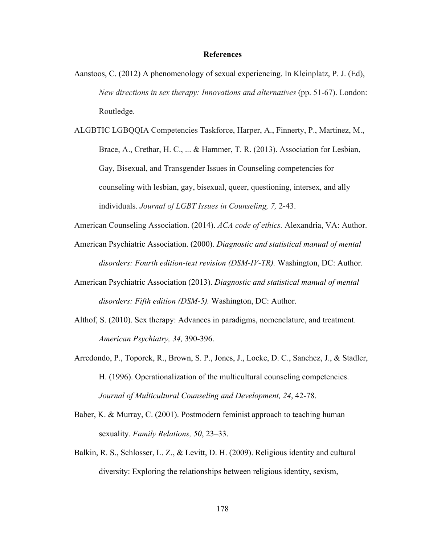#### **References**

- Aanstoos, C. (2012) A phenomenology of sexual experiencing. In Kleinplatz, P. J. (Ed), *New directions in sex therapy: Innovations and alternatives* (pp. 51-67). London: Routledge.
- ALGBTIC LGBQQIA Competencies Taskforce, Harper, A., Finnerty, P., Martinez, M., Brace, A., Crethar, H. C., ... & Hammer, T. R. (2013). Association for Lesbian, Gay, Bisexual, and Transgender Issues in Counseling competencies for counseling with lesbian, gay, bisexual, queer, questioning, intersex, and ally individuals. *Journal of LGBT Issues in Counseling, 7,* 2-43.

American Counseling Association. (2014). *ACA code of ethics.* Alexandria, VA: Author.

- American Psychiatric Association. (2000). *Diagnostic and statistical manual of mental disorders: Fourth edition-text revision (DSM-IV-TR).* Washington, DC: Author.
- American Psychiatric Association (2013). *Diagnostic and statistical manual of mental disorders: Fifth edition (DSM-5).* Washington, DC: Author.
- Althof, S. (2010). Sex therapy: Advances in paradigms, nomenclature, and treatment. *American Psychiatry, 34,* 390-396.
- Arredondo, P., Toporek, R., Brown, S. P., Jones, J., Locke, D. C., Sanchez, J., & Stadler, H. (1996). Operationalization of the multicultural counseling competencies. *Journal of Multicultural Counseling and Development, 24*, 42-78.
- Baber, K. & Murray, C. (2001). Postmodern feminist approach to teaching human sexuality. *Family Relations, 50*, 23–33.
- Balkin, R. S., Schlosser, L. Z., & Levitt, D. H. (2009). Religious identity and cultural diversity: Exploring the relationships between religious identity, sexism,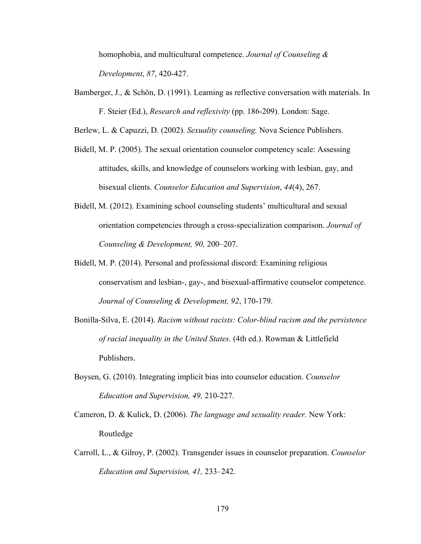homophobia, and multicultural competence. *Journal of Counseling & Development*, *87*, 420-427.

Bamberger, J., & Schön, D. (1991). Learning as reflective conversation with materials. In F. Steier (Ed.), *Research and reflexivity* (pp. 186-209). London: Sage.

Berlew, L. & Capuzzi, D. (2002). *Sexuality counseling.* Nova Science Publishers.

- Bidell, M. P. (2005). The sexual orientation counselor competency scale: Assessing attitudes, skills, and knowledge of counselors working with lesbian, gay, and bisexual clients. *Counselor Education and Supervision*, *44*(4), 267.
- Bidell, M. (2012). Examining school counseling students' multicultural and sexual orientation competencies through a cross-specialization comparison. *Journal of Counseling & Development, 90,* 200–207.
- Bidell, M. P. (2014). Personal and professional discord: Examining religious conservatism and lesbian-, gay-, and bisexual-affirmative counselor competence. *Journal of Counseling & Development, 92*, 170-179.
- Bonilla-Silva, E. (2014). *Racism without racists: Color-blind racism and the persistence of racial inequality in the United States.* (4th ed.). Rowman & Littlefield Publishers.
- Boysen, G. (2010). Integrating implicit bias into counselor education. *Counselor Education and Supervision, 49,* 210-227.
- Cameron, D. & Kulick, D. (2006). *The language and sexuality reader.* New York: Routledge
- Carroll, L., & Gilroy, P. (2002). Transgender issues in counselor preparation. *Counselor Education and Supervision, 41,* 233–242.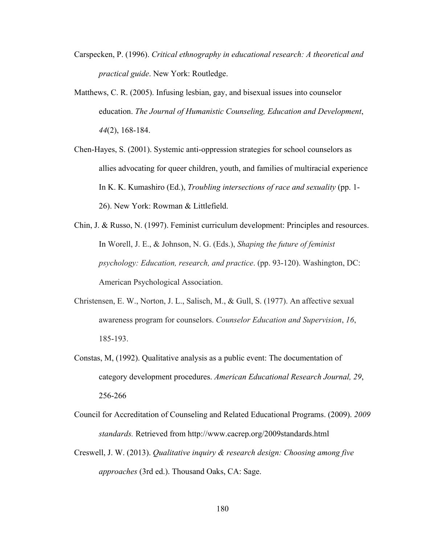- Carspecken, P. (1996). *Critical ethnography in educational research: A theoretical and practical guide*. New York: Routledge.
- Matthews, C. R. (2005). Infusing lesbian, gay, and bisexual issues into counselor education. *The Journal of Humanistic Counseling, Education and Development*, *44*(2), 168-184.
- Chen-Hayes, S. (2001). Systemic anti-oppression strategies for school counselors as allies advocating for queer children, youth, and families of multiracial experience In K. K. Kumashiro (Ed.), *Troubling intersections of race and sexuality* (pp. 1- 26). New York: Rowman & Littlefield.
- Chin, J. & Russo, N. (1997). Feminist curriculum development: Principles and resources. In Worell, J. E., & Johnson, N. G. (Eds.), *Shaping the future of feminist psychology: Education, research, and practice*. (pp. 93-120). Washington, DC: American Psychological Association.
- Christensen, E. W., Norton, J. L., Salisch, M., & Gull, S. (1977). An affective sexual awareness program for counselors. *Counselor Education and Supervision*, *16*, 185-193.
- Constas, M, (1992). Qualitative analysis as a public event: The documentation of category development procedures. *American Educational Research Journal, 29*, 256-266
- Council for Accreditation of Counseling and Related Educational Programs. (2009). *2009 standards.* Retrieved from http://www.cacrep.org/2009standards.html
- Creswell, J. W. (2013). *Qualitative inquiry & research design: Choosing among five approaches* (3rd ed.). Thousand Oaks, CA: Sage.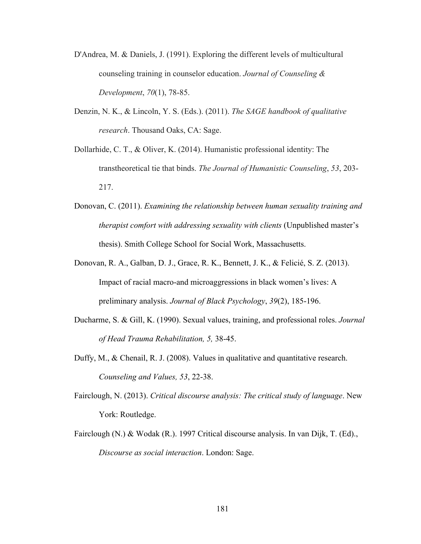- D'Andrea, M. & Daniels, J. (1991). Exploring the different levels of multicultural counseling training in counselor education. *Journal of Counseling & Development*, *70*(1), 78-85.
- Denzin, N. K., & Lincoln, Y. S. (Eds.). (2011). *The SAGE handbook of qualitative research*. Thousand Oaks, CA: Sage.
- Dollarhide, C. T., & Oliver, K. (2014). Humanistic professional identity: The transtheoretical tie that binds. *The Journal of Humanistic Counseling*, *53*, 203- 217.
- Donovan, C. (2011). *Examining the relationship between human sexuality training and therapist comfort with addressing sexuality with clients* (Unpublished master's thesis). Smith College School for Social Work, Massachusetts.
- Donovan, R. A., Galban, D. J., Grace, R. K., Bennett, J. K., & Felicié, S. Z. (2013). Impact of racial macro-and microaggressions in black women's lives: A preliminary analysis. *Journal of Black Psychology*, *39*(2), 185-196.
- Ducharme, S. & Gill, K. (1990). Sexual values, training, and professional roles. *Journal of Head Trauma Rehabilitation, 5,* 38-45.
- Duffy, M., & Chenail, R. J. (2008). Values in qualitative and quantitative research. *Counseling and Values, 53*, 22-38.
- Fairclough, N. (2013). *Critical discourse analysis: The critical study of language*. New York: Routledge.
- Fairclough (N.) & Wodak (R.). 1997 Critical discourse analysis. In van Dijk, T. (Ed)., *Discourse as social interaction*. London: Sage.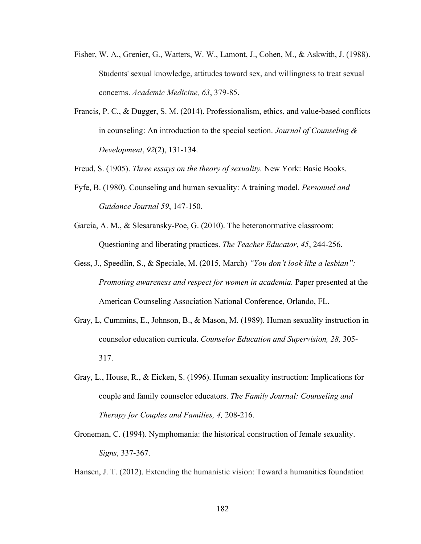- Fisher, W. A., Grenier, G., Watters, W. W., Lamont, J., Cohen, M., & Askwith, J. (1988). Students' sexual knowledge, attitudes toward sex, and willingness to treat sexual concerns. *Academic Medicine, 63*, 379-85.
- Francis, P. C., & Dugger, S. M. (2014). Professionalism, ethics, and value-based conflicts in counseling: An introduction to the special section. *Journal of Counseling & Development*, *92*(2), 131-134.

Freud, S. (1905). *Three essays on the theory of sexuality.* New York: Basic Books.

- Fyfe, B. (1980). Counseling and human sexuality: A training model. *Personnel and Guidance Journal 59*, 147-150.
- García, A. M., & Slesaransky-Poe, G. (2010). The heteronormative classroom: Questioning and liberating practices. *The Teacher Educator*, *45*, 244-256.
- Gess, J., Speedlin, S., & Speciale, M. (2015, March) *"You don't look like a lesbian": Promoting awareness and respect for women in academia.* Paper presented at the American Counseling Association National Conference, Orlando, FL.
- Gray, L, Cummins, E., Johnson, B., & Mason, M. (1989). Human sexuality instruction in counselor education curricula. *Counselor Education and Supervision, 28,* 305- 317.
- Gray, L., House, R., & Eicken, S. (1996). Human sexuality instruction: Implications for couple and family counselor educators. *The Family Journal: Counseling and Therapy for Couples and Families, 4,* 208-216.
- Groneman, C. (1994). Nymphomania: the historical construction of female sexuality. *Signs*, 337-367.

Hansen, J. T. (2012). Extending the humanistic vision: Toward a humanities foundation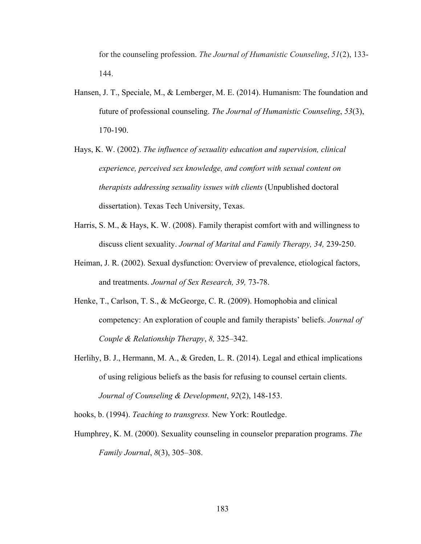for the counseling profession. *The Journal of Humanistic Counseling*, *51*(2), 133- 144.

- Hansen, J. T., Speciale, M., & Lemberger, M. E. (2014). Humanism: The foundation and future of professional counseling. *The Journal of Humanistic Counseling*, *53*(3), 170-190.
- Hays, K. W. (2002). *The influence of sexuality education and supervision, clinical experience, perceived sex knowledge, and comfort with sexual content on therapists addressing sexuality issues with clients* (Unpublished doctoral dissertation). Texas Tech University, Texas.
- Harris, S. M., & Hays, K. W. (2008). Family therapist comfort with and willingness to discuss client sexuality. *Journal of Marital and Family Therapy, 34,* 239-250.
- Heiman, J. R. (2002). Sexual dysfunction: Overview of prevalence, etiological factors, and treatments. *Journal of Sex Research, 39,* 73-78.
- Henke, T., Carlson, T. S., & McGeorge, C. R. (2009). Homophobia and clinical competency: An exploration of couple and family therapists' beliefs. *Journal of Couple & Relationship Therapy*, *8,* 325–342.
- Herlihy, B. J., Hermann, M. A., & Greden, L. R. (2014). Legal and ethical implications of using religious beliefs as the basis for refusing to counsel certain clients. *Journal of Counseling & Development*, *92*(2), 148-153.

hooks, b. (1994). *Teaching to transgress.* New York: Routledge.

Humphrey, K. M. (2000). Sexuality counseling in counselor preparation programs. *The Family Journal*, *8*(3), 305–308.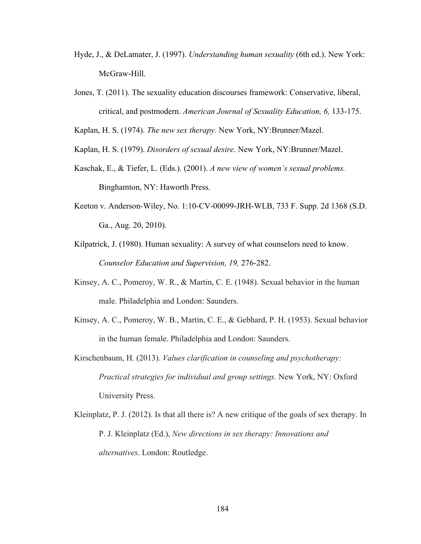- Hyde, J., & DeLamater, J. (1997). *Understanding human sexuality* (6th ed.). New York: McGraw-Hill.
- Jones, T. (2011). The sexuality education discourses framework: Conservative, liberal, critical, and postmodern. *American Journal of Sexuality Education, 6,* 133-175.

Kaplan, H. S. (1974). *The new sex therapy.* New York, NY:Brunner/Mazel.

Kaplan, H. S. (1979). *Disorders of sexual desire.* New York, NY:Brunner/Mazel.

- Kaschak, E., & Tiefer, L. (Eds.). (2001). *A new view of women's sexual problems.* Binghamton, NY: Haworth Press.
- Keeton v. Anderson-Wiley, No. 1:10-CV-00099-JRH-WLB, 733 F. Supp. 2d 1368 (S.D. Ga., Aug. 20, 2010).
- Kilpatrick, J. (1980). Human sexuality: A survey of what counselors need to know. *Counselor Education and Supervision, 19,* 276-282.
- Kinsey, A. C., Pomeroy, W. R., & Martin, C. E. (1948). Sexual behavior in the human male. Philadelphia and London: Saunders.
- Kinsey, A. C., Pomeroy, W. B., Martin, C. E., & Gebhard, P. H. (1953). Sexual behavior in the human female. Philadelphia and London: Saunders.
- Kirschenbaum, H. (2013). *Values clarification in counseling and psychotherapy: Practical strategies for individual and group settings.* New York, NY: Oxford University Press.
- Kleinplatz, P. J. (2012). Is that all there is? A new critique of the goals of sex therapy. In P. J. Kleinplatz (Ed.), *New directions in sex therapy: Innovations and alternatives*. London: Routledge.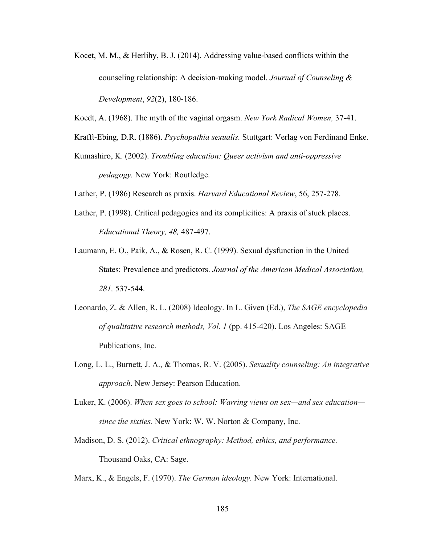Kocet, M. M., & Herlihy, B. J. (2014). Addressing value-based conflicts within the counseling relationship: A decision-making model. *Journal of Counseling & Development*, *92*(2), 180-186.

Koedt, A. (1968). The myth of the vaginal orgasm. *New York Radical Women,* 37-41.

- Krafft-Ebing, D.R. (1886). *Psychopathia sexualis.* Stuttgart: Verlag von Ferdinand Enke.
- Kumashiro, K. (2002). *Troubling education: Queer activism and anti-oppressive pedagogy.* New York: Routledge.

Lather, P. (1986) Research as praxis. *Harvard Educational Review*, 56, 257-278.

- Lather, P. (1998). Critical pedagogies and its complicities: A praxis of stuck places. *Educational Theory, 48,* 487-497.
- Laumann, E. O., Paik, A., & Rosen, R. C. (1999). Sexual dysfunction in the United States: Prevalence and predictors. *Journal of the American Medical Association, 281,* 537-544.
- Leonardo, Z. & Allen, R. L. (2008) Ideology. In L. Given (Ed.), *The SAGE encyclopedia of qualitative research methods, Vol. 1* (pp. 415-420). Los Angeles: SAGE Publications, Inc.
- Long, L. L., Burnett, J. A., & Thomas, R. V. (2005). *Sexuality counseling: An integrative approach*. New Jersey: Pearson Education.
- Luker, K. (2006). *When sex goes to school: Warring views on sex—and sex education since the sixties.* New York: W. W. Norton & Company, Inc.
- Madison, D. S. (2012). *Critical ethnography: Method, ethics, and performance.*  Thousand Oaks, CA: Sage.

Marx, K., & Engels, F. (1970). *The German ideology.* New York: International.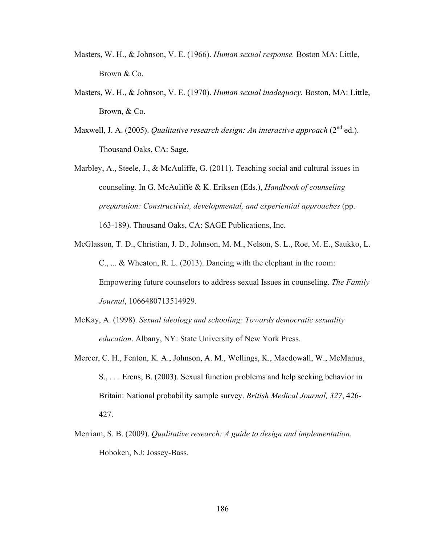- Masters, W. H., & Johnson, V. E. (1966). *Human sexual response.* Boston MA: Little, Brown & Co.
- Masters, W. H., & Johnson, V. E. (1970). *Human sexual inadequacy.* Boston, MA: Little, Brown, & Co.
- Maxwell, J. A. (2005). *Qualitative research design: An interactive approach* (2<sup>nd</sup> ed.). Thousand Oaks, CA: Sage.
- Marbley, A., Steele, J., & McAuliffe, G.  $(2011)$ . Teaching social and cultural issues in counseling. In G. McAuliffe & K. Eriksen (Eds.), *Handbook of counseling preparation: Constructivist, developmental, and experiential approaches* (pp. 163-189). Thousand Oaks, CA: SAGE Publications, Inc.
- McGlasson, T. D., Christian, J. D., Johnson, M. M., Nelson, S. L., Roe, M. E., Saukko, L. C., ... & Wheaton, R. L. (2013). Dancing with the elephant in the room: Empowering future counselors to address sexual Issues in counseling. *The Family Journal*, 1066480713514929.
- McKay, A. (1998). *Sexual ideology and schooling: Towards democratic sexuality education*. Albany, NY: State University of New York Press.
- Mercer, C. H., Fenton, K. A., Johnson, A. M., Wellings, K., Macdowall, W., McManus, S., . . . Erens, B. (2003). Sexual function problems and help seeking behavior in Britain: National probability sample survey. *British Medical Journal, 327*, 426- 427.
- Merriam, S. B. (2009). *Qualitative research: A guide to design and implementation*. Hoboken, NJ: Jossey-Bass.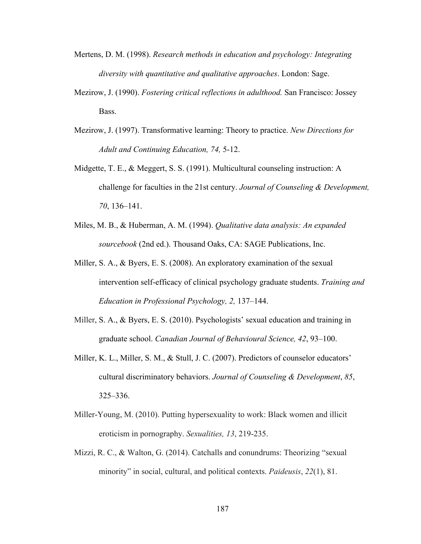- Mertens, D. M. (1998). *Research methods in education and psychology: Integrating diversity with quantitative and qualitative approaches*. London: Sage.
- Mezirow, J. (1990). *Fostering critical reflections in adulthood.* San Francisco: Jossey Bass.
- Mezirow, J. (1997). Transformative learning: Theory to practice. *New Directions for Adult and Continuing Education, 74,* 5-12.
- Midgette, T. E., & Meggert, S. S. (1991). Multicultural counseling instruction: A challenge for faculties in the 21st century. *Journal of Counseling & Development, 70*, 136–141.
- Miles, M. B., & Huberman, A. M. (1994). *Qualitative data analysis: An expanded sourcebook* (2nd ed.). Thousand Oaks, CA: SAGE Publications, Inc.
- Miller, S. A., & Byers, E. S. (2008). An exploratory examination of the sexual intervention self-efficacy of clinical psychology graduate students. *Training and Education in Professional Psychology, 2,* 137–144.
- Miller, S. A., & Byers, E. S. (2010). Psychologists' sexual education and training in graduate school. *Canadian Journal of Behavioural Science, 42*, 93–100.
- Miller, K. L., Miller, S. M., & Stull, J. C. (2007). Predictors of counselor educators' cultural discriminatory behaviors. *Journal of Counseling & Development*, *85*, 325–336.
- Miller-Young, M. (2010). Putting hypersexuality to work: Black women and illicit eroticism in pornography. *Sexualities, 13*, 219-235.
- Mizzi, R. C., & Walton, G. (2014). Catchalls and conundrums: Theorizing "sexual minority" in social, cultural, and political contexts. *Paideusis*, *22*(1), 81.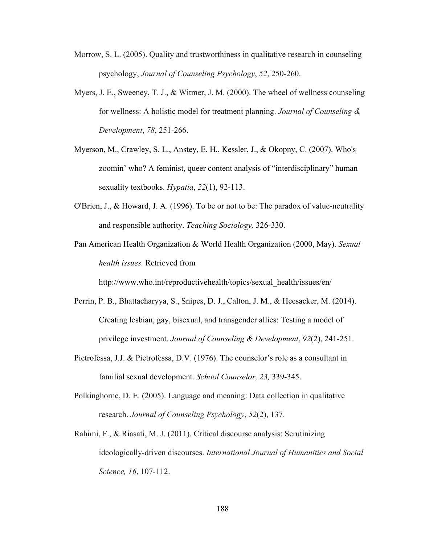- Morrow, S. L. (2005). Quality and trustworthiness in qualitative research in counseling psychology, *Journal of Counseling Psychology*, *52*, 250-260.
- Myers, J. E., Sweeney, T. J., & Witmer, J. M. (2000). The wheel of wellness counseling for wellness: A holistic model for treatment planning. *Journal of Counseling & Development*, *78*, 251-266.
- Myerson, M., Crawley, S. L., Anstey, E. H., Kessler, J., & Okopny, C. (2007). Who's zoomin' who? A feminist, queer content analysis of "interdisciplinary" human sexuality textbooks. *Hypatia*, *22*(1), 92-113.
- O'Brien, J., & Howard, J. A. (1996). To be or not to be: The paradox of value-neutrality and responsible authority. *Teaching Sociology,* 326-330.
- Pan American Health Organization & World Health Organization (2000, May). *Sexual health issues.* Retrieved from

http://www.who.int/reproductivehealth/topics/sexual\_health/issues/en/

- Perrin, P. B., Bhattacharyya, S., Snipes, D. J., Calton, J. M., & Heesacker, M. (2014). Creating lesbian, gay, bisexual, and transgender allies: Testing a model of privilege investment. *Journal of Counseling & Development*, *92*(2), 241-251.
- Pietrofessa, J.J. & Pietrofessa, D.V. (1976). The counselor's role as a consultant in familial sexual development. *School Counselor, 23,* 339-345.
- Polkinghorne, D. E. (2005). Language and meaning: Data collection in qualitative research. *Journal of Counseling Psychology*, *52*(2), 137.
- Rahimi, F., & Riasati, M. J. (2011). Critical discourse analysis: Scrutinizing ideologically-driven discourses. *International Journal of Humanities and Social Science, 16*, 107-112.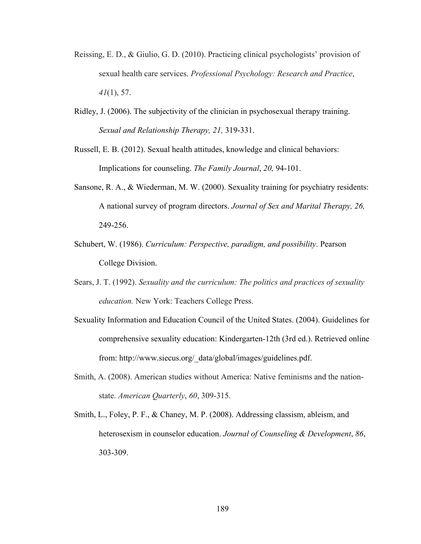- Reissing, E. D., & Giulio, G. D. (2010). Practicing clinical psychologists' provision of sexual health care services. *Professional Psychology: Research and Practice*, *41*(1), 57.
- Ridley, J. (2006). The subjectivity of the clinician in psychosexual therapy training. *Sexual and Relationship Therapy, 21,* 319-331.
- Russell, E. B. (2012). Sexual health attitudes, knowledge and clinical behaviors: Implications for counseling. *The Family Journal*, *20,* 94-101.
- Sansone, R. A., & Wiederman, M. W. (2000). Sexuality training for psychiatry residents: A national survey of program directors. *Journal of Sex and Marital Therapy, 26,* 249-256.
- Schubert, W. (1986). *Curriculum: Perspective, paradigm, and possibility*. Pearson College Division.
- Sears, J. T. (1992). *Sexuality and the curriculum: The politics and practices of sexuality education.* New York: Teachers College Press.
- Sexuality Information and Education Council of the United States. (2004). Guidelines for comprehensive sexuality education: Kindergarten-12th (3rd ed.). Retrieved online from: http://www.siecus.org/\_data/global/images/guidelines.pdf.
- Smith, A. (2008). American studies without America: Native feminisms and the nationstate. *American Quarterly*, *60*, 309-315.
- Smith, L., Foley, P. F., & Chaney, M. P. (2008). Addressing classism, ableism, and heterosexism in counselor education. *Journal of Counseling & Development*, *86*, 303-309.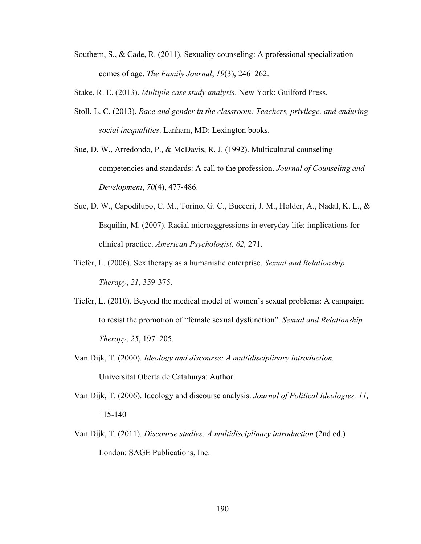- Southern, S., & Cade, R. (2011). Sexuality counseling: A professional specialization comes of age. *The Family Journal*, *19*(3), 246–262.
- Stake, R. E. (2013). *Multiple case study analysis*. New York: Guilford Press.
- Stoll, L. C. (2013). *Race and gender in the classroom: Teachers, privilege, and enduring social inequalities*. Lanham, MD: Lexington books.
- Sue, D. W., Arredondo, P., & McDavis, R. J. (1992). Multicultural counseling competencies and standards: A call to the profession. *Journal of Counseling and Development*, *70*(4), 477-486.
- Sue, D. W., Capodilupo, C. M., Torino, G. C., Bucceri, J. M., Holder, A., Nadal, K. L., & Esquilin, M. (2007). Racial microaggressions in everyday life: implications for clinical practice. *American Psychologist, 62,* 271.
- Tiefer, L. (2006). Sex therapy as a humanistic enterprise. *Sexual and Relationship Therapy*, *21*, 359-375.
- Tiefer, L. (2010). Beyond the medical model of women's sexual problems: A campaign to resist the promotion of "female sexual dysfunction". *Sexual and Relationship Therapy*, *25*, 197–205.
- Van Dijk, T. (2000). *Ideology and discourse: A multidisciplinary introduction.* Universitat Oberta de Catalunya: Author.
- Van Dijk, T. (2006). Ideology and discourse analysis. *Journal of Political Ideologies, 11,*  115-140
- Van Dijk, T. (2011). *Discourse studies: A multidisciplinary introduction* (2nd ed.) London: SAGE Publications, Inc.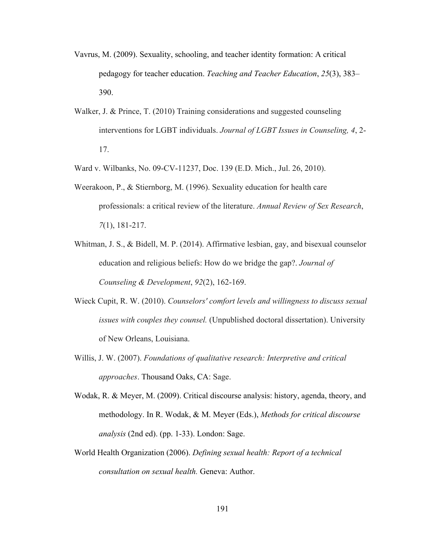- Vavrus, M. (2009). Sexuality, schooling, and teacher identity formation: A critical pedagogy for teacher education. *Teaching and Teacher Education*, *25*(3), 383– 390.
- Walker, J. & Prince, T. (2010) Training considerations and suggested counseling interventions for LGBT individuals. *Journal of LGBT Issues in Counseling, 4*, 2- 17.
- Ward v. Wilbanks, No. 09-CV-11237, Doc. 139 (E.D. Mich., Jul. 26, 2010).
- Weerakoon, P., & Stiernborg, M. (1996). Sexuality education for health care professionals: a critical review of the literature. *Annual Review of Sex Research*, *7*(1), 181-217.
- Whitman, J. S., & Bidell, M. P. (2014). Affirmative lesbian, gay, and bisexual counselor education and religious beliefs: How do we bridge the gap?. *Journal of Counseling & Development*, *92*(2), 162-169.
- Wieck Cupit, R. W. (2010). *Counselors' comfort levels and willingness to discuss sexual issues with couples they counsel.* (Unpublished doctoral dissertation). University of New Orleans, Louisiana.
- Willis, J. W. (2007). *Foundations of qualitative research: Interpretive and critical approaches*. Thousand Oaks, CA: Sage.
- Wodak, R. & Meyer, M. (2009). Critical discourse analysis: history, agenda, theory, and methodology. In R. Wodak, & M. Meyer (Eds.), *Methods for critical discourse analysis* (2nd ed). (pp. 1-33). London: Sage.
- World Health Organization (2006). *Defining sexual health: Report of a technical consultation on sexual health.* Geneva: Author.